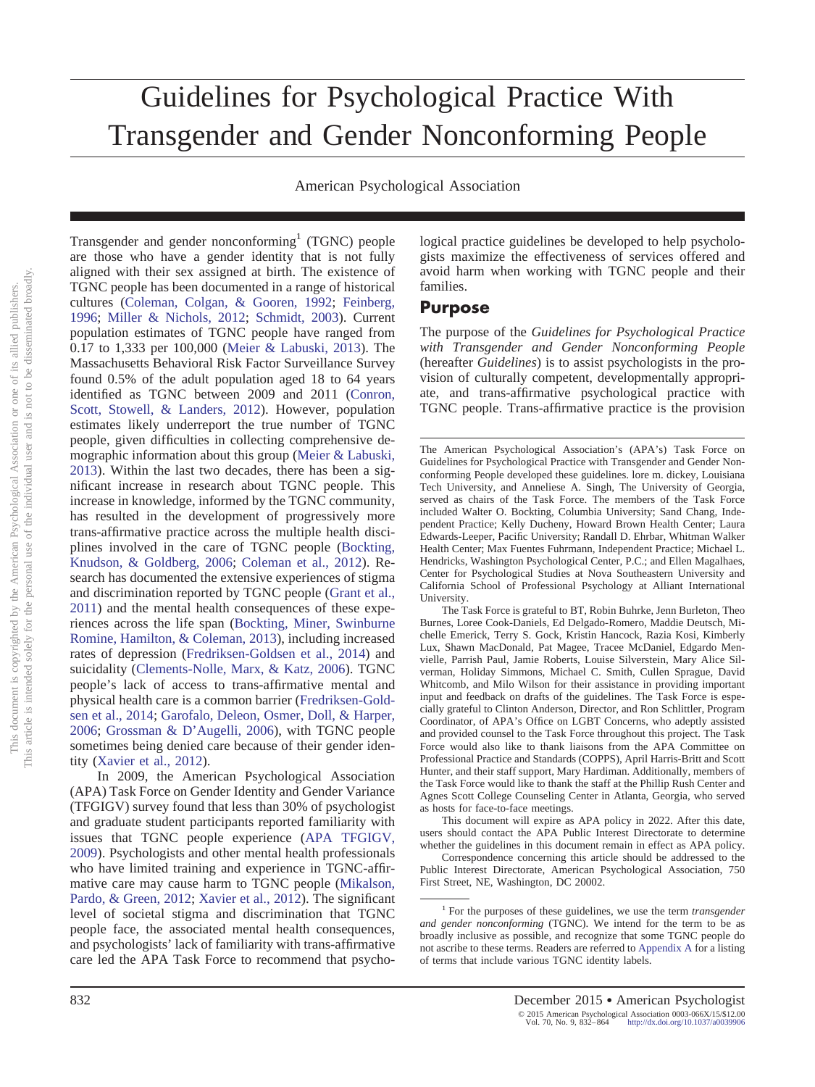# Guidelines for Psychological Practice With Transgender and Gender Nonconforming People

American Psychological Association

Transgender and gender nonconforming<sup>1</sup> (TGNC) people are those who have a gender identity that is not fully aligned with their sex assigned at birth. The existence of TGNC people has been documented in a range of historical cultures [\(Coleman, Colgan, & Gooren, 1992;](#page-22-0) [Feinberg,](#page-23-0) [1996;](#page-23-0) [Miller & Nichols, 2012;](#page-26-0) [Schmidt, 2003\)](#page-27-0). Current population estimates of TGNC people have ranged from 0.17 to 1,333 per 100,000 [\(Meier & Labuski, 2013\)](#page-25-0). The Massachusetts Behavioral Risk Factor Surveillance Survey found 0.5% of the adult population aged 18 to 64 years identified as TGNC between 2009 and 2011 [\(Conron,](#page-22-1) [Scott, Stowell, & Landers, 2012\)](#page-22-1). However, population estimates likely underreport the true number of TGNC people, given difficulties in collecting comprehensive demographic information about this group [\(Meier & Labuski,](#page-25-0) [2013\)](#page-25-0). Within the last two decades, there has been a significant increase in research about TGNC people. This increase in knowledge, informed by the TGNC community, has resulted in the development of progressively more trans-affirmative practice across the multiple health disciplines involved in the care of TGNC people [\(Bockting,](#page-21-0) [Knudson, & Goldberg, 2006;](#page-21-0) [Coleman et al., 2012\)](#page-22-2). Research has documented the extensive experiences of stigma and discrimination reported by TGNC people [\(Grant et al.,](#page-24-0) [2011\)](#page-24-0) and the mental health consequences of these experiences across the life span [\(Bockting, Miner, Swinburne](#page-21-1) [Romine, Hamilton, & Coleman, 2013\)](#page-21-1), including increased rates of depression [\(Fredriksen-Goldsen et al., 2014\)](#page-23-1) and suicidality [\(Clements-Nolle, Marx, & Katz, 2006\)](#page-22-3). TGNC people's lack of access to trans-affirmative mental and physical health care is a common barrier [\(Fredriksen-Gold](#page-23-1)[sen et al., 2014;](#page-23-1) [Garofalo, Deleon, Osmer, Doll, & Harper,](#page-23-2) [2006;](#page-23-2) [Grossman & D'Augelli, 2006\)](#page-24-1), with TGNC people sometimes being denied care because of their gender identity [\(Xavier et al., 2012\)](#page-28-0).

In 2009, the American Psychological Association (APA) Task Force on Gender Identity and Gender Variance (TFGIGV) survey found that less than 30% of psychologist and graduate student participants reported familiarity with issues that TGNC people experience [\(APA TFGIGV,](#page-20-0) [2009\)](#page-20-0). Psychologists and other mental health professionals who have limited training and experience in TGNC-affirmative care may cause harm to TGNC people [\(Mikalson,](#page-26-1) [Pardo, & Green, 2012;](#page-26-1) [Xavier et al., 2012\)](#page-28-0). The significant level of societal stigma and discrimination that TGNC people face, the associated mental health consequences, and psychologists' lack of familiarity with trans-affirmative care led the APA Task Force to recommend that psycho-

logical practice guidelines be developed to help psychologists maximize the effectiveness of services offered and avoid harm when working with TGNC people and their families.

#### **Purpose**

The purpose of the *Guidelines for Psychological Practice with Transgender and Gender Nonconforming People* (hereafter *Guidelines*) is to assist psychologists in the provision of culturally competent, developmentally appropriate, and trans-affirmative psychological practice with TGNC people. Trans-affirmative practice is the provision

The Task Force is grateful to BT, Robin Buhrke, Jenn Burleton, Theo Burnes, Loree Cook-Daniels, Ed Delgado-Romero, Maddie Deutsch, Michelle Emerick, Terry S. Gock, Kristin Hancock, Razia Kosi, Kimberly Lux, Shawn MacDonald, Pat Magee, Tracee McDaniel, Edgardo Menvielle, Parrish Paul, Jamie Roberts, Louise Silverstein, Mary Alice Silverman, Holiday Simmons, Michael C. Smith, Cullen Sprague, David Whitcomb, and Milo Wilson for their assistance in providing important input and feedback on drafts of the guidelines. The Task Force is especially grateful to Clinton Anderson, Director, and Ron Schlittler, Program Coordinator, of APA's Office on LGBT Concerns, who adeptly assisted and provided counsel to the Task Force throughout this project. The Task Force would also like to thank liaisons from the APA Committee on Professional Practice and Standards (COPPS), April Harris-Britt and Scott Hunter, and their staff support, Mary Hardiman. Additionally, members of the Task Force would like to thank the staff at the Phillip Rush Center and Agnes Scott College Counseling Center in Atlanta, Georgia, who served as hosts for face-to-face meetings.

This document will expire as APA policy in 2022. After this date, users should contact the APA Public Interest Directorate to determine whether the guidelines in this document remain in effect as APA policy.

Correspondence concerning this article should be addressed to the Public Interest Directorate, American Psychological Association, 750 First Street, NE, Washington, DC 20002.

The American Psychological Association's (APA's) Task Force on Guidelines for Psychological Practice with Transgender and Gender Nonconforming People developed these guidelines. lore m. dickey, Louisiana Tech University, and Anneliese A. Singh, The University of Georgia, served as chairs of the Task Force. The members of the Task Force included Walter O. Bockting, Columbia University; Sand Chang, Independent Practice; Kelly Ducheny, Howard Brown Health Center; Laura Edwards-Leeper, Pacific University; Randall D. Ehrbar, Whitman Walker Health Center; Max Fuentes Fuhrmann, Independent Practice; Michael L. Hendricks, Washington Psychological Center, P.C.; and Ellen Magalhaes, Center for Psychological Studies at Nova Southeastern University and California School of Professional Psychology at Alliant International University.

<sup>1</sup> For the purposes of these guidelines, we use the term *transgender and gender nonconforming* (TGNC). We intend for the term to be as broadly inclusive as possible, and recognize that some TGNC people do not ascribe to these terms. Readers are referred to Appendix A for a listing of terms that include various TGNC identity labels.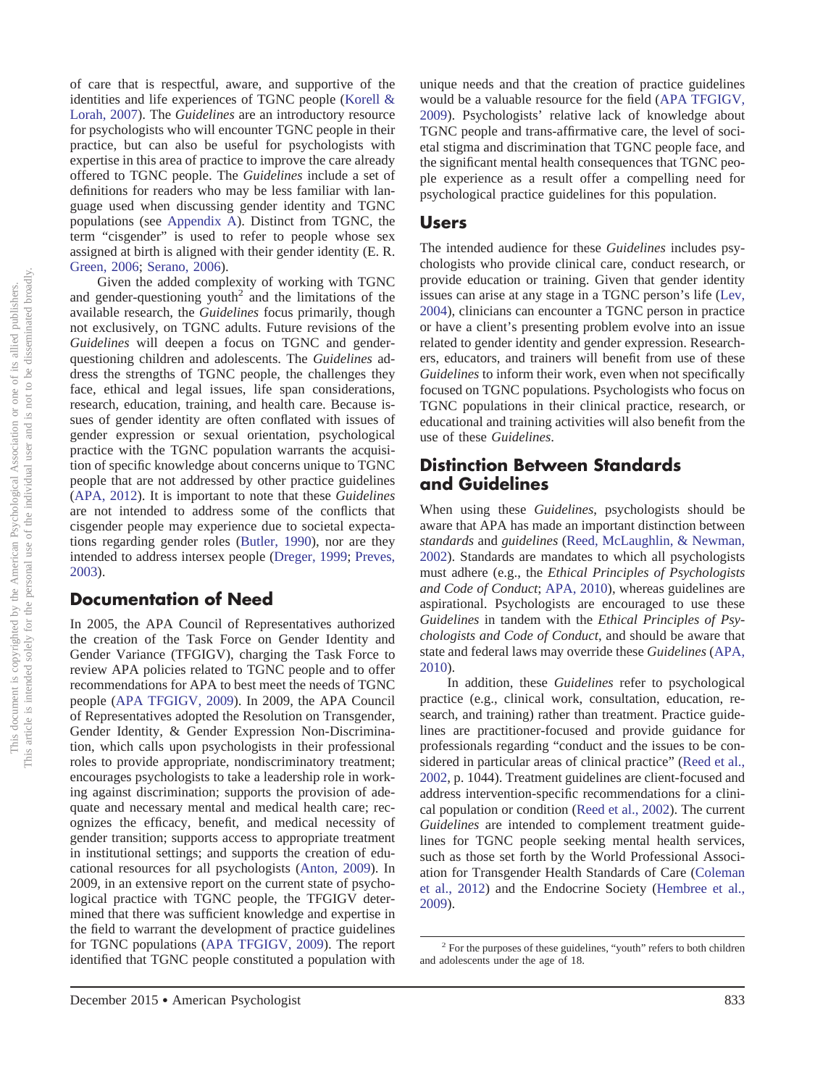of care that is respectful, aware, and supportive of the identities and life experiences of TGNC people [\(Korell &](#page-25-1) [Lorah, 2007\)](#page-25-1). The *Guidelines* are an introductory resource for psychologists who will encounter TGNC people in their practice, but can also be useful for psychologists with expertise in this area of practice to improve the care already offered to TGNC people. The *Guidelines* include a set of definitions for readers who may be less familiar with language used when discussing gender identity and TGNC populations (see Appendix A). Distinct from TGNC, the term "cisgender" is used to refer to people whose sex assigned at birth is aligned with their gender identity (E. R. [Green, 2006;](#page-24-2) [Serano, 2006\)](#page-27-1).

Given the added complexity of working with TGNC and gender-questioning youth<sup>2</sup> and the limitations of the available research, the *Guidelines* focus primarily, though not exclusively, on TGNC adults. Future revisions of the *Guidelines* will deepen a focus on TGNC and genderquestioning children and adolescents. The *Guidelines* address the strengths of TGNC people, the challenges they face, ethical and legal issues, life span considerations, research, education, training, and health care. Because issues of gender identity are often conflated with issues of gender expression or sexual orientation, psychological practice with the TGNC population warrants the acquisition of specific knowledge about concerns unique to TGNC people that are not addressed by other practice guidelines [\(APA, 2012\)](#page-20-1). It is important to note that these *Guidelines* are not intended to address some of the conflicts that cisgender people may experience due to societal expectations regarding gender roles [\(Butler, 1990\)](#page-21-2), nor are they intended to address intersex people [\(Dreger, 1999;](#page-23-3) [Preves,](#page-26-2) [2003\)](#page-26-2).

## **Documentation of Need**

In 2005, the APA Council of Representatives authorized the creation of the Task Force on Gender Identity and Gender Variance (TFGIGV), charging the Task Force to review APA policies related to TGNC people and to offer recommendations for APA to best meet the needs of TGNC people [\(APA TFGIGV, 2009\)](#page-20-0). In 2009, the APA Council of Representatives adopted the Resolution on Transgender, Gender Identity, & Gender Expression Non-Discrimination, which calls upon psychologists in their professional roles to provide appropriate, nondiscriminatory treatment; encourages psychologists to take a leadership role in working against discrimination; supports the provision of adequate and necessary mental and medical health care; recognizes the efficacy, benefit, and medical necessity of gender transition; supports access to appropriate treatment in institutional settings; and supports the creation of educational resources for all psychologists [\(Anton, 2009\)](#page-21-3). In 2009, in an extensive report on the current state of psychological practice with TGNC people, the TFGIGV determined that there was sufficient knowledge and expertise in the field to warrant the development of practice guidelines for TGNC populations [\(APA TFGIGV, 2009\)](#page-20-0). The report identified that TGNC people constituted a population with unique needs and that the creation of practice guidelines would be a valuable resource for the field [\(APA TFGIGV,](#page-20-0) [2009\)](#page-20-0). Psychologists' relative lack of knowledge about TGNC people and trans-affirmative care, the level of societal stigma and discrimination that TGNC people face, and the significant mental health consequences that TGNC people experience as a result offer a compelling need for psychological practice guidelines for this population.

## **Users**

The intended audience for these *Guidelines* includes psychologists who provide clinical care, conduct research, or provide education or training. Given that gender identity issues can arise at any stage in a TGNC person's life [\(Lev,](#page-25-2) [2004\)](#page-25-2), clinicians can encounter a TGNC person in practice or have a client's presenting problem evolve into an issue related to gender identity and gender expression. Researchers, educators, and trainers will benefit from use of these *Guidelines* to inform their work, even when not specifically focused on TGNC populations. Psychologists who focus on TGNC populations in their clinical practice, research, or educational and training activities will also benefit from the use of these *Guidelines*.

## **Distinction Between Standards and Guidelines**

When using these *Guidelines*, psychologists should be aware that APA has made an important distinction between *standards* and *guidelines* [\(Reed, McLaughlin, & Newman,](#page-26-3) [2002\)](#page-26-3). Standards are mandates to which all psychologists must adhere (e.g., the *Ethical Principles of Psychologists and Code of Conduct*; [APA, 2010\)](#page-20-2), whereas guidelines are aspirational. Psychologists are encouraged to use these *Guidelines* in tandem with the *Ethical Principles of Psychologists and Code of Conduct*, and should be aware that state and federal laws may override these *Guidelines* [\(APA,](#page-20-2) [2010\)](#page-20-2).

In addition, these *Guidelines* refer to psychological practice (e.g., clinical work, consultation, education, research, and training) rather than treatment. Practice guidelines are practitioner-focused and provide guidance for professionals regarding "conduct and the issues to be considered in particular areas of clinical practice" [\(Reed et al.,](#page-26-3) [2002,](#page-26-3) p. 1044). Treatment guidelines are client-focused and address intervention-specific recommendations for a clinical population or condition [\(Reed et al., 2002\)](#page-26-3). The current *Guidelines* are intended to complement treatment guidelines for TGNC people seeking mental health services, such as those set forth by the World Professional Association for Transgender Health Standards of Care [\(Coleman](#page-22-2) [et al., 2012\)](#page-22-2) and the Endocrine Society [\(Hembree et al.,](#page-24-3) [2009\)](#page-24-3).

<sup>2</sup> For the purposes of these guidelines, "youth" refers to both children and adolescents under the age of 18.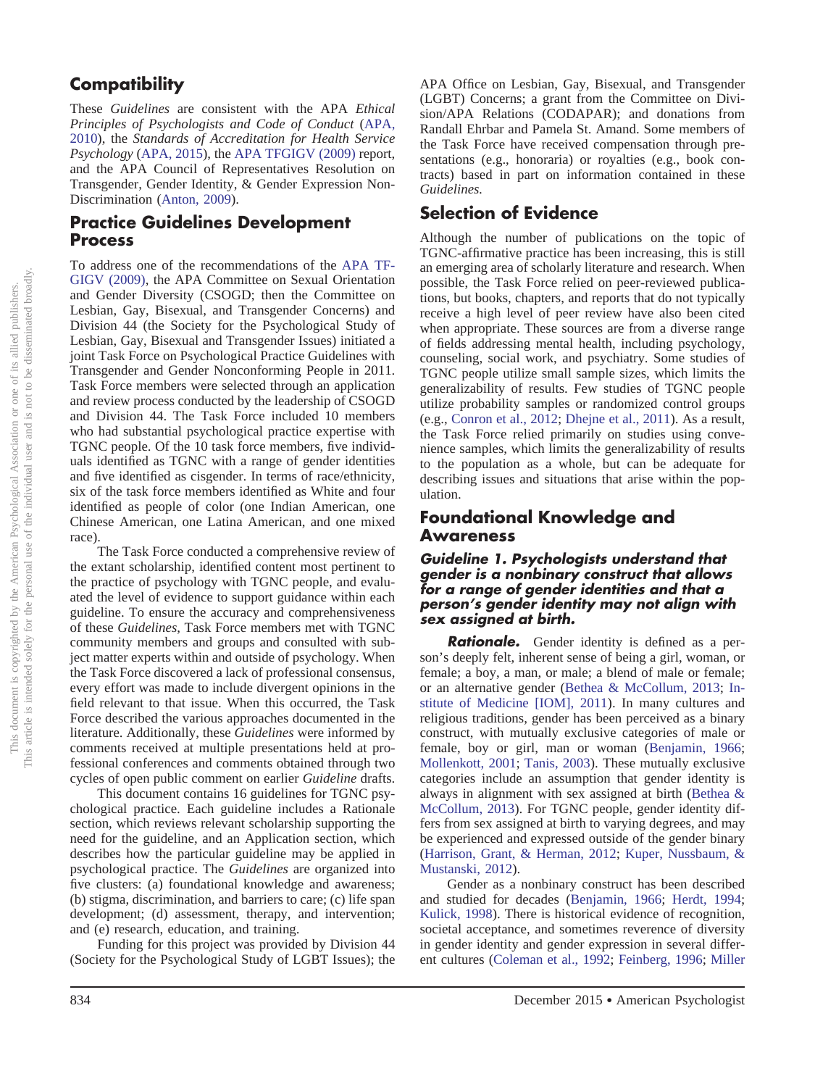## **Compatibility**

These *Guidelines* are consistent with the APA *Ethical Principles of Psychologists and Code of Conduct* [\(APA,](#page-20-2) [2010\)](#page-20-2), the *Standards of Accreditation for Health Service Psychology* [\(APA, 2015\)](#page-20-3), the [APA TFGIGV \(2009\)](#page-20-0) report, and the APA Council of Representatives Resolution on Transgender, Gender Identity, & Gender Expression Non-Discrimination [\(Anton, 2009\)](#page-21-3).

## **Practice Guidelines Development Process**

To address one of the recommendations of the [APA TF-](#page-20-0)[GIGV \(2009\),](#page-20-0) the APA Committee on Sexual Orientation and Gender Diversity (CSOGD; then the Committee on Lesbian, Gay, Bisexual, and Transgender Concerns) and Division 44 (the Society for the Psychological Study of Lesbian, Gay, Bisexual and Transgender Issues) initiated a joint Task Force on Psychological Practice Guidelines with Transgender and Gender Nonconforming People in 2011. Task Force members were selected through an application and review process conducted by the leadership of CSOGD and Division 44. The Task Force included 10 members who had substantial psychological practice expertise with TGNC people. Of the 10 task force members, five individuals identified as TGNC with a range of gender identities and five identified as cisgender. In terms of race/ethnicity, six of the task force members identified as White and four identified as people of color (one Indian American, one Chinese American, one Latina American, and one mixed race).

The Task Force conducted a comprehensive review of the extant scholarship, identified content most pertinent to the practice of psychology with TGNC people, and evaluated the level of evidence to support guidance within each guideline. To ensure the accuracy and comprehensiveness of these *Guidelines*, Task Force members met with TGNC community members and groups and consulted with subject matter experts within and outside of psychology. When the Task Force discovered a lack of professional consensus, every effort was made to include divergent opinions in the field relevant to that issue. When this occurred, the Task Force described the various approaches documented in the literature. Additionally, these *Guidelines* were informed by comments received at multiple presentations held at professional conferences and comments obtained through two cycles of open public comment on earlier *Guideline* drafts.

This document contains 16 guidelines for TGNC psychological practice. Each guideline includes a Rationale section, which reviews relevant scholarship supporting the need for the guideline, and an Application section, which describes how the particular guideline may be applied in psychological practice. The *Guidelines* are organized into five clusters: (a) foundational knowledge and awareness; (b) stigma, discrimination, and barriers to care; (c) life span development; (d) assessment, therapy, and intervention; and (e) research, education, and training.

Funding for this project was provided by Division 44 (Society for the Psychological Study of LGBT Issues); the

APA Office on Lesbian, Gay, Bisexual, and Transgender (LGBT) Concerns; a grant from the Committee on Division/APA Relations (CODAPAR); and donations from Randall Ehrbar and Pamela St. Amand. Some members of the Task Force have received compensation through presentations (e.g., honoraria) or royalties (e.g., book contracts) based in part on information contained in these *Guidelines.*

## **Selection of Evidence**

Although the number of publications on the topic of TGNC-affirmative practice has been increasing, this is still an emerging area of scholarly literature and research. When possible, the Task Force relied on peer-reviewed publications, but books, chapters, and reports that do not typically receive a high level of peer review have also been cited when appropriate. These sources are from a diverse range of fields addressing mental health, including psychology, counseling, social work, and psychiatry. Some studies of TGNC people utilize small sample sizes, which limits the generalizability of results. Few studies of TGNC people utilize probability samples or randomized control groups (e.g., [Conron et al., 2012;](#page-22-1) [Dhejne et al., 2011\)](#page-23-4). As a result, the Task Force relied primarily on studies using convenience samples, which limits the generalizability of results to the population as a whole, but can be adequate for describing issues and situations that arise within the population.

## **Foundational Knowledge and Awareness**

#### *Guideline 1. Psychologists understand that gender is a nonbinary construct that allows for a range of gender identities and that a person's gender identity may not align with sex assigned at birth.*

*Rationale.* Gender identity is defined as a person's deeply felt, inherent sense of being a girl, woman, or female; a boy, a man, or male; a blend of male or female; or an alternative gender [\(Bethea & McCollum, 2013;](#page-21-4) [In](#page-24-4)[stitute of Medicine \[IOM\], 2011\)](#page-24-4). In many cultures and religious traditions, gender has been perceived as a binary construct, with mutually exclusive categories of male or female, boy or girl, man or woman [\(Benjamin, 1966;](#page-21-5) [Mollenkott, 2001;](#page-26-4) [Tanis, 2003\)](#page-27-2). These mutually exclusive categories include an assumption that gender identity is always in alignment with sex assigned at birth [\(Bethea &](#page-21-4) [McCollum, 2013\)](#page-21-4). For TGNC people, gender identity differs from sex assigned at birth to varying degrees, and may be experienced and expressed outside of the gender binary [\(Harrison, Grant, & Herman, 2012;](#page-24-5) [Kuper, Nussbaum, &](#page-25-3) [Mustanski, 2012\)](#page-25-3).

Gender as a nonbinary construct has been described and studied for decades [\(Benjamin, 1966;](#page-21-5) [Herdt, 1994;](#page-24-6) [Kulick, 1998\)](#page-25-4). There is historical evidence of recognition, societal acceptance, and sometimes reverence of diversity in gender identity and gender expression in several different cultures [\(Coleman et al., 1992;](#page-22-0) [Feinberg, 1996;](#page-23-0) [Miller](#page-26-0)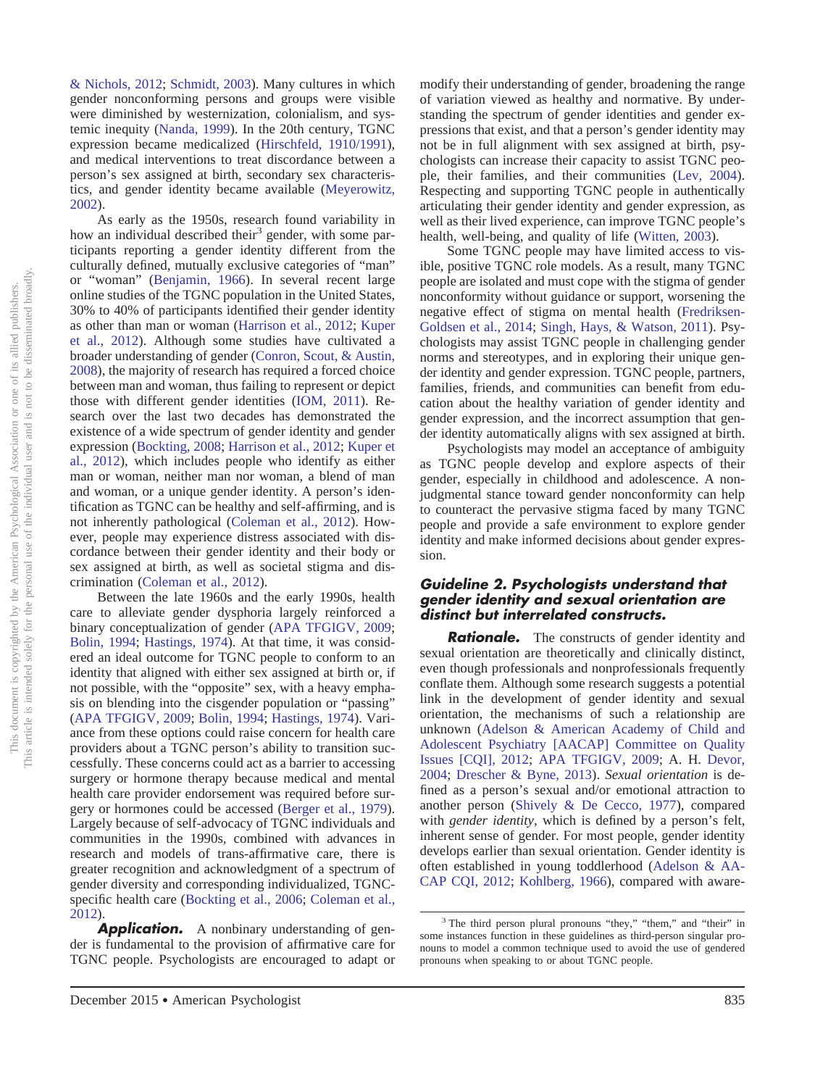[& Nichols, 2012;](#page-26-0) [Schmidt, 2003\)](#page-27-0). Many cultures in which gender nonconforming persons and groups were visible were diminished by westernization, colonialism, and systemic inequity [\(Nanda, 1999\)](#page-26-5). In the 20th century, TGNC expression became medicalized [\(Hirschfeld, 1910/1991\)](#page-24-7), and medical interventions to treat discordance between a person's sex assigned at birth, secondary sex characteristics, and gender identity became available [\(Meyerowitz,](#page-26-6) [2002\)](#page-26-6).

As early as the 1950s, research found variability in how an individual described their<sup>3</sup> gender, with some participants reporting a gender identity different from the culturally defined, mutually exclusive categories of "man" or "woman" [\(Benjamin, 1966\)](#page-21-5). In several recent large online studies of the TGNC population in the United States, 30% to 40% of participants identified their gender identity as other than man or woman [\(Harrison et al., 2012;](#page-24-5) [Kuper](#page-25-3) [et al., 2012\)](#page-25-3). Although some studies have cultivated a broader understanding of gender [\(Conron, Scout, & Austin,](#page-22-4) [2008\)](#page-22-4), the majority of research has required a forced choice between man and woman, thus failing to represent or depict those with different gender identities [\(IOM, 2011\)](#page-24-4). Research over the last two decades has demonstrated the existence of a wide spectrum of gender identity and gender expression [\(Bockting, 2008;](#page-21-6) [Harrison et al., 2012;](#page-24-5) [Kuper et](#page-25-3) [al., 2012\)](#page-25-3), which includes people who identify as either man or woman, neither man nor woman, a blend of man and woman, or a unique gender identity. A person's identification as TGNC can be healthy and self-affirming, and is not inherently pathological [\(Coleman et al., 2012\)](#page-22-2). However, people may experience distress associated with discordance between their gender identity and their body or sex assigned at birth, as well as societal stigma and discrimination [\(Coleman et al., 2012\)](#page-22-2).

Between the late 1960s and the early 1990s, health care to alleviate gender dysphoria largely reinforced a binary conceptualization of gender [\(APA TFGIGV, 2009;](#page-20-0) [Bolin, 1994;](#page-21-7) [Hastings, 1974\)](#page-24-8). At that time, it was considered an ideal outcome for TGNC people to conform to an identity that aligned with either sex assigned at birth or, if not possible, with the "opposite" sex, with a heavy emphasis on blending into the cisgender population or "passing" [\(APA TFGIGV, 2009;](#page-20-0) [Bolin, 1994;](#page-21-7) [Hastings, 1974\)](#page-24-8). Variance from these options could raise concern for health care providers about a TGNC person's ability to transition successfully. These concerns could act as a barrier to accessing surgery or hormone therapy because medical and mental health care provider endorsement was required before surgery or hormones could be accessed [\(Berger et al., 1979\)](#page-21-8). Largely because of self-advocacy of TGNC individuals and communities in the 1990s, combined with advances in research and models of trans-affirmative care, there is greater recognition and acknowledgment of a spectrum of gender diversity and corresponding individualized, TGNCspecific health care [\(Bockting et al., 2006;](#page-21-0) [Coleman et al.,](#page-22-2) [2012\)](#page-22-2).

**Application.** A nonbinary understanding of gender is fundamental to the provision of affirmative care for TGNC people. Psychologists are encouraged to adapt or

modify their understanding of gender, broadening the range of variation viewed as healthy and normative. By understanding the spectrum of gender identities and gender expressions that exist, and that a person's gender identity may not be in full alignment with sex assigned at birth, psychologists can increase their capacity to assist TGNC people, their families, and their communities [\(Lev, 2004\)](#page-25-2). Respecting and supporting TGNC people in authentically articulating their gender identity and gender expression, as well as their lived experience, can improve TGNC people's health, well-being, and quality of life [\(Witten, 2003\)](#page-28-1).

Some TGNC people may have limited access to visible, positive TGNC role models. As a result, many TGNC people are isolated and must cope with the stigma of gender nonconformity without guidance or support, worsening the negative effect of stigma on mental health [\(Fredriksen-](#page-23-1)[Goldsen et al., 2014;](#page-23-1) [Singh, Hays, & Watson, 2011\)](#page-27-3). Psychologists may assist TGNC people in challenging gender norms and stereotypes, and in exploring their unique gender identity and gender expression. TGNC people, partners, families, friends, and communities can benefit from education about the healthy variation of gender identity and gender expression, and the incorrect assumption that gender identity automatically aligns with sex assigned at birth.

Psychologists may model an acceptance of ambiguity as TGNC people develop and explore aspects of their gender, especially in childhood and adolescence. A nonjudgmental stance toward gender nonconformity can help to counteract the pervasive stigma faced by many TGNC people and provide a safe environment to explore gender identity and make informed decisions about gender expression.

#### *Guideline 2. Psychologists understand that gender identity and sexual orientation are distinct but interrelated constructs.*

*Rationale.* The constructs of gender identity and sexual orientation are theoretically and clinically distinct, even though professionals and nonprofessionals frequently conflate them. Although some research suggests a potential link in the development of gender identity and sexual orientation, the mechanisms of such a relationship are unknown [\(Adelson & American Academy of Child and](#page-20-4) [Adolescent Psychiatry \[AACAP\] Committee on Quality](#page-20-4) [Issues \[CQI\], 2012;](#page-20-4) [APA TFGIGV, 2009;](#page-20-0) A. H. [Devor,](#page-23-5) [2004;](#page-23-5) [Drescher & Byne, 2013\)](#page-23-6). *Sexual orientation* is defined as a person's sexual and/or emotional attraction to another person [\(Shively & De Cecco, 1977\)](#page-27-4), compared with *gender identity*, which is defined by a person's felt, inherent sense of gender. For most people, gender identity develops earlier than sexual orientation. Gender identity is often established in young toddlerhood [\(Adelson & AA-](#page-20-4)[CAP CQI, 2012;](#page-20-4) [Kohlberg,](#page-25-5) 1966), compared with aware-

<sup>3</sup> The third person plural pronouns "they," "them," and "their" in some instances function in these guidelines as third-person singular pronouns to model a common technique used to avoid the use of gendered pronouns when speaking to or about TGNC people.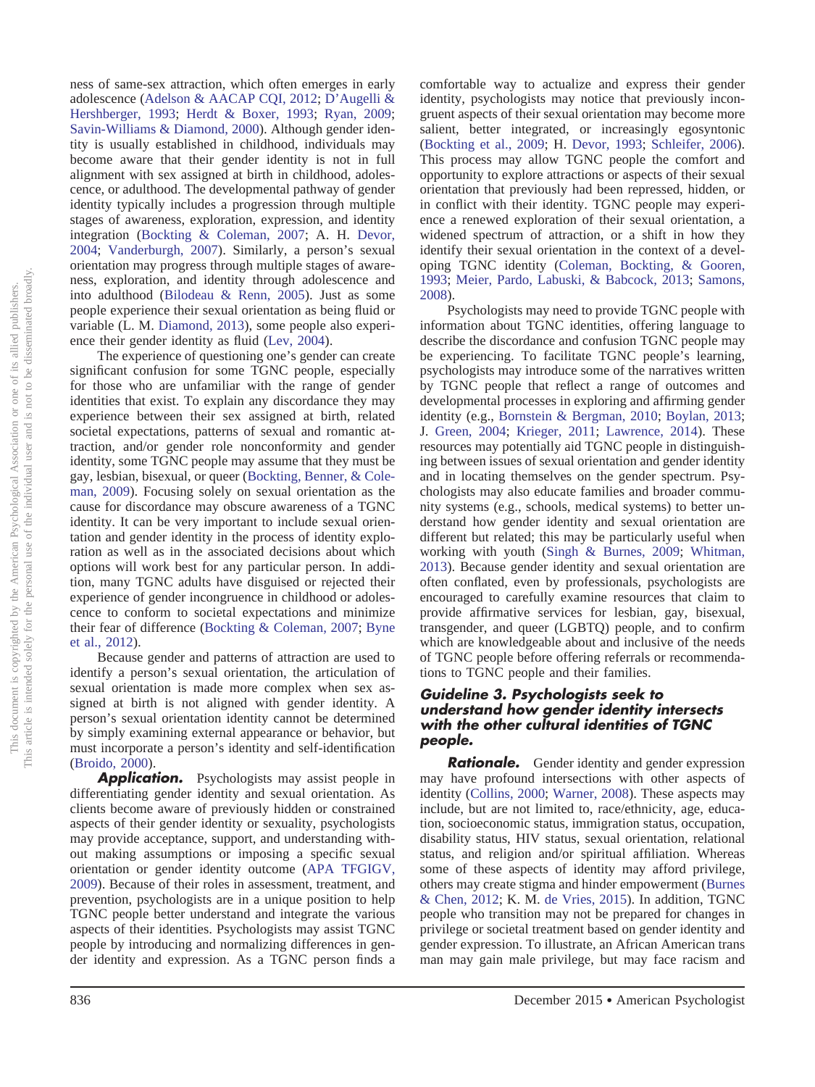ness of same-sex attraction, which often emerges in early adolescence [\(Adelson & AACAP CQI, 2012;](#page-20-4) [D'Augelli &](#page-22-5) [Hershberger, 1993;](#page-22-5) [Herdt & Boxer, 1993;](#page-24-9) [Ryan, 2009;](#page-26-7) [Savin-Williams & Diamond, 2000\)](#page-27-5). Although gender identity is usually established in childhood, individuals may become aware that their gender identity is not in full alignment with sex assigned at birth in childhood, adolescence, or adulthood. The developmental pathway of gender identity typically includes a progression through multiple stages of awareness, exploration, expression, and identity integration [\(Bockting & Coleman, 2007;](#page-21-9) A. H. [Devor,](#page-23-5) [2004;](#page-23-5) [Vanderburgh, 2007\)](#page-27-6). Similarly, a person's sexual orientation may progress through multiple stages of awareness, exploration, and identity through adolescence and into adulthood [\(Bilodeau & Renn, 2005\)](#page-21-10). Just as some people experience their sexual orientation as being fluid or variable (L. M. [Diamond, 2013\)](#page-23-7), some people also experience their gender identity as fluid [\(Lev, 2004\)](#page-25-2).

The experience of questioning one's gender can create significant confusion for some TGNC people, especially for those who are unfamiliar with the range of gender identities that exist. To explain any discordance they may experience between their sex assigned at birth, related societal expectations, patterns of sexual and romantic attraction, and/or gender role nonconformity and gender identity, some TGNC people may assume that they must be gay, lesbian, bisexual, or queer [\(Bockting, Benner, & Cole](#page-21-11)[man, 2009\)](#page-21-11). Focusing solely on sexual orientation as the cause for discordance may obscure awareness of a TGNC identity. It can be very important to include sexual orientation and gender identity in the process of identity exploration as well as in the associated decisions about which options will work best for any particular person. In addition, many TGNC adults have disguised or rejected their experience of gender incongruence in childhood or adolescence to conform to societal expectations and minimize their fear of difference [\(Bockting & Coleman, 2007;](#page-21-9) [Byne](#page-22-6) [et al., 2012\)](#page-22-6).

Because gender and patterns of attraction are used to identify a person's sexual orientation, the articulation of sexual orientation is made more complex when sex assigned at birth is not aligned with gender identity. A person's sexual orientation identity cannot be determined by simply examining external appearance or behavior, but must incorporate a person's identity and self-identification [\(Broido, 2000\)](#page-21-12).

**Application.** Psychologists may assist people in differentiating gender identity and sexual orientation. As clients become aware of previously hidden or constrained aspects of their gender identity or sexuality, psychologists may provide acceptance, support, and understanding without making assumptions or imposing a specific sexual orientation or gender identity outcome [\(APA TFGIGV,](#page-20-0) [2009\)](#page-20-0). Because of their roles in assessment, treatment, and prevention, psychologists are in a unique position to help TGNC people better understand and integrate the various aspects of their identities. Psychologists may assist TGNC people by introducing and normalizing differences in gender identity and expression. As a TGNC person finds a

comfortable way to actualize and express their gender identity, psychologists may notice that previously incongruent aspects of their sexual orientation may become more salient, better integrated, or increasingly egosyntonic [\(Bockting et al., 2009;](#page-21-11) H. [Devor, 1993;](#page-23-8) [Schleifer, 2006\)](#page-27-7). This process may allow TGNC people the comfort and opportunity to explore attractions or aspects of their sexual orientation that previously had been repressed, hidden, or in conflict with their identity. TGNC people may experience a renewed exploration of their sexual orientation, a widened spectrum of attraction, or a shift in how they identify their sexual orientation in the context of a developing TGNC identity [\(Coleman, Bockting, & Gooren,](#page-22-7) [1993;](#page-22-7) [Meier, Pardo, Labuski, & Babcock, 2013;](#page-25-6) [Samons,](#page-27-8) [2008\)](#page-27-8).

Psychologists may need to provide TGNC people with information about TGNC identities, offering language to describe the discordance and confusion TGNC people may be experiencing. To facilitate TGNC people's learning, psychologists may introduce some of the narratives written by TGNC people that reflect a range of outcomes and developmental processes in exploring and affirming gender identity (e.g., [Bornstein & Bergman, 2010;](#page-21-13) [Boylan, 2013;](#page-21-14) J. [Green, 2004;](#page-24-10) [Krieger, 2011;](#page-25-7) [Lawrence, 2014\)](#page-25-8). These resources may potentially aid TGNC people in distinguishing between issues of sexual orientation and gender identity and in locating themselves on the gender spectrum. Psychologists may also educate families and broader community systems (e.g., schools, medical systems) to better understand how gender identity and sexual orientation are different but related; this may be particularly useful when working with youth [\(Singh & Burnes, 2009;](#page-27-9) [Whitman,](#page-28-2) [2013\)](#page-28-2). Because gender identity and sexual orientation are often conflated, even by professionals, psychologists are encouraged to carefully examine resources that claim to provide affirmative services for lesbian, gay, bisexual, transgender, and queer (LGBTQ) people, and to confirm which are knowledgeable about and inclusive of the needs of TGNC people before offering referrals or recommendations to TGNC people and their families.

#### *Guideline 3. Psychologists seek to understand how gender identity intersects with the other cultural identities of TGNC people.*

**Rationale.** Gender identity and gender expression may have profound intersections with other aspects of identity [\(Collins, 2000;](#page-22-8) [Warner, 2008\)](#page-28-3). These aspects may include, but are not limited to, race/ethnicity, age, education, socioeconomic status, immigration status, occupation, disability status, HIV status, sexual orientation, relational status, and religion and/or spiritual affiliation. Whereas some of these aspects of identity may afford privilege, others may create stigma and hinder empowerment [\(Burnes](#page-21-15) [& Chen, 2012;](#page-21-15) K. M. de [Vries, 2015\)](#page-23-9). In addition, TGNC people who transition may not be prepared for changes in privilege or societal treatment based on gender identity and gender expression. To illustrate, an African American trans man may gain male privilege, but may face racism and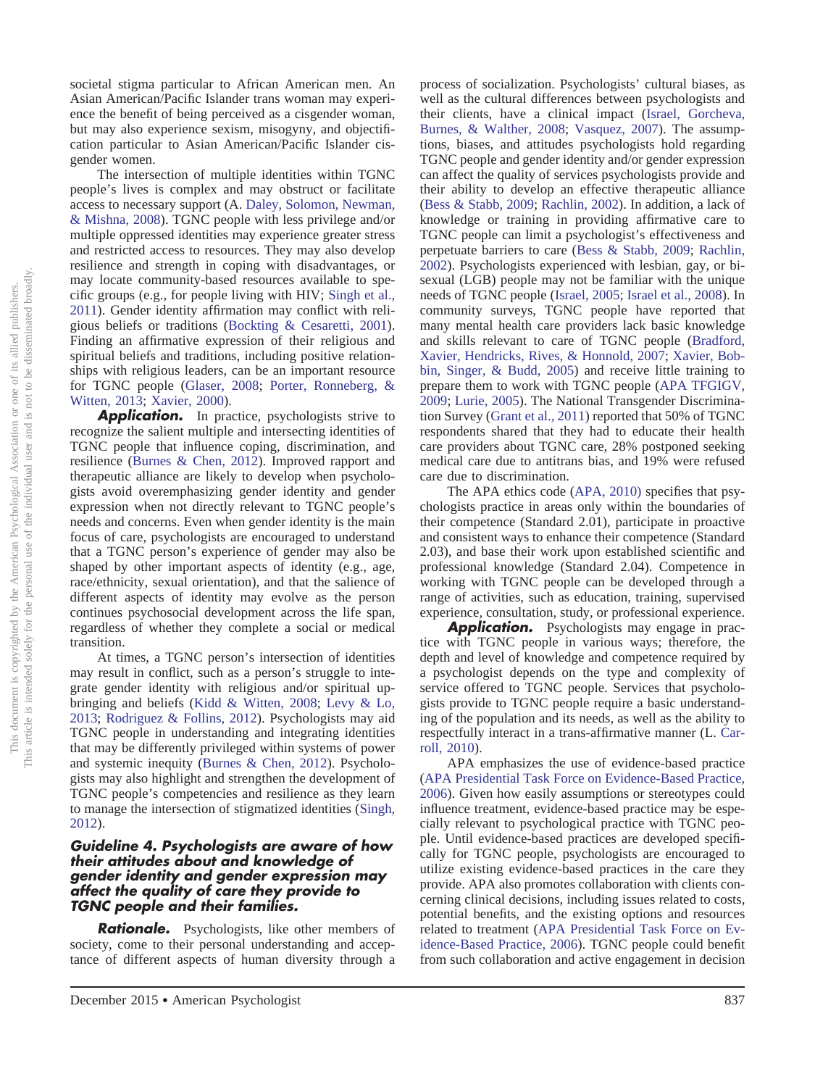societal stigma particular to African American men. An Asian American/Pacific Islander trans woman may experience the benefit of being perceived as a cisgender woman, but may also experience sexism, misogyny, and objectification particular to Asian American/Pacific Islander cisgender women.

The intersection of multiple identities within TGNC people's lives is complex and may obstruct or facilitate access to necessary support (A. [Daley, Solomon, Newman,](#page-22-9) [& Mishna, 2008\)](#page-22-9). TGNC people with less privilege and/or multiple oppressed identities may experience greater stress and restricted access to resources. They may also develop resilience and strength in coping with disadvantages, or may locate community-based resources available to specific groups (e.g., for people living with HIV; [Singh et al.,](#page-27-3) [2011\)](#page-27-3). Gender identity affirmation may conflict with religious beliefs or traditions [\(Bockting & Cesaretti, 2001\)](#page-21-16). Finding an affirmative expression of their religious and spiritual beliefs and traditions, including positive relationships with religious leaders, can be an important resource for TGNC people [\(Glaser, 2008;](#page-23-10) [Porter, Ronneberg, &](#page-26-8) [Witten, 2013;](#page-26-8) [Xavier, 2000\)](#page-28-4).

**Application.** In practice, psychologists strive to recognize the salient multiple and intersecting identities of TGNC people that influence coping, discrimination, and resilience [\(Burnes & Chen, 2012\)](#page-21-15). Improved rapport and therapeutic alliance are likely to develop when psychologists avoid overemphasizing gender identity and gender expression when not directly relevant to TGNC people's needs and concerns. Even when gender identity is the main focus of care, psychologists are encouraged to understand that a TGNC person's experience of gender may also be shaped by other important aspects of identity (e.g., age, race/ethnicity, sexual orientation), and that the salience of different aspects of identity may evolve as the person continues psychosocial development across the life span, regardless of whether they complete a social or medical transition.

At times, a TGNC person's intersection of identities may result in conflict, such as a person's struggle to integrate gender identity with religious and/or spiritual upbringing and beliefs [\(Kidd & Witten, 2008;](#page-25-9) [Levy & Lo,](#page-25-10) [2013;](#page-25-10) [Rodriguez & Follins, 2012\)](#page-26-9). Psychologists may aid TGNC people in understanding and integrating identities that may be differently privileged within systems of power and systemic inequity [\(Burnes & Chen, 2012\)](#page-21-15). Psychologists may also highlight and strengthen the development of TGNC people's competencies and resilience as they learn to manage the intersection of stigmatized identities [\(Singh,](#page-27-10) [2012\)](#page-27-10).

#### *Guideline 4. Psychologists are aware of how their attitudes about and knowledge of gender identity and gender expression may affect the quality of care they provide to TGNC people and their families.*

**Rationale.** Psychologists, like other members of society, come to their personal understanding and acceptance of different aspects of human diversity through a

process of socialization. Psychologists' cultural biases, as well as the cultural differences between psychologists and their clients, have a clinical impact [\(Israel, Gorcheva,](#page-25-11) [Burnes, & Walther, 2008;](#page-25-11) [Vasquez, 2007\)](#page-27-11). The assumptions, biases, and attitudes psychologists hold regarding TGNC people and gender identity and/or gender expression can affect the quality of services psychologists provide and their ability to develop an effective therapeutic alliance [\(Bess & Stabb, 2009;](#page-21-17) [Rachlin, 2002\)](#page-26-10). In addition, a lack of knowledge or training in providing affirmative care to TGNC people can limit a psychologist's effectiveness and perpetuate barriers to care [\(Bess & Stabb, 2009;](#page-21-17) [Rachlin,](#page-26-10) [2002\)](#page-26-10). Psychologists experienced with lesbian, gay, or bisexual (LGB) people may not be familiar with the unique needs of TGNC people [\(Israel, 2005;](#page-25-12) [Israel et al., 2008\)](#page-25-11). In community surveys, TGNC people have reported that many mental health care providers lack basic knowledge and skills relevant to care of TGNC people [\(Bradford,](#page-21-18) [Xavier, Hendricks, Rives, & Honnold, 2007;](#page-21-18) [Xavier, Bob](#page-28-5)[bin, Singer, & Budd, 2005\)](#page-28-5) and receive little training to prepare them to work with TGNC people [\(APA TFGIGV,](#page-20-0) [2009;](#page-20-0) [Lurie, 2005\)](#page-25-13). The National Transgender Discrimination Survey [\(Grant et al., 2011\)](#page-24-0) reported that 50% of TGNC respondents shared that they had to educate their health care providers about TGNC care, 28% postponed seeking medical care due to antitrans bias, and 19% were refused care due to discrimination.

The APA ethics code [\(APA, 2010\)](#page-20-2) specifies that psychologists practice in areas only within the boundaries of their competence (Standard 2.01), participate in proactive and consistent ways to enhance their competence (Standard 2.03), and base their work upon established scientific and professional knowledge (Standard 2.04). Competence in working with TGNC people can be developed through a range of activities, such as education, training, supervised experience, consultation, study, or professional experience.

**Application.** Psychologists may engage in practice with TGNC people in various ways; therefore, the depth and level of knowledge and competence required by a psychologist depends on the type and complexity of service offered to TGNC people. Services that psychologists provide to TGNC people require a basic understanding of the population and its needs, as well as the ability to respectfully interact in a trans-affirmative manner (L. [Car](#page-22-10)[roll, 2010\)](#page-22-10).

APA emphasizes the use of evidence-based practice [\(APA Presidential Task Force on Evidence-Based Practice,](#page-21-19) [2006\)](#page-21-19). Given how easily assumptions or stereotypes could influence treatment, evidence-based practice may be especially relevant to psychological practice with TGNC people. Until evidence-based practices are developed specifically for TGNC people, psychologists are encouraged to utilize existing evidence-based practices in the care they provide. APA also promotes collaboration with clients concerning clinical decisions, including issues related to costs, potential benefits, and the existing options and resources related to treatment [\(APA Presidential Task Force on Ev](#page-21-19)[idence-Based Practice, 2006\)](#page-21-19). TGNC people could benefit from such collaboration and active engagement in decision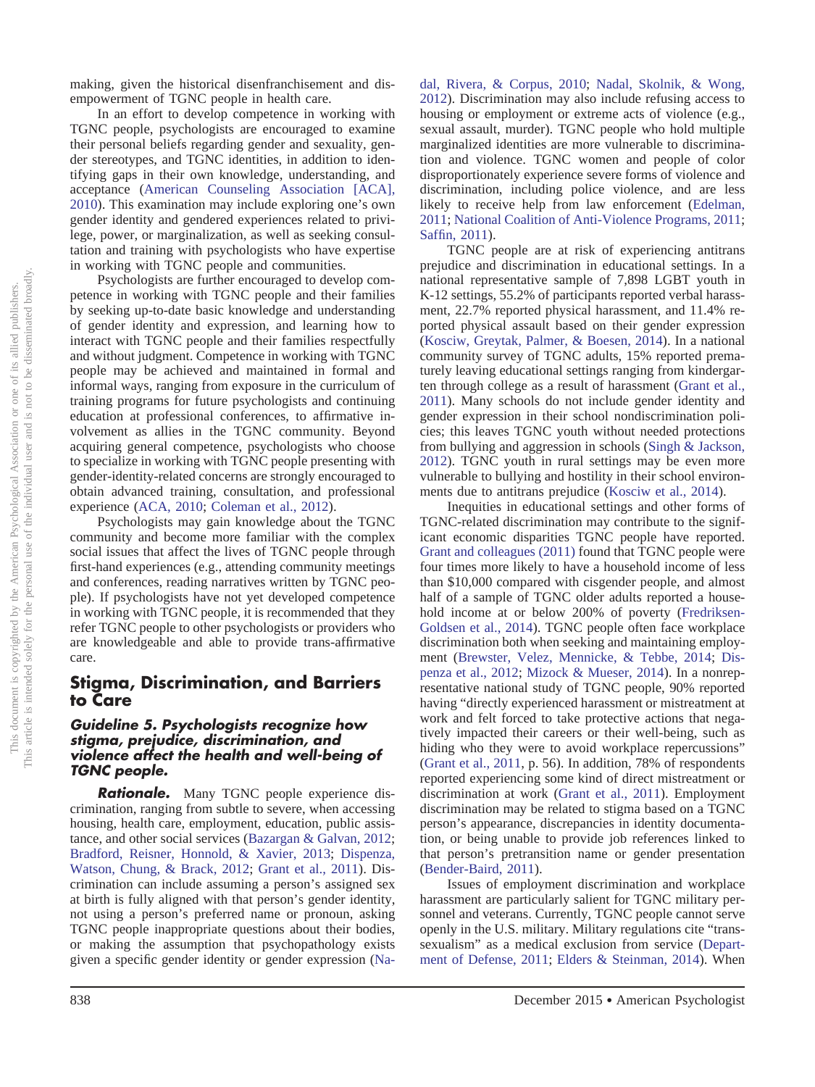making, given the historical disenfranchisement and disempowerment of TGNC people in health care.

In an effort to develop competence in working with TGNC people, psychologists are encouraged to examine their personal beliefs regarding gender and sexuality, gender stereotypes, and TGNC identities, in addition to identifying gaps in their own knowledge, understanding, and acceptance [\(American Counseling Association \[ACA\],](#page-20-5) [2010\)](#page-20-5). This examination may include exploring one's own gender identity and gendered experiences related to privilege, power, or marginalization, as well as seeking consultation and training with psychologists who have expertise in working with TGNC people and communities.

Psychologists are further encouraged to develop competence in working with TGNC people and their families by seeking up-to-date basic knowledge and understanding of gender identity and expression, and learning how to interact with TGNC people and their families respectfully and without judgment. Competence in working with TGNC people may be achieved and maintained in formal and informal ways, ranging from exposure in the curriculum of training programs for future psychologists and continuing education at professional conferences, to affirmative involvement as allies in the TGNC community. Beyond acquiring general competence, psychologists who choose to specialize in working with TGNC people presenting with gender-identity-related concerns are strongly encouraged to obtain advanced training, consultation, and professional experience [\(ACA, 2010;](#page-20-5) [Coleman et al., 2012\)](#page-22-2).

Psychologists may gain knowledge about the TGNC community and become more familiar with the complex social issues that affect the lives of TGNC people through first-hand experiences (e.g., attending community meetings and conferences, reading narratives written by TGNC people). If psychologists have not yet developed competence in working with TGNC people, it is recommended that they refer TGNC people to other psychologists or providers who are knowledgeable and able to provide trans-affirmative care.

## **Stigma, Discrimination, and Barriers to Care**

#### *Guideline 5. Psychologists recognize how stigma, prejudice, discrimination, and violence affect the health and well-being of TGNC people.*

**Rationale.** Many TGNC people experience discrimination, ranging from subtle to severe, when accessing housing, health care, employment, education, public assistance, and other social services [\(Bazargan & Galvan, 2012;](#page-21-20) [Bradford, Reisner, Honnold, & Xavier, 2013;](#page-21-21) [Dispenza,](#page-23-11) [Watson, Chung, & Brack, 2012;](#page-23-11) [Grant et al., 2011\)](#page-24-0). Discrimination can include assuming a person's assigned sex at birth is fully aligned with that person's gender identity, not using a person's preferred name or pronoun, asking TGNC people inappropriate questions about their bodies, or making the assumption that psychopathology exists given a specific gender identity or gender expression [\(Na-](#page-26-11) [dal, Rivera, & Corpus, 2010;](#page-26-11) [Nadal, Skolnik, & Wong,](#page-26-12) [2012\)](#page-26-12). Discrimination may also include refusing access to housing or employment or extreme acts of violence (e.g., sexual assault, murder). TGNC people who hold multiple marginalized identities are more vulnerable to discrimination and violence. TGNC women and people of color disproportionately experience severe forms of violence and discrimination, including police violence, and are less likely to receive help from law enforcement [\(Edelman,](#page-23-12) [2011;](#page-23-12) [National Coalition of Anti-Violence Programs, 2011;](#page-26-13) [Saffin, 2011\)](#page-27-12).

TGNC people are at risk of experiencing antitrans prejudice and discrimination in educational settings. In a national representative sample of 7,898 LGBT youth in K-12 settings, 55.2% of participants reported verbal harassment, 22.7% reported physical harassment, and 11.4% reported physical assault based on their gender expression [\(Kosciw, Greytak, Palmer, & Boesen, 2014\)](#page-25-14). In a national community survey of TGNC adults, 15% reported prematurely leaving educational settings ranging from kindergarten through college as a result of harassment [\(Grant et al.,](#page-24-0) [2011\)](#page-24-0). Many schools do not include gender identity and gender expression in their school nondiscrimination policies; this leaves TGNC youth without needed protections from bullying and aggression in schools [\(Singh & Jackson,](#page-27-13) [2012\)](#page-27-13). TGNC youth in rural settings may be even more vulnerable to bullying and hostility in their school environments due to antitrans prejudice [\(Kosciw et al., 2014\)](#page-25-14).

Inequities in educational settings and other forms of TGNC-related discrimination may contribute to the significant economic disparities TGNC people have reported. [Grant and colleagues \(2011\)](#page-24-0) found that TGNC people were four times more likely to have a household income of less than \$10,000 compared with cisgender people, and almost half of a sample of TGNC older adults reported a household income at or below 200% of poverty [\(Fredriksen-](#page-23-1)[Goldsen et al., 2014\)](#page-23-1). TGNC people often face workplace discrimination both when seeking and maintaining employment [\(Brewster, Velez, Mennicke, & Tebbe, 2014;](#page-21-22) [Dis](#page-23-11)[penza et al., 2012;](#page-23-11) [Mizock & Mueser, 2014\)](#page-26-14). In a nonrepresentative national study of TGNC people, 90% reported having "directly experienced harassment or mistreatment at work and felt forced to take protective actions that negatively impacted their careers or their well-being, such as hiding who they were to avoid workplace repercussions" [\(Grant et al., 2011,](#page-24-0) p. 56). In addition, 78% of respondents reported experiencing some kind of direct mistreatment or discrimination at work [\(Grant et al., 2011\)](#page-24-0). Employment discrimination may be related to stigma based on a TGNC person's appearance, discrepancies in identity documentation, or being unable to provide job references linked to that person's pretransition name or gender presentation [\(Bender-Baird, 2011\)](#page-21-23).

Issues of employment discrimination and workplace harassment are particularly salient for TGNC military personnel and veterans. Currently, TGNC people cannot serve openly in the U.S. military. Military regulations cite "transsexualism" as a medical exclusion from service [\(Depart](#page-22-11)[ment of Defense, 2011;](#page-22-11) [Elders & Steinman, 2014\)](#page-23-13). When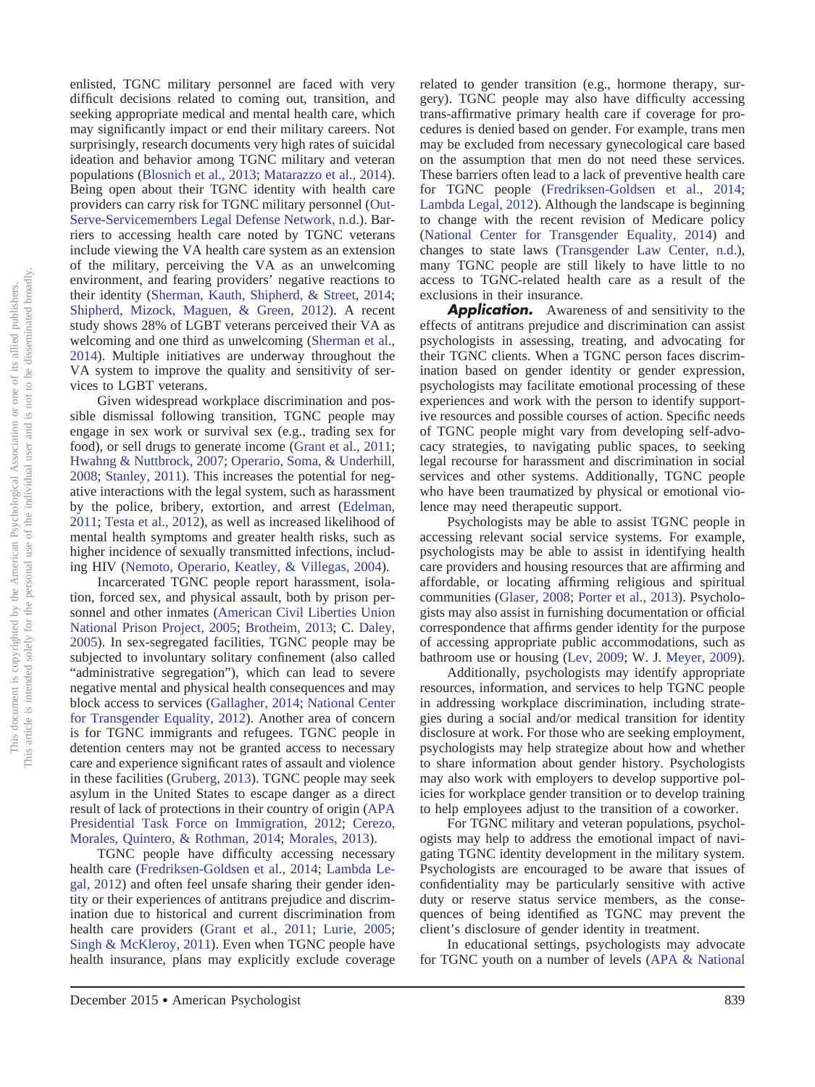enlisted, TGNC military personnel are faced with very difficult decisions related to coming out, transition, and seeking appropriate medical and mental health care, which may significantly impact or end their military careers. Not surprisingly, research documents very high rates of suicidal ideation and behavior among TGNC military and veteran populations [\(Blosnich et al., 2013;](#page-21-24) [Matarazzo et al., 2014\)](#page-25-15). Being open about their TGNC identity with health care providers can carry risk for TGNC military personnel [\(Out-](#page-26-15)[Serve-Servicemembers Legal Defense Network, n.d.\)](#page-26-15). Barriers to accessing health care noted by TGNC veterans include viewing the VA health care system as an extension of the military, perceiving the VA as an unwelcoming environment, and fearing providers' negative reactions to their identity [\(Sherman, Kauth, Shipherd, & Street, 2014;](#page-27-14) [Shipherd, Mizock, Maguen, & Green, 2012\)](#page-27-15). A recent study shows 28% of LGBT veterans perceived their VA as welcoming and one third as unwelcoming [\(Sherman et al.,](#page-27-14) [2014\)](#page-27-14). Multiple initiatives are underway throughout the VA system to improve the quality and sensitivity of services to LGBT veterans.

Given widespread workplace discrimination and possible dismissal following transition, TGNC people may engage in sex work or survival sex (e.g., trading sex for food), or sell drugs to generate income [\(Grant et al., 2011;](#page-24-0) [Hwahng & Nuttbrock, 2007;](#page-24-11) [Operario, Soma, & Underhill,](#page-26-16) [2008;](#page-26-16) [Stanley, 2011\)](#page-27-16). This increases the potential for negative interactions with the legal system, such as harassment by the police, bribery, extortion, and arrest [\(Edelman,](#page-23-12) [2011;](#page-23-12) [Testa et al., 2012\)](#page-27-17), as well as increased likelihood of mental health symptoms and greater health risks, such as higher incidence of sexually transmitted infections, including HIV [\(Nemoto, Operario, Keatley, & Villegas, 2004\)](#page-26-17).

Incarcerated TGNC people report harassment, isolation, forced sex, and physical assault, both by prison personnel and other inmates [\(American Civil Liberties Union](#page-20-6) [National Prison Project, 2005;](#page-20-6) [Brotheim, 2013;](#page-21-25) C. [Daley,](#page-22-12) [2005\)](#page-22-12). In sex-segregated facilities, TGNC people may be subjected to involuntary solitary confinement (also called "administrative segregation"), which can lead to severe negative mental and physical health consequences and may block access to services [\(Gallagher, 2014;](#page-23-14) [National Center](#page-26-18) [for Transgender Equality, 2012\)](#page-26-18). Another area of concern is for TGNC immigrants and refugees. TGNC people in detention centers may not be granted access to necessary care and experience significant rates of assault and violence in these facilities [\(Gruberg, 2013\)](#page-24-12). TGNC people may seek asylum in the United States to escape danger as a direct result of lack of protections in their country of origin [\(APA](#page-20-7) [Presidential Task Force on Immigration, 2012;](#page-20-7) [Cerezo,](#page-22-13) [Morales, Quintero, & Rothman, 2014;](#page-22-13) [Morales, 2013\)](#page-26-19).

TGNC people have difficulty accessing necessary health care [\(Fredriksen-Goldsen et al., 2014;](#page-23-1) [Lambda Le](#page-25-16)[gal, 2012\)](#page-25-16) and often feel unsafe sharing their gender identity or their experiences of antitrans prejudice and discrimination due to historical and current discrimination from health care providers [\(Grant et al., 2011;](#page-24-0) [Lurie, 2005;](#page-25-13) [Singh & McKleroy, 2011\)](#page-27-18). Even when TGNC people have health insurance, plans may explicitly exclude coverage related to gender transition (e.g., hormone therapy, surgery). TGNC people may also have difficulty accessing trans-affirmative primary health care if coverage for procedures is denied based on gender. For example, trans men may be excluded from necessary gynecological care based on the assumption that men do not need these services. These barriers often lead to a lack of preventive health care for TGNC people [\(Fredriksen-Goldsen et al., 2014;](#page-23-1) [Lambda Legal, 2012\)](#page-25-16). Although the landscape is beginning to change with the recent revision of Medicare policy [\(National Center for Transgender Equality, 2014\)](#page-26-20) and changes to state laws [\(Transgender Law Center, n.d.\)](#page-27-19), many TGNC people are still likely to have little to no access to TGNC-related health care as a result of the exclusions in their insurance.

**Application.** Awareness of and sensitivity to the effects of antitrans prejudice and discrimination can assist psychologists in assessing, treating, and advocating for their TGNC clients. When a TGNC person faces discrimination based on gender identity or gender expression, psychologists may facilitate emotional processing of these experiences and work with the person to identify supportive resources and possible courses of action. Specific needs of TGNC people might vary from developing self-advocacy strategies, to navigating public spaces, to seeking legal recourse for harassment and discrimination in social services and other systems. Additionally, TGNC people who have been traumatized by physical or emotional violence may need therapeutic support.

Psychologists may be able to assist TGNC people in accessing relevant social service systems. For example, psychologists may be able to assist in identifying health care providers and housing resources that are affirming and affordable, or locating affirming religious and spiritual communities [\(Glaser, 2008;](#page-23-10) [Porter et al., 2013\)](#page-26-8). Psychologists may also assist in furnishing documentation or official correspondence that affirms gender identity for the purpose of accessing appropriate public accommodations, such as bathroom use or housing [\(Lev, 2009;](#page-25-17) W. J. [Meyer, 2009\)](#page-26-21).

Additionally, psychologists may identify appropriate resources, information, and services to help TGNC people in addressing workplace discrimination, including strategies during a social and/or medical transition for identity disclosure at work. For those who are seeking employment, psychologists may help strategize about how and whether to share information about gender history. Psychologists may also work with employers to develop supportive policies for workplace gender transition or to develop training to help employees adjust to the transition of a coworker.

For TGNC military and veteran populations, psychologists may help to address the emotional impact of navigating TGNC identity development in the military system. Psychologists are encouraged to be aware that issues of confidentiality may be particularly sensitive with active duty or reserve status service members, as the consequences of being identified as TGNC may prevent the client's disclosure of gender identity in treatment.

In educational settings, psychologists may advocate for TGNC youth on a number of levels [\(APA & National](#page-20-8)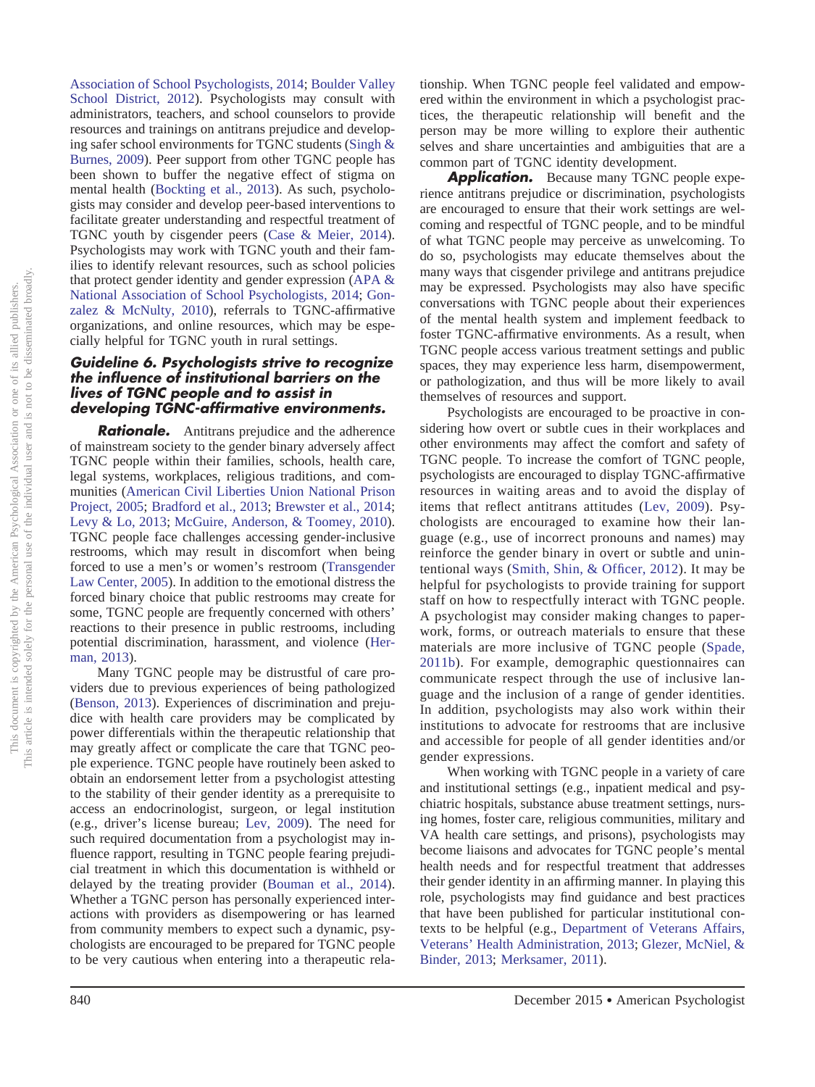[Association of School Psychologists, 2014;](#page-20-8) [Boulder Valley](#page-21-26) [School District, 2012\)](#page-21-26). Psychologists may consult with administrators, teachers, and school counselors to provide resources and trainings on antitrans prejudice and developing safer school environments for TGNC students [\(Singh &](#page-27-9) [Burnes, 2009\)](#page-27-9). Peer support from other TGNC people has been shown to buffer the negative effect of stigma on mental health [\(Bockting et al., 2013\)](#page-21-1). As such, psychologists may consider and develop peer-based interventions to facilitate greater understanding and respectful treatment of TGNC youth by cisgender peers [\(Case & Meier, 2014\)](#page-22-14). Psychologists may work with TGNC youth and their families to identify relevant resources, such as school policies that protect gender identity and gender expression [\(APA &](#page-20-8) [National Association of School Psychologists, 2014;](#page-20-8) [Gon](#page-24-13)[zalez & McNulty, 2010\)](#page-24-13), referrals to TGNC-affirmative organizations, and online resources, which may be especially helpful for TGNC youth in rural settings.

#### *Guideline 6. Psychologists strive to recognize the influence of institutional barriers on the lives of TGNC people and to assist in developing TGNC-affirmative environments.*

*Rationale.* Antitrans prejudice and the adherence of mainstream society to the gender binary adversely affect TGNC people within their families, schools, health care, legal systems, workplaces, religious traditions, and communities [\(American Civil Liberties Union National Prison](#page-20-6) [Project, 2005;](#page-20-6) [Bradford et al., 2013;](#page-21-21) [Brewster et al., 2014;](#page-21-22) [Levy & Lo, 2013;](#page-25-10) [McGuire, Anderson, & Toomey, 2010\)](#page-25-18). TGNC people face challenges accessing gender-inclusive restrooms, which may result in discomfort when being forced to use a men's or women's restroom [\(Transgender](#page-27-20) [Law Center, 2005\)](#page-27-20). In addition to the emotional distress the forced binary choice that public restrooms may create for some, TGNC people are frequently concerned with others' reactions to their presence in public restrooms, including potential discrimination, harassment, and violence [\(Her](#page-24-14)[man, 2013\)](#page-24-14).

Many TGNC people may be distrustful of care providers due to previous experiences of being pathologized [\(Benson, 2013\)](#page-21-27). Experiences of discrimination and prejudice with health care providers may be complicated by power differentials within the therapeutic relationship that may greatly affect or complicate the care that TGNC people experience. TGNC people have routinely been asked to obtain an endorsement letter from a psychologist attesting to the stability of their gender identity as a prerequisite to access an endocrinologist, surgeon, or legal institution (e.g., driver's license bureau; [Lev, 2009\)](#page-25-17). The need for such required documentation from a psychologist may influence rapport, resulting in TGNC people fearing prejudicial treatment in which this documentation is withheld or delayed by the treating provider [\(Bouman et al., 2014\)](#page-21-28). Whether a TGNC person has personally experienced interactions with providers as disempowering or has learned from community members to expect such a dynamic, psychologists are encouraged to be prepared for TGNC people to be very cautious when entering into a therapeutic rela-

tionship. When TGNC people feel validated and empowered within the environment in which a psychologist practices, the therapeutic relationship will benefit and the person may be more willing to explore their authentic selves and share uncertainties and ambiguities that are a common part of TGNC identity development.

**Application.** Because many TGNC people experience antitrans prejudice or discrimination, psychologists are encouraged to ensure that their work settings are welcoming and respectful of TGNC people, and to be mindful of what TGNC people may perceive as unwelcoming. To do so, psychologists may educate themselves about the many ways that cisgender privilege and antitrans prejudice may be expressed. Psychologists may also have specific conversations with TGNC people about their experiences of the mental health system and implement feedback to foster TGNC-affirmative environments. As a result, when TGNC people access various treatment settings and public spaces, they may experience less harm, disempowerment, or pathologization, and thus will be more likely to avail themselves of resources and support.

Psychologists are encouraged to be proactive in considering how overt or subtle cues in their workplaces and other environments may affect the comfort and safety of TGNC people. To increase the comfort of TGNC people, psychologists are encouraged to display TGNC-affirmative resources in waiting areas and to avoid the display of items that reflect antitrans attitudes [\(Lev, 2009\)](#page-25-17). Psychologists are encouraged to examine how their language (e.g., use of incorrect pronouns and names) may reinforce the gender binary in overt or subtle and unintentional ways [\(Smith, Shin, & Officer, 2012\)](#page-27-21). It may be helpful for psychologists to provide training for support staff on how to respectfully interact with TGNC people. A psychologist may consider making changes to paperwork, forms, or outreach materials to ensure that these materials are more inclusive of TGNC people [\(Spade,](#page-27-22) [2011b\)](#page-27-22). For example, demographic questionnaires can communicate respect through the use of inclusive language and the inclusion of a range of gender identities. In addition, psychologists may also work within their institutions to advocate for restrooms that are inclusive and accessible for people of all gender identities and/or gender expressions.

When working with TGNC people in a variety of care and institutional settings (e.g., inpatient medical and psychiatric hospitals, substance abuse treatment settings, nursing homes, foster care, religious communities, military and VA health care settings, and prisons), psychologists may become liaisons and advocates for TGNC people's mental health needs and for respectful treatment that addresses their gender identity in an affirming manner. In playing this role, psychologists may find guidance and best practices that have been published for particular institutional contexts to be helpful (e.g., [Department of Veterans Affairs,](#page-22-15) [Veterans' Health Administration, 2013;](#page-22-15) [Glezer, McNiel, &](#page-24-15) [Binder, 2013;](#page-24-15) [Merksamer, 2011\)](#page-25-19).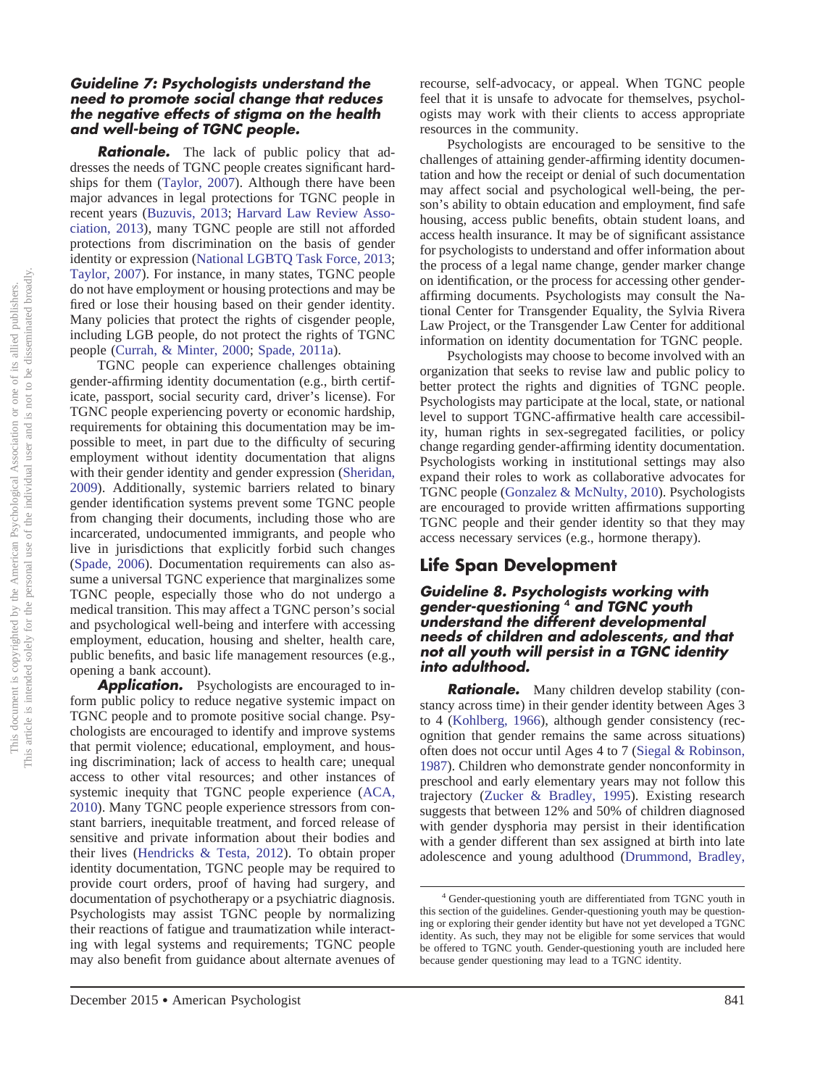#### *Guideline 7: Psychologists understand the need to promote social change that reduces the negative effects of stigma on the health and well-being of TGNC people.*

*Rationale.* The lack of public policy that addresses the needs of TGNC people creates significant hardships for them [\(Taylor, 2007\)](#page-27-23). Although there have been major advances in legal protections for TGNC people in recent years [\(Buzuvis, 2013;](#page-22-16) [Harvard Law Review Asso](#page-24-16)[ciation, 2013\)](#page-24-16), many TGNC people are still not afforded protections from discrimination on the basis of gender identity or expression [\(National LGBTQ Task Force, 2013;](#page-26-22) [Taylor, 2007\)](#page-27-23). For instance, in many states, TGNC people do not have employment or housing protections and may be fired or lose their housing based on their gender identity. Many policies that protect the rights of cisgender people, including LGB people, do not protect the rights of TGNC people [\(Currah, & Minter, 2000;](#page-22-17) [Spade, 2011a\)](#page-27-24).

TGNC people can experience challenges obtaining gender-affirming identity documentation (e.g., birth certificate, passport, social security card, driver's license). For TGNC people experiencing poverty or economic hardship, requirements for obtaining this documentation may be impossible to meet, in part due to the difficulty of securing employment without identity documentation that aligns with their gender identity and gender expression [\(Sheridan,](#page-27-25) [2009\)](#page-27-25). Additionally, systemic barriers related to binary gender identification systems prevent some TGNC people from changing their documents, including those who are incarcerated, undocumented immigrants, and people who live in jurisdictions that explicitly forbid such changes [\(Spade, 2006\)](#page-27-26). Documentation requirements can also assume a universal TGNC experience that marginalizes some TGNC people, especially those who do not undergo a medical transition. This may affect a TGNC person's social and psychological well-being and interfere with accessing employment, education, housing and shelter, health care, public benefits, and basic life management resources (e.g., opening a bank account).

**Application.** Psychologists are encouraged to inform public policy to reduce negative systemic impact on TGNC people and to promote positive social change. Psychologists are encouraged to identify and improve systems that permit violence; educational, employment, and housing discrimination; lack of access to health care; unequal access to other vital resources; and other instances of systemic inequity that TGNC people experience [\(ACA,](#page-20-5) [2010\)](#page-20-5). Many TGNC people experience stressors from constant barriers, inequitable treatment, and forced release of sensitive and private information about their bodies and their lives [\(Hendricks & Testa, 2012\)](#page-24-17). To obtain proper identity documentation, TGNC people may be required to provide court orders, proof of having had surgery, and documentation of psychotherapy or a psychiatric diagnosis. Psychologists may assist TGNC people by normalizing their reactions of fatigue and traumatization while interacting with legal systems and requirements; TGNC people may also benefit from guidance about alternate avenues of

recourse, self-advocacy, or appeal. When TGNC people feel that it is unsafe to advocate for themselves, psychologists may work with their clients to access appropriate resources in the community.

Psychologists are encouraged to be sensitive to the challenges of attaining gender-affirming identity documentation and how the receipt or denial of such documentation may affect social and psychological well-being, the person's ability to obtain education and employment, find safe housing, access public benefits, obtain student loans, and access health insurance. It may be of significant assistance for psychologists to understand and offer information about the process of a legal name change, gender marker change on identification, or the process for accessing other genderaffirming documents. Psychologists may consult the National Center for Transgender Equality, the Sylvia Rivera Law Project, or the Transgender Law Center for additional information on identity documentation for TGNC people.

Psychologists may choose to become involved with an organization that seeks to revise law and public policy to better protect the rights and dignities of TGNC people. Psychologists may participate at the local, state, or national level to support TGNC-affirmative health care accessibility, human rights in sex-segregated facilities, or policy change regarding gender-affirming identity documentation. Psychologists working in institutional settings may also expand their roles to work as collaborative advocates for TGNC people [\(Gonzalez & McNulty, 2010\)](#page-24-13). Psychologists are encouraged to provide written affirmations supporting TGNC people and their gender identity so that they may access necessary services (e.g., hormone therapy).

## **Life Span Development**

#### *Guideline 8. Psychologists working with gender-questioning* **<sup>4</sup>** *and TGNC youth understand the different developmental needs of children and adolescents, and that not all youth will persist in a TGNC identity into adulthood.*

*Rationale.* Many children develop stability (constancy across time) in their gender identity between Ages 3 to 4 [\(Kohlberg, 1966\)](#page-25-5), although gender consistency (recognition that gender remains the same across situations) often does not occur until Ages 4 to 7 [\(Siegal & Robinson,](#page-27-27) [1987\)](#page-27-27). Children who demonstrate gender nonconformity in preschool and early elementary years may not follow this trajectory [\(Zucker & Bradley, 1995\)](#page-28-6). Existing research suggests that between 12% and 50% of children diagnosed with gender dysphoria may persist in their identification with a gender different than sex assigned at birth into late adolescence and young adulthood [\(Drummond, Bradley,](#page-23-15)

<sup>4</sup> Gender-questioning youth are differentiated from TGNC youth in this section of the guidelines. Gender-questioning youth may be questioning or exploring their gender identity but have not yet developed a TGNC identity. As such, they may not be eligible for some services that would be offered to TGNC youth. Gender-questioning youth are included here because gender questioning may lead to a TGNC identity.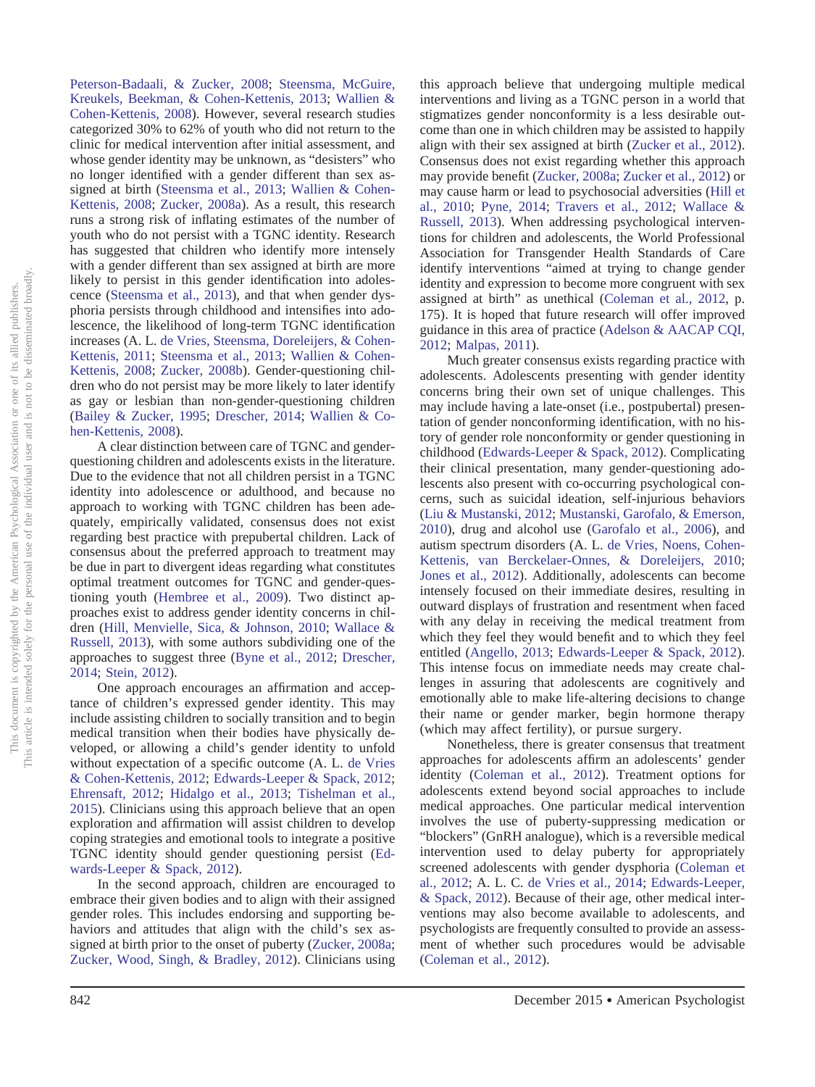[Peterson-Badaali, & Zucker, 2008;](#page-23-15) [Steensma, McGuire,](#page-27-28) [Kreukels, Beekman, & Cohen-Kettenis, 2013;](#page-27-28) [Wallien &](#page-28-7) [Cohen-Kettenis, 2008\)](#page-28-7). However, several research studies categorized 30% to 62% of youth who did not return to the clinic for medical intervention after initial assessment, and whose gender identity may be unknown, as "desisters" who no longer identified with a gender different than sex assigned at birth [\(Steensma et al., 2013;](#page-27-28) [Wallien & Cohen-](#page-28-7)[Kettenis, 2008;](#page-28-7) [Zucker, 2008a\)](#page-28-8). As a result, this research runs a strong risk of inflating estimates of the number of youth who do not persist with a TGNC identity. Research has suggested that children who identify more intensely with a gender different than sex assigned at birth are more likely to persist in this gender identification into adolescence [\(Steensma et al., 2013\)](#page-27-28), and that when gender dysphoria persists through childhood and intensifies into adolescence, the likelihood of long-term TGNC identification increases (A. L. [de Vries, Steensma, Doreleijers, & Cohen-](#page-23-16)[Kettenis, 2011;](#page-23-16) [Steensma et al., 2013;](#page-27-28) [Wallien & Cohen-](#page-28-7)[Kettenis, 2008;](#page-28-7) [Zucker, 2008b\)](#page-28-9). Gender-questioning children who do not persist may be more likely to later identify as gay or lesbian than non-gender-questioning children [\(Bailey & Zucker, 1995;](#page-21-29) [Drescher, 2014;](#page-23-17) [Wallien & Co](#page-28-7)[hen-Kettenis, 2008\)](#page-28-7).

A clear distinction between care of TGNC and genderquestioning children and adolescents exists in the literature. Due to the evidence that not all children persist in a TGNC identity into adolescence or adulthood, and because no approach to working with TGNC children has been adequately, empirically validated, consensus does not exist regarding best practice with prepubertal children. Lack of consensus about the preferred approach to treatment may be due in part to divergent ideas regarding what constitutes optimal treatment outcomes for TGNC and gender-questioning youth [\(Hembree et al., 2009\)](#page-24-3). Two distinct approaches exist to address gender identity concerns in children [\(Hill, Menvielle, Sica, & Johnson, 2010;](#page-24-18) [Wallace &](#page-28-10) [Russell, 2013\)](#page-28-10), with some authors subdividing one of the approaches to suggest three [\(Byne et al., 2012;](#page-22-6) [Drescher,](#page-23-17) [2014;](#page-23-17) [Stein, 2012\)](#page-27-29).

One approach encourages an affirmation and acceptance of children's expressed gender identity. This may include assisting children to socially transition and to begin medical transition when their bodies have physically developed, or allowing a child's gender identity to unfold without expectation of a specific outcome (A. L. [de Vries](#page-23-18) [& Cohen-Kettenis, 2012;](#page-23-18) [Edwards-Leeper & Spack, 2012;](#page-23-19) [Ehrensaft, 2012;](#page-23-20) [Hidalgo et al., 2013;](#page-24-19) [Tishelman et al.,](#page-27-30) [2015\)](#page-27-30). Clinicians using this approach believe that an open exploration and affirmation will assist children to develop coping strategies and emotional tools to integrate a positive TGNC identity should gender questioning persist [\(Ed](#page-23-19)[wards-Leeper & Spack, 2012\)](#page-23-19).

In the second approach, children are encouraged to embrace their given bodies and to align with their assigned gender roles. This includes endorsing and supporting behaviors and attitudes that align with the child's sex assigned at birth prior to the onset of puberty [\(Zucker, 2008a;](#page-28-8) [Zucker, Wood, Singh, & Bradley, 2012\)](#page-28-11). Clinicians using

this approach believe that undergoing multiple medical interventions and living as a TGNC person in a world that stigmatizes gender nonconformity is a less desirable outcome than one in which children may be assisted to happily align with their sex assigned at birth [\(Zucker et al., 2012\)](#page-28-11). Consensus does not exist regarding whether this approach may provide benefit [\(Zucker, 2008a;](#page-28-8) [Zucker et al., 2012\)](#page-28-11) or may cause harm or lead to psychosocial adversities [\(Hill et](#page-24-18) [al., 2010;](#page-24-18) [Pyne, 2014;](#page-26-23) [Travers et al., 2012;](#page-27-31) [Wallace &](#page-28-10) [Russell, 2013\)](#page-28-10). When addressing psychological interventions for children and adolescents, the World Professional Association for Transgender Health Standards of Care identify interventions "aimed at trying to change gender identity and expression to become more congruent with sex assigned at birth" as unethical [\(Coleman et al., 2012,](#page-22-2) p. 175). It is hoped that future research will offer improved guidance in this area of practice [\(Adelson & AACAP CQI,](#page-20-4) [2012;](#page-20-4) [Malpas, 2011\)](#page-25-20).

Much greater consensus exists regarding practice with adolescents. Adolescents presenting with gender identity concerns bring their own set of unique challenges. This may include having a late-onset (i.e., postpubertal) presentation of gender nonconforming identification, with no history of gender role nonconformity or gender questioning in childhood [\(Edwards-Leeper & Spack, 2012\)](#page-23-19). Complicating their clinical presentation, many gender-questioning adolescents also present with co-occurring psychological concerns, such as suicidal ideation, self-injurious behaviors [\(Liu & Mustanski, 2012;](#page-25-21) [Mustanski, Garofalo, & Emerson,](#page-26-24) [2010\)](#page-26-24), drug and alcohol use [\(Garofalo et al., 2006\)](#page-23-2), and autism spectrum disorders (A. L. [de Vries, Noens, Cohen-](#page-23-21)[Kettenis, van Berckelaer-Onnes, & Doreleijers, 2010;](#page-23-21) [Jones et al., 2012\)](#page-25-22). Additionally, adolescents can become intensely focused on their immediate desires, resulting in outward displays of frustration and resentment when faced with any delay in receiving the medical treatment from which they feel they would benefit and to which they feel entitled [\(Angello, 2013;](#page-20-9) [Edwards-Leeper & Spack, 2012\)](#page-23-19). This intense focus on immediate needs may create challenges in assuring that adolescents are cognitively and emotionally able to make life-altering decisions to change their name or gender marker, begin hormone therapy (which may affect fertility), or pursue surgery.

Nonetheless, there is greater consensus that treatment approaches for adolescents affirm an adolescents' gender identity [\(Coleman et al., 2012\)](#page-22-2). Treatment options for adolescents extend beyond social approaches to include medical approaches. One particular medical intervention involves the use of puberty-suppressing medication or "blockers" (GnRH analogue), which is a reversible medical intervention used to delay puberty for appropriately screened adolescents with gender dysphoria [\(Coleman et](#page-22-2) [al., 2012;](#page-22-2) A. L. C. [de Vries et al., 2014;](#page-23-22) [Edwards-Leeper,](#page-23-19) [& Spack, 2012\)](#page-23-19). Because of their age, other medical interventions may also become available to adolescents, and psychologists are frequently consulted to provide an assessment of whether such procedures would be advisable [\(Coleman et al., 2012\)](#page-22-2).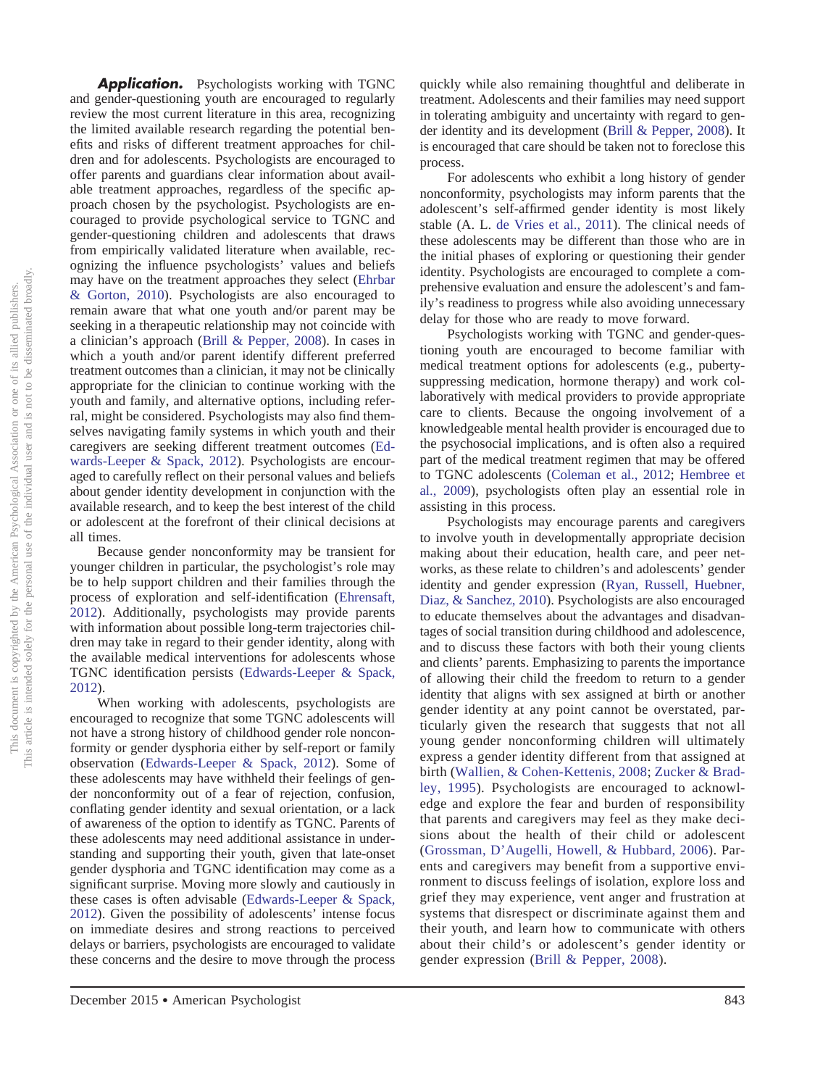*Application.* Psychologists working with TGNC and gender-questioning youth are encouraged to regularly review the most current literature in this area, recognizing the limited available research regarding the potential benefits and risks of different treatment approaches for children and for adolescents. Psychologists are encouraged to offer parents and guardians clear information about available treatment approaches, regardless of the specific approach chosen by the psychologist. Psychologists are encouraged to provide psychological service to TGNC and gender-questioning children and adolescents that draws from empirically validated literature when available, recognizing the influence psychologists' values and beliefs may have on the treatment approaches they select [\(Ehrbar](#page-23-23) [& Gorton, 2010\)](#page-23-23). Psychologists are also encouraged to remain aware that what one youth and/or parent may be seeking in a therapeutic relationship may not coincide with a clinician's approach [\(Brill & Pepper, 2008\)](#page-21-30). In cases in which a youth and/or parent identify different preferred treatment outcomes than a clinician, it may not be clinically appropriate for the clinician to continue working with the youth and family, and alternative options, including referral, might be considered. Psychologists may also find themselves navigating family systems in which youth and their caregivers are seeking different treatment outcomes [\(Ed](#page-23-19)[wards-Leeper & Spack, 2012\)](#page-23-19). Psychologists are encouraged to carefully reflect on their personal values and beliefs about gender identity development in conjunction with the available research, and to keep the best interest of the child or adolescent at the forefront of their clinical decisions at all times.

Because gender nonconformity may be transient for younger children in particular, the psychologist's role may be to help support children and their families through the process of exploration and self-identification [\(Ehrensaft,](#page-23-20) [2012\)](#page-23-20). Additionally, psychologists may provide parents with information about possible long-term trajectories children may take in regard to their gender identity, along with the available medical interventions for adolescents whose TGNC identification persists [\(Edwards-Leeper & Spack,](#page-23-19) [2012\)](#page-23-19).

When working with adolescents, psychologists are encouraged to recognize that some TGNC adolescents will not have a strong history of childhood gender role nonconformity or gender dysphoria either by self-report or family observation [\(Edwards-Leeper & Spack, 2012\)](#page-23-19). Some of these adolescents may have withheld their feelings of gender nonconformity out of a fear of rejection, confusion, conflating gender identity and sexual orientation, or a lack of awareness of the option to identify as TGNC. Parents of these adolescents may need additional assistance in understanding and supporting their youth, given that late-onset gender dysphoria and TGNC identification may come as a significant surprise. Moving more slowly and cautiously in these cases is often advisable [\(Edwards-Leeper & Spack,](#page-23-19) [2012\)](#page-23-19). Given the possibility of adolescents' intense focus on immediate desires and strong reactions to perceived delays or barriers, psychologists are encouraged to validate these concerns and the desire to move through the process quickly while also remaining thoughtful and deliberate in treatment. Adolescents and their families may need support in tolerating ambiguity and uncertainty with regard to gender identity and its development [\(Brill & Pepper, 2008\)](#page-21-30). It is encouraged that care should be taken not to foreclose this process.

For adolescents who exhibit a long history of gender nonconformity, psychologists may inform parents that the adolescent's self-affirmed gender identity is most likely stable (A. L. [de Vries et al., 2011\)](#page-23-16). The clinical needs of these adolescents may be different than those who are in the initial phases of exploring or questioning their gender identity. Psychologists are encouraged to complete a comprehensive evaluation and ensure the adolescent's and family's readiness to progress while also avoiding unnecessary delay for those who are ready to move forward.

Psychologists working with TGNC and gender-questioning youth are encouraged to become familiar with medical treatment options for adolescents (e.g., pubertysuppressing medication, hormone therapy) and work collaboratively with medical providers to provide appropriate care to clients. Because the ongoing involvement of a knowledgeable mental health provider is encouraged due to the psychosocial implications, and is often also a required part of the medical treatment regimen that may be offered to TGNC adolescents [\(Coleman et al., 2012;](#page-22-2) [Hembree et](#page-24-3) [al., 2009\)](#page-24-3), psychologists often play an essential role in assisting in this process.

Psychologists may encourage parents and caregivers to involve youth in developmentally appropriate decision making about their education, health care, and peer networks, as these relate to children's and adolescents' gender identity and gender expression [\(Ryan, Russell, Huebner,](#page-27-32) [Diaz, & Sanchez, 2010\)](#page-27-32). Psychologists are also encouraged to educate themselves about the advantages and disadvantages of social transition during childhood and adolescence, and to discuss these factors with both their young clients and clients' parents. Emphasizing to parents the importance of allowing their child the freedom to return to a gender identity that aligns with sex assigned at birth or another gender identity at any point cannot be overstated, particularly given the research that suggests that not all young gender nonconforming children will ultimately express a gender identity different from that assigned at birth [\(Wallien, & Cohen-Kettenis, 2008;](#page-28-7) [Zucker & Brad](#page-28-6)[ley, 1995\)](#page-28-6). Psychologists are encouraged to acknowledge and explore the fear and burden of responsibility that parents and caregivers may feel as they make decisions about the health of their child or adolescent [\(Grossman, D'Augelli, Howell, & Hubbard, 2006\)](#page-24-20). Parents and caregivers may benefit from a supportive environment to discuss feelings of isolation, explore loss and grief they may experience, vent anger and frustration at systems that disrespect or discriminate against them and their youth, and learn how to communicate with others about their child's or adolescent's gender identity or gender expression [\(Brill & Pepper, 2008\)](#page-21-30).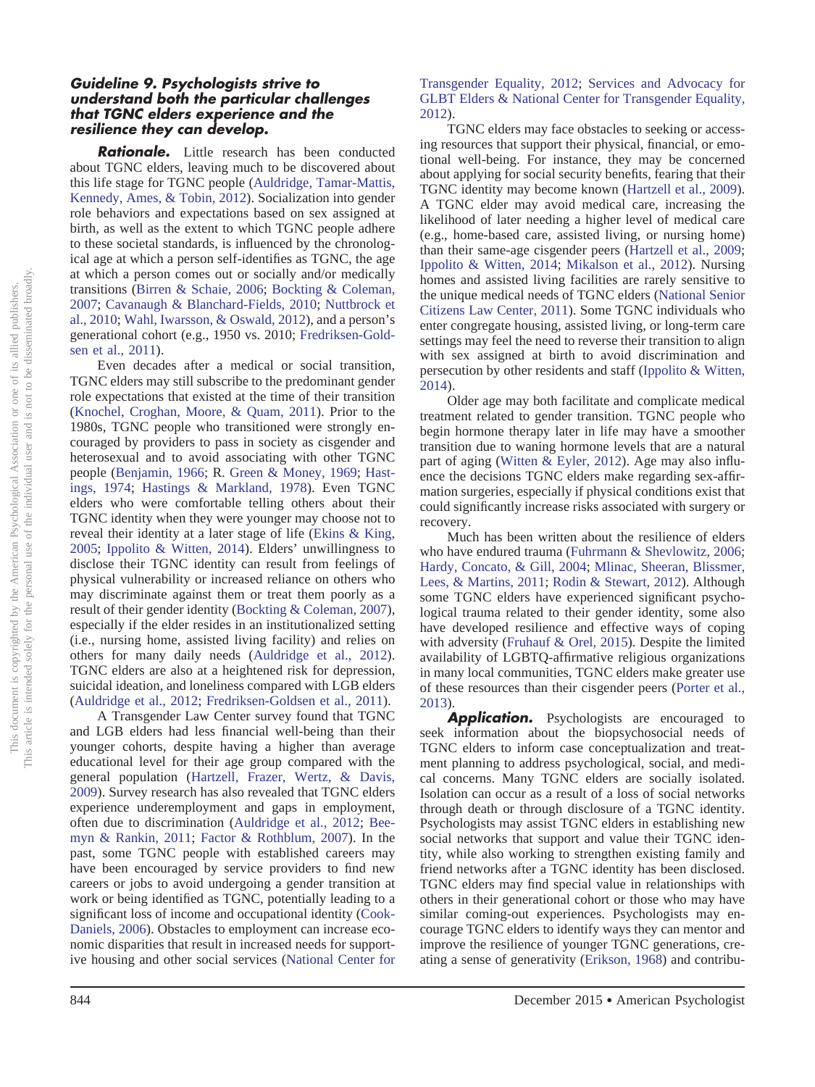#### *Guideline 9. Psychologists strive to understand both the particular challenges that TGNC elders experience and the resilience they can develop.*

*Rationale.* Little research has been conducted about TGNC elders, leaving much to be discovered about this life stage for TGNC people [\(Auldridge, Tamar-Mattis,](#page-21-31) [Kennedy, Ames, & Tobin, 2012\)](#page-21-31). Socialization into gender role behaviors and expectations based on sex assigned at birth, as well as the extent to which TGNC people adhere to these societal standards, is influenced by the chronological age at which a person self-identifies as TGNC, the age at which a person comes out or socially and/or medically transitions [\(Birren & Schaie, 2006;](#page-21-32) [Bockting & Coleman,](#page-21-9) [2007;](#page-21-9) [Cavanaugh & Blanchard-Fields, 2010;](#page-22-18) [Nuttbrock et](#page-26-25) [al., 2010;](#page-26-25) [Wahl, Iwarsson, & Oswald, 2012\)](#page-27-33), and a person's generational cohort (e.g., 1950 vs. 2010; [Fredriksen-Gold](#page-23-24)[sen et al., 2011\)](#page-23-24).

Even decades after a medical or social transition, TGNC elders may still subscribe to the predominant gender role expectations that existed at the time of their transition [\(Knochel, Croghan, Moore, & Quam, 2011\)](#page-25-23). Prior to the 1980s, TGNC people who transitioned were strongly encouraged by providers to pass in society as cisgender and heterosexual and to avoid associating with other TGNC people [\(Benjamin, 1966;](#page-21-5) R. [Green & Money, 1969;](#page-24-21) [Hast](#page-24-8)[ings, 1974;](#page-24-8) [Hastings & Markland, 1978\)](#page-24-22). Even TGNC elders who were comfortable telling others about their TGNC identity when they were younger may choose not to reveal their identity at a later stage of life [\(Ekins & King,](#page-23-25) [2005;](#page-23-25) [Ippolito & Witten, 2014\)](#page-25-24). Elders' unwillingness to disclose their TGNC identity can result from feelings of physical vulnerability or increased reliance on others who may discriminate against them or treat them poorly as a result of their gender identity [\(Bockting & Coleman, 2007\)](#page-21-9), especially if the elder resides in an institutionalized setting (i.e., nursing home, assisted living facility) and relies on others for many daily needs [\(Auldridge et al., 2012\)](#page-21-31). TGNC elders are also at a heightened risk for depression, suicidal ideation, and loneliness compared with LGB elders [\(Auldridge et al., 2012;](#page-21-31) [Fredriksen-Goldsen et al., 2011\)](#page-23-24).

A Transgender Law Center survey found that TGNC and LGB elders had less financial well-being than their younger cohorts, despite having a higher than average educational level for their age group compared with the general population [\(Hartzell, Frazer, Wertz, & Davis,](#page-24-23) [2009\)](#page-24-23). Survey research has also revealed that TGNC elders experience underemployment and gaps in employment, often due to discrimination [\(Auldridge et al., 2012;](#page-21-31) [Bee](#page-21-33)[myn & Rankin, 2011;](#page-21-33) [Factor & Rothblum, 2007\)](#page-23-26). In the past, some TGNC people with established careers may have been encouraged by service providers to find new careers or jobs to avoid undergoing a gender transition at work or being identified as TGNC, potentially leading to a significant loss of income and occupational identity [\(Cook-](#page-22-19)[Daniels, 2006\)](#page-22-19). Obstacles to employment can increase economic disparities that result in increased needs for supportive housing and other social services [\(National Center for](#page-26-18)

[Transgender Equality, 2012;](#page-26-18) [Services and Advocacy for](#page-27-34) [GLBT Elders & National Center for Transgender Equality,](#page-27-34) [2012\)](#page-27-34).

TGNC elders may face obstacles to seeking or accessing resources that support their physical, financial, or emotional well-being. For instance, they may be concerned about applying for social security benefits, fearing that their TGNC identity may become known [\(Hartzell et al., 2009\)](#page-24-23). A TGNC elder may avoid medical care, increasing the likelihood of later needing a higher level of medical care (e.g., home-based care, assisted living, or nursing home) than their same-age cisgender peers [\(Hartzell et al., 2009;](#page-24-23) [Ippolito & Witten, 2014;](#page-25-24) [Mikalson et al., 2012\)](#page-26-1). Nursing homes and assisted living facilities are rarely sensitive to the unique medical needs of TGNC elders [\(National Senior](#page-26-26) [Citizens Law Center, 2011\)](#page-26-26). Some TGNC individuals who enter congregate housing, assisted living, or long-term care settings may feel the need to reverse their transition to align with sex assigned at birth to avoid discrimination and persecution by other residents and staff [\(Ippolito & Witten,](#page-25-24) [2014\)](#page-25-24).

Older age may both facilitate and complicate medical treatment related to gender transition. TGNC people who begin hormone therapy later in life may have a smoother transition due to waning hormone levels that are a natural part of aging [\(Witten & Eyler, 2012\)](#page-28-12). Age may also influence the decisions TGNC elders make regarding sex-affirmation surgeries, especially if physical conditions exist that could significantly increase risks associated with surgery or recovery.

Much has been written about the resilience of elders who have endured trauma [\(Fuhrmann & Shevlowitz, 2006;](#page-23-27) [Hardy, Concato, & Gill, 2004;](#page-24-24) [Mlinac, Sheeran, Blissmer,](#page-26-27) [Lees, & Martins, 2011;](#page-26-27) [Rodin & Stewart, 2012\)](#page-26-28). Although some TGNC elders have experienced significant psychological trauma related to their gender identity, some also have developed resilience and effective ways of coping with adversity [\(Fruhauf & Orel, 2015\)](#page-23-28). Despite the limited availability of LGBTQ-affirmative religious organizations in many local communities, TGNC elders make greater use of these resources than their cisgender peers [\(Porter et al.,](#page-26-8) [2013\)](#page-26-8).

**Application.** Psychologists are encouraged to seek information about the biopsychosocial needs of TGNC elders to inform case conceptualization and treatment planning to address psychological, social, and medical concerns. Many TGNC elders are socially isolated. Isolation can occur as a result of a loss of social networks through death or through disclosure of a TGNC identity. Psychologists may assist TGNC elders in establishing new social networks that support and value their TGNC identity, while also working to strengthen existing family and friend networks after a TGNC identity has been disclosed. TGNC elders may find special value in relationships with others in their generational cohort or those who may have similar coming-out experiences. Psychologists may encourage TGNC elders to identify ways they can mentor and improve the resilience of younger TGNC generations, creating a sense of generativity [\(Erikson, 1968\)](#page-23-29) and contribu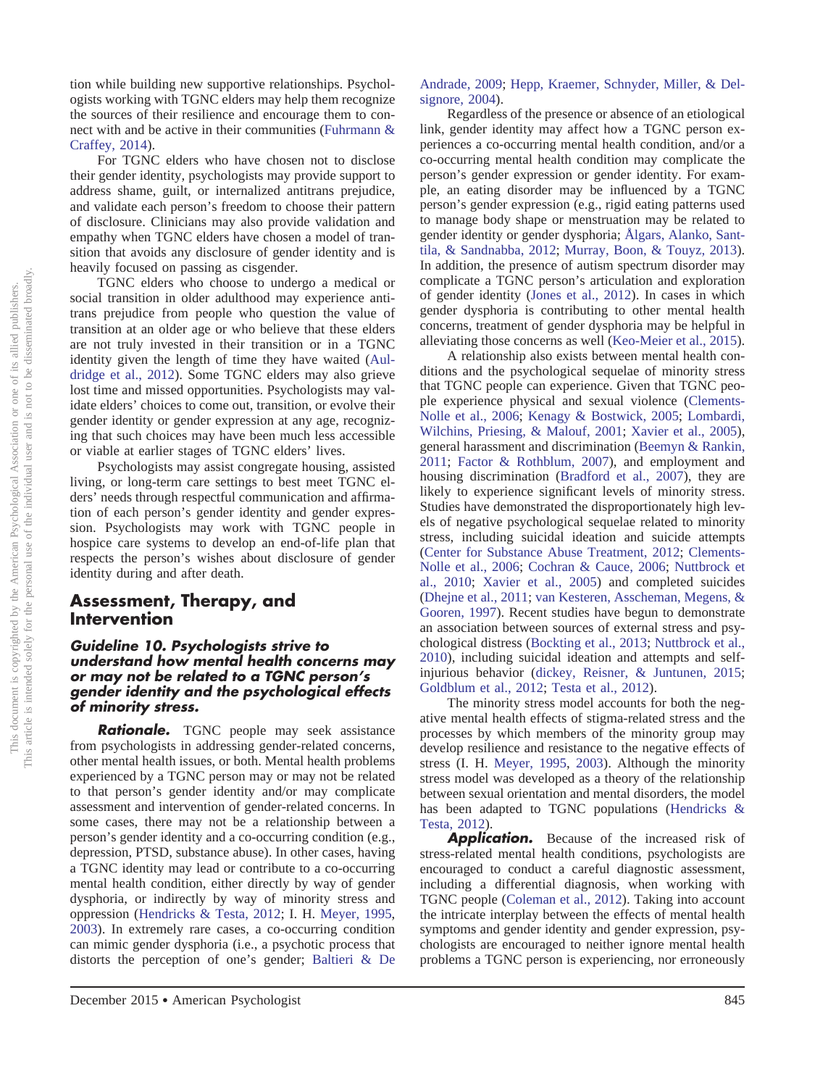tion while building new supportive relationships. Psychologists working with TGNC elders may help them recognize the sources of their resilience and encourage them to connect with and be active in their communities [\(Fuhrmann &](#page-23-30) [Craffey, 2014\)](#page-23-30).

For TGNC elders who have chosen not to disclose their gender identity, psychologists may provide support to address shame, guilt, or internalized antitrans prejudice, and validate each person's freedom to choose their pattern of disclosure. Clinicians may also provide validation and empathy when TGNC elders have chosen a model of transition that avoids any disclosure of gender identity and is heavily focused on passing as cisgender.

TGNC elders who choose to undergo a medical or social transition in older adulthood may experience antitrans prejudice from people who question the value of transition at an older age or who believe that these elders are not truly invested in their transition or in a TGNC identity given the length of time they have waited [\(Aul](#page-21-31)[dridge et al., 2012\)](#page-21-31). Some TGNC elders may also grieve lost time and missed opportunities. Psychologists may validate elders' choices to come out, transition, or evolve their gender identity or gender expression at any age, recognizing that such choices may have been much less accessible or viable at earlier stages of TGNC elders' lives.

Psychologists may assist congregate housing, assisted living, or long-term care settings to best meet TGNC elders' needs through respectful communication and affirmation of each person's gender identity and gender expression. Psychologists may work with TGNC people in hospice care systems to develop an end-of-life plan that respects the person's wishes about disclosure of gender identity during and after death.

## **Assessment, Therapy, and Intervention**

#### *Guideline 10. Psychologists strive to understand how mental health concerns may or may not be related to a TGNC person's gender identity and the psychological effects of minority stress.*

**Rationale.** TGNC people may seek assistance from psychologists in addressing gender-related concerns, other mental health issues, or both. Mental health problems experienced by a TGNC person may or may not be related to that person's gender identity and/or may complicate assessment and intervention of gender-related concerns. In some cases, there may not be a relationship between a person's gender identity and a co-occurring condition (e.g., depression, PTSD, substance abuse). In other cases, having a TGNC identity may lead or contribute to a co-occurring mental health condition, either directly by way of gender dysphoria, or indirectly by way of minority stress and oppression [\(Hendricks & Testa, 2012;](#page-24-17) I. H. [Meyer, 1995,](#page-25-25) [2003\)](#page-26-29). In extremely rare cases, a co-occurring condition can mimic gender dysphoria (i.e., a psychotic process that distorts the perception of one's gender; [Baltieri & De](#page-21-34)

#### [Andrade, 2009;](#page-21-34) [Hepp, Kraemer, Schnyder, Miller, & Del](#page-24-25)[signore, 2004\)](#page-24-25).

Regardless of the presence or absence of an etiological link, gender identity may affect how a TGNC person experiences a co-occurring mental health condition, and/or a co-occurring mental health condition may complicate the person's gender expression or gender identity. For example, an eating disorder may be influenced by a TGNC person's gender expression (e.g., rigid eating patterns used to manage body shape or menstruation may be related to gender identity or gender dysphoria; [Ålgars, Alanko, Sant](#page-20-10)[tila, & Sandnabba, 2012;](#page-20-10) [Murray, Boon, & Touyz, 2013\)](#page-26-30). In addition, the presence of autism spectrum disorder may complicate a TGNC person's articulation and exploration of gender identity [\(Jones et al., 2012\)](#page-25-22). In cases in which gender dysphoria is contributing to other mental health concerns, treatment of gender dysphoria may be helpful in alleviating those concerns as well [\(Keo-Meier et al., 2015\)](#page-25-26).

A relationship also exists between mental health conditions and the psychological sequelae of minority stress that TGNC people can experience. Given that TGNC people experience physical and sexual violence [\(Clements-](#page-22-3)[Nolle et al., 2006;](#page-22-3) [Kenagy & Bostwick, 2005;](#page-25-27) [Lombardi,](#page-25-28) [Wilchins, Priesing, & Malouf, 2001;](#page-25-28) [Xavier et al., 2005\)](#page-28-5), general harassment and discrimination [\(Beemyn & Rankin,](#page-21-33) [2011;](#page-21-33) [Factor & Rothblum, 2007\)](#page-23-26), and employment and housing discrimination [\(Bradford et al., 2007\)](#page-21-18), they are likely to experience significant levels of minority stress. Studies have demonstrated the disproportionately high levels of negative psychological sequelae related to minority stress, including suicidal ideation and suicide attempts [\(Center for Substance Abuse Treatment, 2012;](#page-22-20) [Clements-](#page-22-3)[Nolle et al., 2006;](#page-22-3) [Cochran & Cauce, 2006;](#page-22-21) [Nuttbrock et](#page-26-25) [al., 2010;](#page-26-25) [Xavier et al., 2005\)](#page-28-5) and completed suicides [\(Dhejne et al., 2011;](#page-23-4) [van Kesteren, Asscheman, Megens, &](#page-27-35) [Gooren, 1997\)](#page-27-35). Recent studies have begun to demonstrate an association between sources of external stress and psychological distress [\(Bockting et al., 2013;](#page-21-1) [Nuttbrock et al.,](#page-26-25) [2010\)](#page-26-25), including suicidal ideation and attempts and selfinjurious behavior [\(dickey, Reisner, & Juntunen, 2015;](#page-23-31) [Goldblum et al., 2012;](#page-24-26) [Testa et al., 2012\)](#page-27-17).

The minority stress model accounts for both the negative mental health effects of stigma-related stress and the processes by which members of the minority group may develop resilience and resistance to the negative effects of stress (I. H. [Meyer, 1995,](#page-25-25) [2003\)](#page-26-29). Although the minority stress model was developed as a theory of the relationship between sexual orientation and mental disorders, the model has been adapted to TGNC populations [\(Hendricks &](#page-24-17) [Testa, 2012\)](#page-24-17).

*Application.* Because of the increased risk of stress-related mental health conditions, psychologists are encouraged to conduct a careful diagnostic assessment, including a differential diagnosis, when working with TGNC people [\(Coleman et al., 2012\)](#page-22-2). Taking into account the intricate interplay between the effects of mental health symptoms and gender identity and gender expression, psychologists are encouraged to neither ignore mental health problems a TGNC person is experiencing, nor erroneously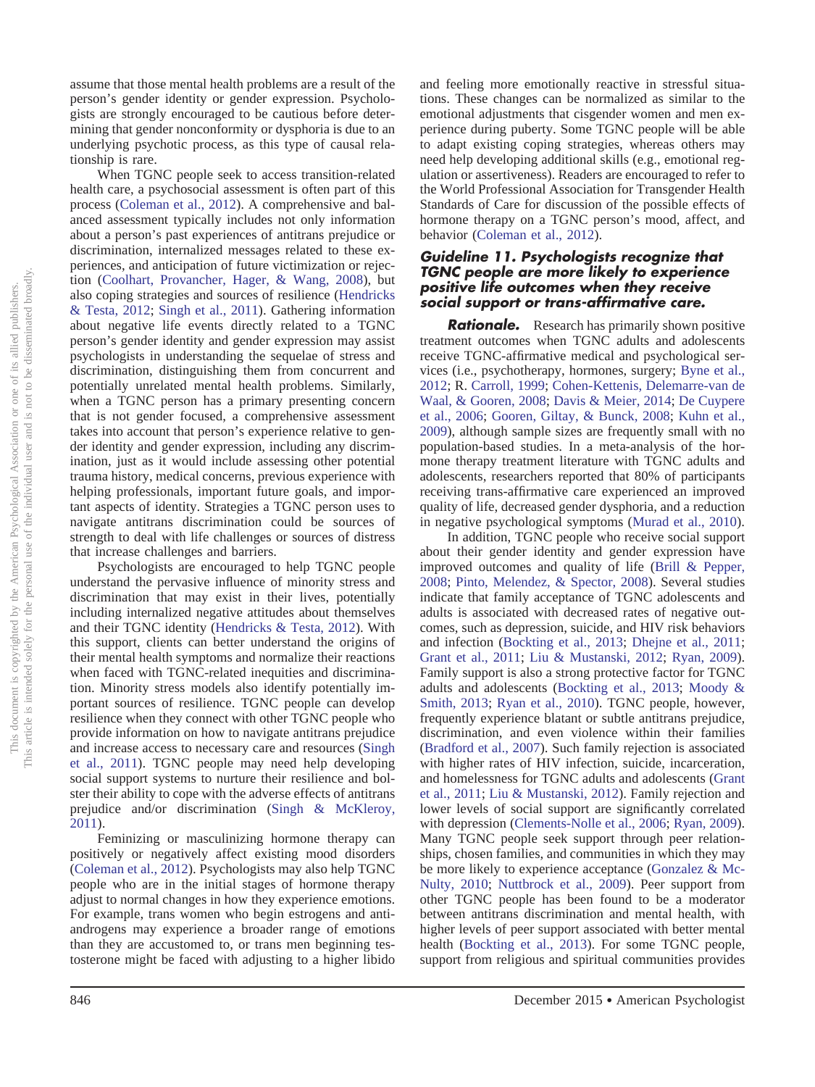assume that those mental health problems are a result of the person's gender identity or gender expression. Psychologists are strongly encouraged to be cautious before determining that gender nonconformity or dysphoria is due to an underlying psychotic process, as this type of causal relationship is rare.

When TGNC people seek to access transition-related health care, a psychosocial assessment is often part of this process [\(Coleman et al., 2012\)](#page-22-2). A comprehensive and balanced assessment typically includes not only information about a person's past experiences of antitrans prejudice or discrimination, internalized messages related to these experiences, and anticipation of future victimization or rejection [\(Coolhart, Provancher, Hager, & Wang, 2008\)](#page-22-22), but also coping strategies and sources of resilience [\(Hendricks](#page-24-17) [& Testa, 2012;](#page-24-17) [Singh et al., 2011\)](#page-27-3). Gathering information about negative life events directly related to a TGNC person's gender identity and gender expression may assist psychologists in understanding the sequelae of stress and discrimination, distinguishing them from concurrent and potentially unrelated mental health problems. Similarly, when a TGNC person has a primary presenting concern that is not gender focused, a comprehensive assessment takes into account that person's experience relative to gender identity and gender expression, including any discrimination, just as it would include assessing other potential trauma history, medical concerns, previous experience with helping professionals, important future goals, and important aspects of identity. Strategies a TGNC person uses to navigate antitrans discrimination could be sources of strength to deal with life challenges or sources of distress that increase challenges and barriers.

Psychologists are encouraged to help TGNC people understand the pervasive influence of minority stress and discrimination that may exist in their lives, potentially including internalized negative attitudes about themselves and their TGNC identity [\(Hendricks & Testa, 2012\)](#page-24-17). With this support, clients can better understand the origins of their mental health symptoms and normalize their reactions when faced with TGNC-related inequities and discrimination. Minority stress models also identify potentially important sources of resilience. TGNC people can develop resilience when they connect with other TGNC people who provide information on how to navigate antitrans prejudice and increase access to necessary care and resources [\(Singh](#page-27-3) [et al., 2011\)](#page-27-3). TGNC people may need help developing social support systems to nurture their resilience and bolster their ability to cope with the adverse effects of antitrans prejudice and/or discrimination [\(Singh & McKleroy,](#page-27-18) [2011\)](#page-27-18).

Feminizing or masculinizing hormone therapy can positively or negatively affect existing mood disorders [\(Coleman et al., 2012\)](#page-22-2). Psychologists may also help TGNC people who are in the initial stages of hormone therapy adjust to normal changes in how they experience emotions. For example, trans women who begin estrogens and antiandrogens may experience a broader range of emotions than they are accustomed to, or trans men beginning testosterone might be faced with adjusting to a higher libido

and feeling more emotionally reactive in stressful situations. These changes can be normalized as similar to the emotional adjustments that cisgender women and men experience during puberty. Some TGNC people will be able to adapt existing coping strategies, whereas others may need help developing additional skills (e.g., emotional regulation or assertiveness). Readers are encouraged to refer to the World Professional Association for Transgender Health Standards of Care for discussion of the possible effects of hormone therapy on a TGNC person's mood, affect, and behavior [\(Coleman et al., 2012\)](#page-22-2).

#### *Guideline 11. Psychologists recognize that TGNC people are more likely to experience positive life outcomes when they receive social support or trans-affirmative care.*

*Rationale.* Research has primarily shown positive treatment outcomes when TGNC adults and adolescents receive TGNC-affirmative medical and psychological services (i.e., psychotherapy, hormones, surgery; [Byne et al.,](#page-22-6) [2012;](#page-22-6) R. [Carroll, 1999;](#page-22-23) [Cohen-Kettenis, Delemarre-van de](#page-22-24) [Waal, & Gooren, 2008;](#page-22-24) [Davis & Meier, 2014;](#page-22-25) [De Cuypere](#page-22-26) [et al., 2006;](#page-22-26) [Gooren, Giltay, & Bunck, 2008;](#page-24-27) [Kuhn et al.,](#page-25-29) [2009\)](#page-25-29), although sample sizes are frequently small with no population-based studies. In a meta-analysis of the hormone therapy treatment literature with TGNC adults and adolescents, researchers reported that 80% of participants receiving trans-affirmative care experienced an improved quality of life, decreased gender dysphoria, and a reduction in negative psychological symptoms [\(Murad et al., 2010\)](#page-26-31).

In addition, TGNC people who receive social support about their gender identity and gender expression have improved outcomes and quality of life [\(Brill & Pepper,](#page-21-30) [2008;](#page-21-30) [Pinto, Melendez, & Spector, 2008\)](#page-26-32). Several studies indicate that family acceptance of TGNC adolescents and adults is associated with decreased rates of negative outcomes, such as depression, suicide, and HIV risk behaviors and infection [\(Bockting et al., 2013;](#page-21-1) [Dhejne et al., 2011;](#page-23-4) [Grant et al., 2011;](#page-24-0) [Liu & Mustanski, 2012;](#page-25-21) [Ryan, 2009\)](#page-26-7). Family support is also a strong protective factor for TGNC adults and adolescents [\(Bockting et al., 2013;](#page-21-1) [Moody &](#page-26-33) [Smith, 2013;](#page-26-33) [Ryan et al., 2010\)](#page-27-32). TGNC people, however, frequently experience blatant or subtle antitrans prejudice, discrimination, and even violence within their families [\(Bradford et al., 2007\)](#page-21-18). Such family rejection is associated with higher rates of HIV infection, suicide, incarceration, and homelessness for TGNC adults and adolescents [\(Grant](#page-24-0) [et al., 2011;](#page-24-0) [Liu & Mustanski, 2012\)](#page-25-21). Family rejection and lower levels of social support are significantly correlated with depression [\(Clements-Nolle et al., 2006;](#page-22-3) [Ryan, 2009\)](#page-26-7). Many TGNC people seek support through peer relationships, chosen families, and communities in which they may be more likely to experience acceptance [\(Gonzalez & Mc-](#page-24-13)[Nulty, 2010;](#page-24-13) [Nuttbrock et al., 2009\)](#page-26-34). Peer support from other TGNC people has been found to be a moderator between antitrans discrimination and mental health, with higher levels of peer support associated with better mental health [\(Bockting et al., 2013\)](#page-21-1). For some TGNC people, support from religious and spiritual communities provides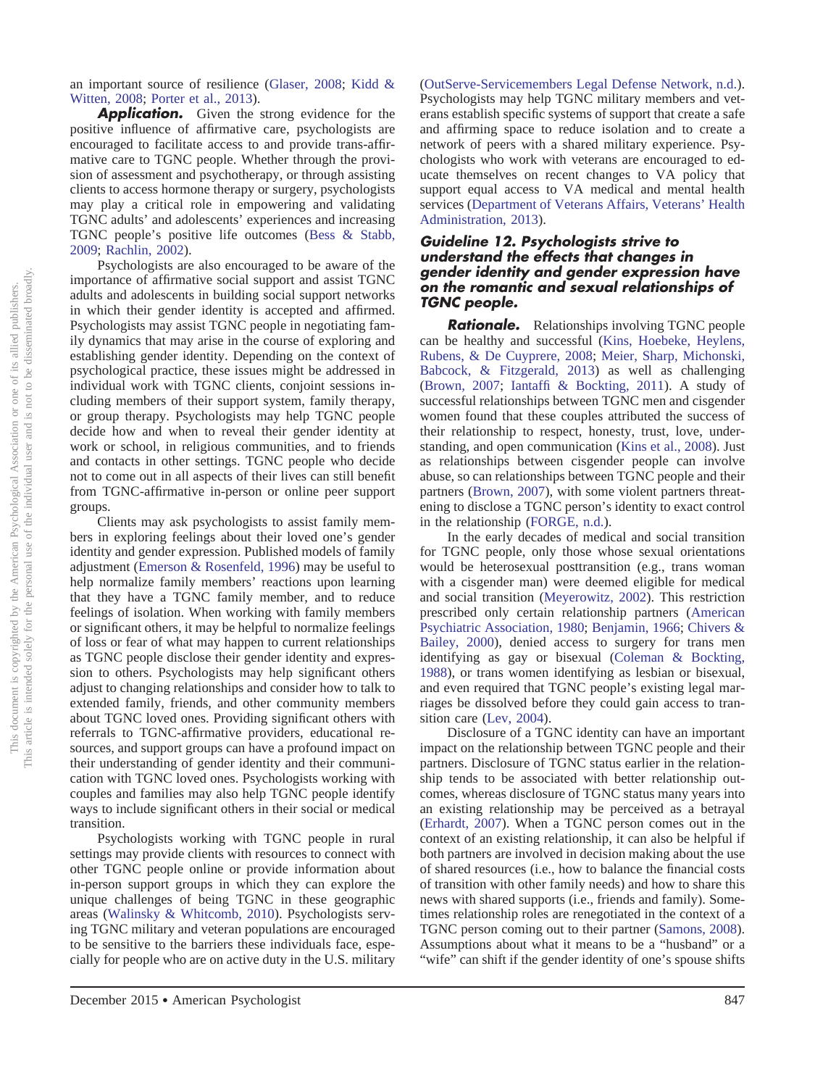**Application.** Given the strong evidence for the positive influence of affirmative care, psychologists are encouraged to facilitate access to and provide trans-affirmative care to TGNC people. Whether through the provision of assessment and psychotherapy, or through assisting clients to access hormone therapy or surgery, psychologists may play a critical role in empowering and validating TGNC adults' and adolescents' experiences and increasing TGNC people's positive life outcomes [\(Bess & Stabb,](#page-21-17) [2009;](#page-21-17) [Rachlin, 2002\)](#page-26-10).

Psychologists are also encouraged to be aware of the importance of affirmative social support and assist TGNC adults and adolescents in building social support networks in which their gender identity is accepted and affirmed. Psychologists may assist TGNC people in negotiating family dynamics that may arise in the course of exploring and establishing gender identity. Depending on the context of psychological practice, these issues might be addressed in individual work with TGNC clients, conjoint sessions including members of their support system, family therapy, or group therapy. Psychologists may help TGNC people decide how and when to reveal their gender identity at work or school, in religious communities, and to friends and contacts in other settings. TGNC people who decide not to come out in all aspects of their lives can still benefit from TGNC-affirmative in-person or online peer support groups.

Clients may ask psychologists to assist family members in exploring feelings about their loved one's gender identity and gender expression. Published models of family adjustment [\(Emerson & Rosenfeld, 1996\)](#page-23-32) may be useful to help normalize family members' reactions upon learning that they have a TGNC family member, and to reduce feelings of isolation. When working with family members or significant others, it may be helpful to normalize feelings of loss or fear of what may happen to current relationships as TGNC people disclose their gender identity and expression to others. Psychologists may help significant others adjust to changing relationships and consider how to talk to extended family, friends, and other community members about TGNC loved ones. Providing significant others with referrals to TGNC-affirmative providers, educational resources, and support groups can have a profound impact on their understanding of gender identity and their communication with TGNC loved ones. Psychologists working with couples and families may also help TGNC people identify ways to include significant others in their social or medical transition.

Psychologists working with TGNC people in rural settings may provide clients with resources to connect with other TGNC people online or provide information about in-person support groups in which they can explore the unique challenges of being TGNC in these geographic areas [\(Walinsky & Whitcomb, 2010\)](#page-28-13). Psychologists serving TGNC military and veteran populations are encouraged to be sensitive to the barriers these individuals face, especially for people who are on active duty in the U.S. military

[\(OutServe-Servicemembers Legal Defense Network, n.d.\)](#page-26-15). Psychologists may help TGNC military members and veterans establish specific systems of support that create a safe and affirming space to reduce isolation and to create a network of peers with a shared military experience. Psychologists who work with veterans are encouraged to educate themselves on recent changes to VA policy that support equal access to VA medical and mental health services [\(Department of Veterans Affairs, Veterans' Health](#page-22-15) [Administration, 2013\)](#page-22-15).

#### *Guideline 12. Psychologists strive to understand the effects that changes in gender identity and gender expression have on the romantic and sexual relationships of TGNC people.*

*Rationale.* Relationships involving TGNC people can be healthy and successful [\(Kins, Hoebeke, Heylens,](#page-25-30) [Rubens, & De Cuyprere, 2008;](#page-25-30) [Meier, Sharp, Michonski,](#page-25-31) [Babcock, & Fitzgerald, 2013\)](#page-25-31) as well as challenging [\(Brown, 2007;](#page-21-35) [Iantaffi & Bockting, 2011\)](#page-24-28). A study of successful relationships between TGNC men and cisgender women found that these couples attributed the success of their relationship to respect, honesty, trust, love, understanding, and open communication [\(Kins et al., 2008\)](#page-25-30). Just as relationships between cisgender people can involve abuse, so can relationships between TGNC people and their partners [\(Brown, 2007\)](#page-21-35), with some violent partners threatening to disclose a TGNC person's identity to exact control in the relationship [\(FORGE, n.d.\)](#page-23-33).

In the early decades of medical and social transition for TGNC people, only those whose sexual orientations would be heterosexual posttransition (e.g., trans woman with a cisgender man) were deemed eligible for medical and social transition [\(Meyerowitz, 2002\)](#page-26-6). This restriction prescribed only certain relationship partners [\(American](#page-20-11) [Psychiatric Association, 1980;](#page-20-11) [Benjamin, 1966;](#page-21-5) [Chivers &](#page-22-27) [Bailey, 2000\)](#page-22-27), denied access to surgery for trans men identifying as gay or bisexual [\(Coleman & Bockting,](#page-22-28) [1988\)](#page-22-28), or trans women identifying as lesbian or bisexual, and even required that TGNC people's existing legal marriages be dissolved before they could gain access to transition care [\(Lev, 2004\)](#page-25-2).

Disclosure of a TGNC identity can have an important impact on the relationship between TGNC people and their partners. Disclosure of TGNC status earlier in the relationship tends to be associated with better relationship outcomes, whereas disclosure of TGNC status many years into an existing relationship may be perceived as a betrayal [\(Erhardt, 2007\)](#page-23-34). When a TGNC person comes out in the context of an existing relationship, it can also be helpful if both partners are involved in decision making about the use of shared resources (i.e., how to balance the financial costs of transition with other family needs) and how to share this news with shared supports (i.e., friends and family). Sometimes relationship roles are renegotiated in the context of a TGNC person coming out to their partner [\(Samons, 2008\)](#page-27-8). Assumptions about what it means to be a "husband" or a "wife" can shift if the gender identity of one's spouse shifts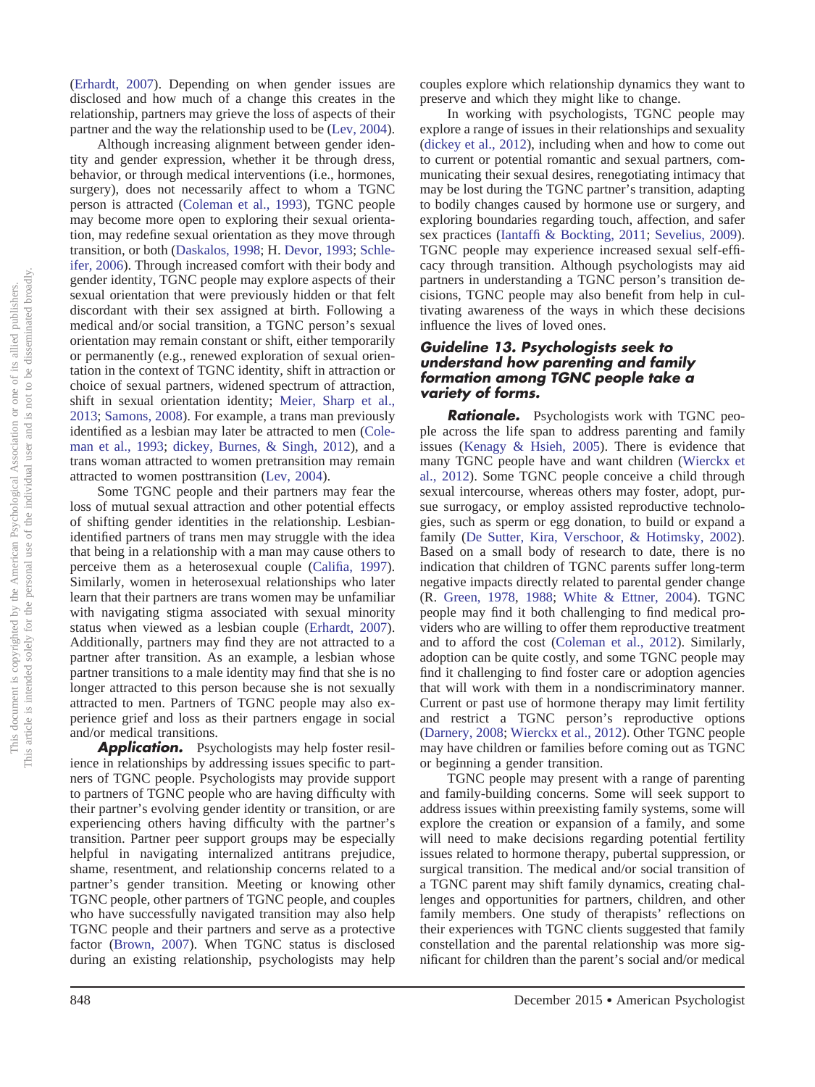[\(Erhardt, 2007\)](#page-23-34). Depending on when gender issues are disclosed and how much of a change this creates in the relationship, partners may grieve the loss of aspects of their partner and the way the relationship used to be [\(Lev, 2004\)](#page-25-2).

Although increasing alignment between gender identity and gender expression, whether it be through dress, behavior, or through medical interventions (i.e., hormones, surgery), does not necessarily affect to whom a TGNC person is attracted [\(Coleman et al., 1993\)](#page-22-7), TGNC people may become more open to exploring their sexual orientation, may redefine sexual orientation as they move through transition, or both [\(Daskalos, 1998;](#page-22-29) H. [Devor, 1993;](#page-23-8) [Schle](#page-27-7)[ifer, 2006\)](#page-27-7). Through increased comfort with their body and gender identity, TGNC people may explore aspects of their sexual orientation that were previously hidden or that felt discordant with their sex assigned at birth. Following a medical and/or social transition, a TGNC person's sexual orientation may remain constant or shift, either temporarily or permanently (e.g., renewed exploration of sexual orientation in the context of TGNC identity, shift in attraction or choice of sexual partners, widened spectrum of attraction, shift in sexual orientation identity; [Meier, Sharp et al.,](#page-25-31) [2013;](#page-25-31) [Samons, 2008\)](#page-27-8). For example, a trans man previously identified as a lesbian may later be attracted to men [\(Cole](#page-22-7)[man et al., 1993;](#page-22-7) [dickey, Burnes, & Singh, 2012\)](#page-23-35), and a trans woman attracted to women pretransition may remain attracted to women posttransition [\(Lev, 2004\)](#page-25-2).

Some TGNC people and their partners may fear the loss of mutual sexual attraction and other potential effects of shifting gender identities in the relationship. Lesbianidentified partners of trans men may struggle with the idea that being in a relationship with a man may cause others to perceive them as a heterosexual couple [\(Califia, 1997\)](#page-22-30). Similarly, women in heterosexual relationships who later learn that their partners are trans women may be unfamiliar with navigating stigma associated with sexual minority status when viewed as a lesbian couple [\(Erhardt, 2007\)](#page-23-34). Additionally, partners may find they are not attracted to a partner after transition. As an example, a lesbian whose partner transitions to a male identity may find that she is no longer attracted to this person because she is not sexually attracted to men. Partners of TGNC people may also experience grief and loss as their partners engage in social and/or medical transitions.

**Application.** Psychologists may help foster resilience in relationships by addressing issues specific to partners of TGNC people. Psychologists may provide support to partners of TGNC people who are having difficulty with their partner's evolving gender identity or transition, or are experiencing others having difficulty with the partner's transition. Partner peer support groups may be especially helpful in navigating internalized antitrans prejudice, shame, resentment, and relationship concerns related to a partner's gender transition. Meeting or knowing other TGNC people, other partners of TGNC people, and couples who have successfully navigated transition may also help TGNC people and their partners and serve as a protective factor [\(Brown, 2007\)](#page-21-35). When TGNC status is disclosed during an existing relationship, psychologists may help couples explore which relationship dynamics they want to preserve and which they might like to change.

In working with psychologists, TGNC people may explore a range of issues in their relationships and sexuality [\(dickey et al., 2012\)](#page-23-35), including when and how to come out to current or potential romantic and sexual partners, communicating their sexual desires, renegotiating intimacy that may be lost during the TGNC partner's transition, adapting to bodily changes caused by hormone use or surgery, and exploring boundaries regarding touch, affection, and safer sex practices [\(Iantaffi & Bockting, 2011;](#page-24-28) [Sevelius, 2009\)](#page-27-36). TGNC people may experience increased sexual self-efficacy through transition. Although psychologists may aid partners in understanding a TGNC person's transition decisions, TGNC people may also benefit from help in cultivating awareness of the ways in which these decisions influence the lives of loved ones.

#### *Guideline 13. Psychologists seek to understand how parenting and family formation among TGNC people take a variety of forms.*

*Rationale.* Psychologists work with TGNC people across the life span to address parenting and family issues [\(Kenagy & Hsieh, 2005\)](#page-25-32). There is evidence that many TGNC people have and want children [\(Wierckx et](#page-28-14) [al., 2012\)](#page-28-14). Some TGNC people conceive a child through sexual intercourse, whereas others may foster, adopt, pursue surrogacy, or employ assisted reproductive technologies, such as sperm or egg donation, to build or expand a family [\(De Sutter, Kira, Verschoor, & Hotimsky, 2002\)](#page-22-31). Based on a small body of research to date, there is no indication that children of TGNC parents suffer long-term negative impacts directly related to parental gender change (R. [Green, 1978,](#page-24-29) [1988;](#page-24-30) [White & Ettner, 2004\)](#page-28-15). TGNC people may find it both challenging to find medical providers who are willing to offer them reproductive treatment and to afford the cost [\(Coleman et al., 2012\)](#page-22-2). Similarly, adoption can be quite costly, and some TGNC people may find it challenging to find foster care or adoption agencies that will work with them in a nondiscriminatory manner. Current or past use of hormone therapy may limit fertility and restrict a TGNC person's reproductive options [\(Darnery, 2008;](#page-22-32) [Wierckx et al., 2012\)](#page-28-14). Other TGNC people may have children or families before coming out as TGNC or beginning a gender transition.

TGNC people may present with a range of parenting and family-building concerns. Some will seek support to address issues within preexisting family systems, some will explore the creation or expansion of a family, and some will need to make decisions regarding potential fertility issues related to hormone therapy, pubertal suppression, or surgical transition. The medical and/or social transition of a TGNC parent may shift family dynamics, creating challenges and opportunities for partners, children, and other family members. One study of therapists' reflections on their experiences with TGNC clients suggested that family constellation and the parental relationship was more significant for children than the parent's social and/or medical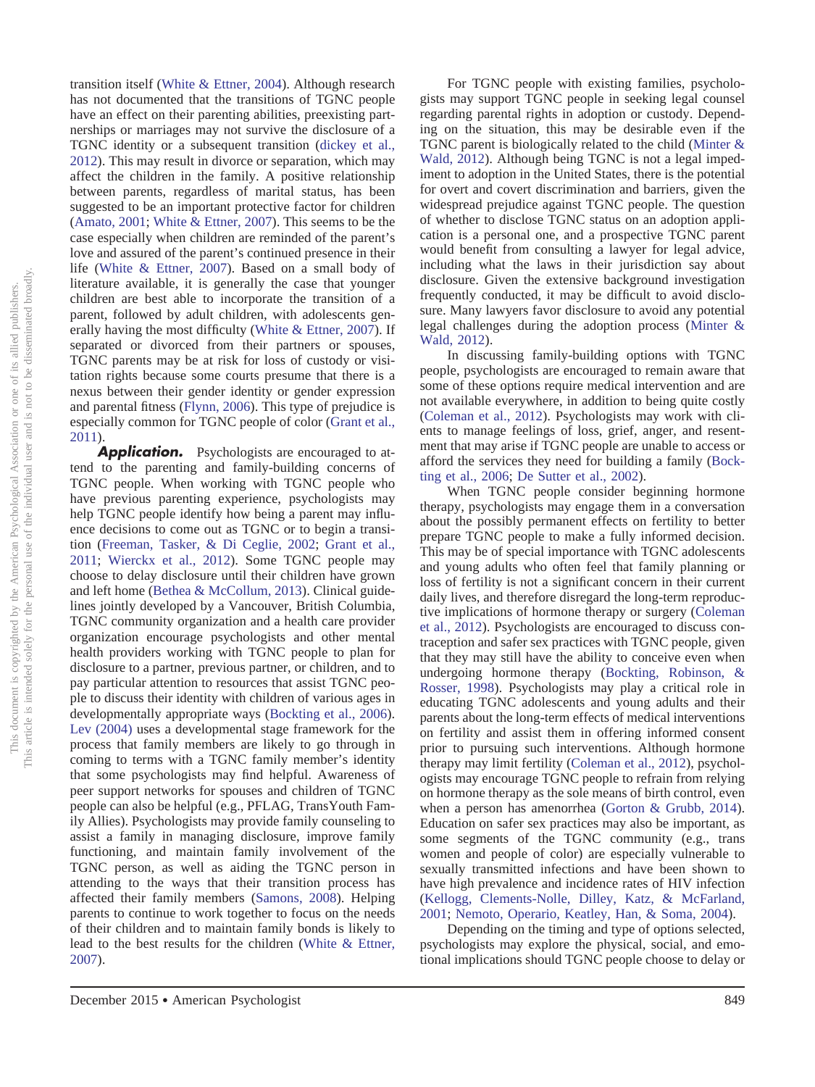transition itself [\(White & Ettner, 2004\)](#page-28-15). Although research has not documented that the transitions of TGNC people have an effect on their parenting abilities, preexisting partnerships or marriages may not survive the disclosure of a TGNC identity or a subsequent transition [\(dickey et al.,](#page-23-35) [2012\)](#page-23-35). This may result in divorce or separation, which may affect the children in the family. A positive relationship between parents, regardless of marital status, has been suggested to be an important protective factor for children [\(Amato, 2001;](#page-20-12) [White & Ettner, 2007\)](#page-28-16). This seems to be the case especially when children are reminded of the parent's love and assured of the parent's continued presence in their life [\(White & Ettner, 2007\)](#page-28-16). Based on a small body of literature available, it is generally the case that younger children are best able to incorporate the transition of a parent, followed by adult children, with adolescents generally having the most difficulty [\(White & Ettner, 2007\)](#page-28-16). If separated or divorced from their partners or spouses, TGNC parents may be at risk for loss of custody or visitation rights because some courts presume that there is a nexus between their gender identity or gender expression and parental fitness [\(Flynn, 2006\)](#page-23-36). This type of prejudice is especially common for TGNC people of color [\(Grant et al.,](#page-24-0) [2011\)](#page-24-0).

**Application.** Psychologists are encouraged to attend to the parenting and family-building concerns of TGNC people. When working with TGNC people who have previous parenting experience, psychologists may help TGNC people identify how being a parent may influence decisions to come out as TGNC or to begin a transition [\(Freeman, Tasker, & Di Ceglie, 2002;](#page-23-37) [Grant et al.,](#page-24-0) [2011;](#page-24-0) [Wierckx et al., 2012\)](#page-28-14). Some TGNC people may choose to delay disclosure until their children have grown and left home [\(Bethea & McCollum, 2013\)](#page-21-4). Clinical guidelines jointly developed by a Vancouver, British Columbia, TGNC community organization and a health care provider organization encourage psychologists and other mental health providers working with TGNC people to plan for disclosure to a partner, previous partner, or children, and to pay particular attention to resources that assist TGNC people to discuss their identity with children of various ages in developmentally appropriate ways [\(Bockting et al., 2006\)](#page-21-0). [Lev \(2004\)](#page-25-2) uses a developmental stage framework for the process that family members are likely to go through in coming to terms with a TGNC family member's identity that some psychologists may find helpful. Awareness of peer support networks for spouses and children of TGNC people can also be helpful (e.g., PFLAG, TransYouth Family Allies). Psychologists may provide family counseling to assist a family in managing disclosure, improve family functioning, and maintain family involvement of the TGNC person, as well as aiding the TGNC person in attending to the ways that their transition process has affected their family members [\(Samons, 2008\)](#page-27-8). Helping parents to continue to work together to focus on the needs of their children and to maintain family bonds is likely to lead to the best results for the children [\(White & Ettner,](#page-28-16) [2007\)](#page-28-16).

For TGNC people with existing families, psychologists may support TGNC people in seeking legal counsel regarding parental rights in adoption or custody. Depending on the situation, this may be desirable even if the TGNC parent is biologically related to the child [\(Minter &](#page-26-35) [Wald, 2012\)](#page-26-35). Although being TGNC is not a legal impediment to adoption in the United States, there is the potential for overt and covert discrimination and barriers, given the widespread prejudice against TGNC people. The question of whether to disclose TGNC status on an adoption application is a personal one, and a prospective TGNC parent would benefit from consulting a lawyer for legal advice, including what the laws in their jurisdiction say about disclosure. Given the extensive background investigation frequently conducted, it may be difficult to avoid disclosure. Many lawyers favor disclosure to avoid any potential legal challenges during the adoption process [\(Minter &](#page-26-35) [Wald, 2012\)](#page-26-35).

In discussing family-building options with TGNC people, psychologists are encouraged to remain aware that some of these options require medical intervention and are not available everywhere, in addition to being quite costly [\(Coleman et al., 2012\)](#page-22-2). Psychologists may work with clients to manage feelings of loss, grief, anger, and resentment that may arise if TGNC people are unable to access or afford the services they need for building a family [\(Bock](#page-21-0)[ting et al., 2006;](#page-21-0) [De Sutter et al., 2002\)](#page-22-31).

When TGNC people consider beginning hormone therapy, psychologists may engage them in a conversation about the possibly permanent effects on fertility to better prepare TGNC people to make a fully informed decision. This may be of special importance with TGNC adolescents and young adults who often feel that family planning or loss of fertility is not a significant concern in their current daily lives, and therefore disregard the long-term reproductive implications of hormone therapy or surgery [\(Coleman](#page-22-2) [et al., 2012\)](#page-22-2). Psychologists are encouraged to discuss contraception and safer sex practices with TGNC people, given that they may still have the ability to conceive even when undergoing hormone therapy [\(Bockting, Robinson, &](#page-21-36) [Rosser, 1998\)](#page-21-36). Psychologists may play a critical role in educating TGNC adolescents and young adults and their parents about the long-term effects of medical interventions on fertility and assist them in offering informed consent prior to pursuing such interventions. Although hormone therapy may limit fertility [\(Coleman et al., 2012\)](#page-22-2), psychologists may encourage TGNC people to refrain from relying on hormone therapy as the sole means of birth control, even when a person has amenorrhea [\(Gorton & Grubb, 2014\)](#page-24-31). Education on safer sex practices may also be important, as some segments of the TGNC community (e.g., trans women and people of color) are especially vulnerable to sexually transmitted infections and have been shown to have high prevalence and incidence rates of HIV infection [\(Kellogg, Clements-Nolle, Dilley, Katz, & McFarland,](#page-25-33) [2001;](#page-25-33) [Nemoto, Operario, Keatley, Han, & Soma, 2004\)](#page-26-36).

Depending on the timing and type of options selected, psychologists may explore the physical, social, and emotional implications should TGNC people choose to delay or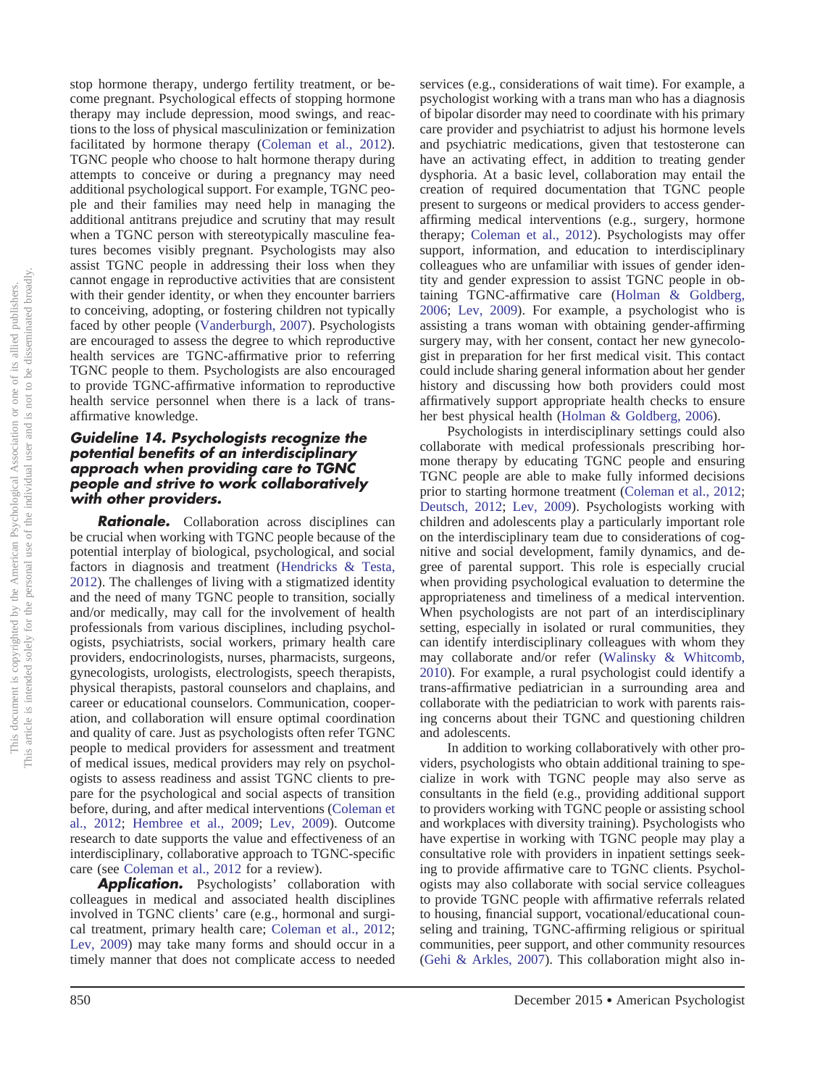stop hormone therapy, undergo fertility treatment, or become pregnant. Psychological effects of stopping hormone therapy may include depression, mood swings, and reactions to the loss of physical masculinization or feminization facilitated by hormone therapy [\(Coleman et al., 2012\)](#page-22-2). TGNC people who choose to halt hormone therapy during attempts to conceive or during a pregnancy may need additional psychological support. For example, TGNC people and their families may need help in managing the additional antitrans prejudice and scrutiny that may result when a TGNC person with stereotypically masculine features becomes visibly pregnant. Psychologists may also assist TGNC people in addressing their loss when they cannot engage in reproductive activities that are consistent with their gender identity, or when they encounter barriers to conceiving, adopting, or fostering children not typically faced by other people [\(Vanderburgh, 2007\)](#page-27-6). Psychologists are encouraged to assess the degree to which reproductive health services are TGNC-affirmative prior to referring TGNC people to them. Psychologists are also encouraged to provide TGNC-affirmative information to reproductive health service personnel when there is a lack of transaffirmative knowledge.

#### *Guideline 14. Psychologists recognize the potential benefits of an interdisciplinary approach when providing care to TGNC people and strive to work collaboratively with other providers.*

*Rationale.* Collaboration across disciplines can be crucial when working with TGNC people because of the potential interplay of biological, psychological, and social factors in diagnosis and treatment [\(Hendricks & Testa,](#page-24-17) [2012\)](#page-24-17). The challenges of living with a stigmatized identity and the need of many TGNC people to transition, socially and/or medically, may call for the involvement of health professionals from various disciplines, including psychologists, psychiatrists, social workers, primary health care providers, endocrinologists, nurses, pharmacists, surgeons, gynecologists, urologists, electrologists, speech therapists, physical therapists, pastoral counselors and chaplains, and career or educational counselors. Communication, cooperation, and collaboration will ensure optimal coordination and quality of care. Just as psychologists often refer TGNC people to medical providers for assessment and treatment of medical issues, medical providers may rely on psychologists to assess readiness and assist TGNC clients to prepare for the psychological and social aspects of transition before, during, and after medical interventions [\(Coleman et](#page-22-2) [al., 2012;](#page-22-2) [Hembree et al., 2009;](#page-24-3) [Lev, 2009\)](#page-25-17). Outcome research to date supports the value and effectiveness of an interdisciplinary, collaborative approach to TGNC-specific care (see [Coleman et al., 2012](#page-22-2) for a review).

Application. Psychologists' collaboration with colleagues in medical and associated health disciplines involved in TGNC clients' care (e.g., hormonal and surgical treatment, primary health care; [Coleman et al., 2012;](#page-22-2) [Lev, 2009\)](#page-25-17) may take many forms and should occur in a timely manner that does not complicate access to needed

services (e.g., considerations of wait time). For example, a psychologist working with a trans man who has a diagnosis of bipolar disorder may need to coordinate with his primary care provider and psychiatrist to adjust his hormone levels and psychiatric medications, given that testosterone can have an activating effect, in addition to treating gender dysphoria. At a basic level, collaboration may entail the creation of required documentation that TGNC people present to surgeons or medical providers to access genderaffirming medical interventions (e.g., surgery, hormone therapy; [Coleman et al., 2012\)](#page-22-2). Psychologists may offer support, information, and education to interdisciplinary colleagues who are unfamiliar with issues of gender identity and gender expression to assist TGNC people in obtaining TGNC-affirmative care [\(Holman & Goldberg,](#page-24-32) [2006;](#page-24-32) [Lev, 2009\)](#page-25-17). For example, a psychologist who is assisting a trans woman with obtaining gender-affirming surgery may, with her consent, contact her new gynecologist in preparation for her first medical visit. This contact could include sharing general information about her gender history and discussing how both providers could most affirmatively support appropriate health checks to ensure her best physical health [\(Holman & Goldberg, 2006\)](#page-24-32).

Psychologists in interdisciplinary settings could also collaborate with medical professionals prescribing hormone therapy by educating TGNC people and ensuring TGNC people are able to make fully informed decisions prior to starting hormone treatment [\(Coleman et al., 2012;](#page-22-2) [Deutsch, 2012;](#page-22-33) [Lev, 2009\)](#page-25-17). Psychologists working with children and adolescents play a particularly important role on the interdisciplinary team due to considerations of cognitive and social development, family dynamics, and degree of parental support. This role is especially crucial when providing psychological evaluation to determine the appropriateness and timeliness of a medical intervention. When psychologists are not part of an interdisciplinary setting, especially in isolated or rural communities, they can identify interdisciplinary colleagues with whom they may collaborate and/or refer [\(Walinsky & Whitcomb,](#page-28-13) [2010\)](#page-28-13). For example, a rural psychologist could identify a trans-affirmative pediatrician in a surrounding area and collaborate with the pediatrician to work with parents raising concerns about their TGNC and questioning children and adolescents.

In addition to working collaboratively with other providers, psychologists who obtain additional training to specialize in work with TGNC people may also serve as consultants in the field (e.g., providing additional support to providers working with TGNC people or assisting school and workplaces with diversity training). Psychologists who have expertise in working with TGNC people may play a consultative role with providers in inpatient settings seeking to provide affirmative care to TGNC clients. Psychologists may also collaborate with social service colleagues to provide TGNC people with affirmative referrals related to housing, financial support, vocational/educational counseling and training, TGNC-affirming religious or spiritual communities, peer support, and other community resources [\(Gehi & Arkles, 2007\)](#page-23-38). This collaboration might also in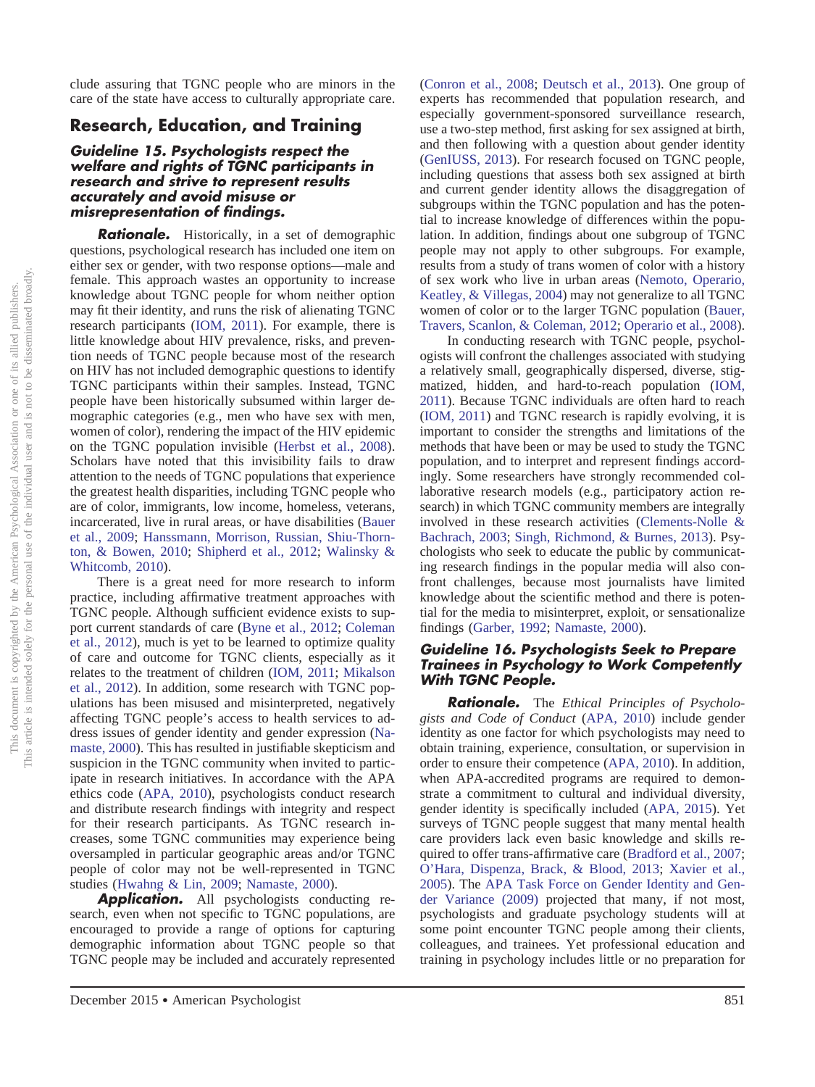clude assuring that TGNC people who are minors in the care of the state have access to culturally appropriate care.

## **Research, Education, and Training**

#### *Guideline 15. Psychologists respect the welfare and rights of TGNC participants in research and strive to represent results accurately and avoid misuse or misrepresentation of findings.*

*Rationale.* Historically, in a set of demographic questions, psychological research has included one item on either sex or gender, with two response options—male and female. This approach wastes an opportunity to increase knowledge about TGNC people for whom neither option may fit their identity, and runs the risk of alienating TGNC research participants [\(IOM, 2011\)](#page-24-4). For example, there is little knowledge about HIV prevalence, risks, and prevention needs of TGNC people because most of the research on HIV has not included demographic questions to identify TGNC participants within their samples. Instead, TGNC people have been historically subsumed within larger demographic categories (e.g., men who have sex with men, women of color), rendering the impact of the HIV epidemic on the TGNC population invisible [\(Herbst et al., 2008\)](#page-24-33). Scholars have noted that this invisibility fails to draw attention to the needs of TGNC populations that experience the greatest health disparities, including TGNC people who are of color, immigrants, low income, homeless, veterans, incarcerated, live in rural areas, or have disabilities [\(Bauer](#page-21-37) [et al., 2009;](#page-21-37) [Hanssmann, Morrison, Russian, Shiu-Thorn](#page-24-34)[ton, & Bowen, 2010;](#page-24-34) [Shipherd et al., 2012;](#page-27-15) [Walinsky &](#page-28-13) [Whitcomb, 2010\)](#page-28-13).

There is a great need for more research to inform practice, including affirmative treatment approaches with TGNC people. Although sufficient evidence exists to support current standards of care [\(Byne et al., 2012;](#page-22-6) [Coleman](#page-22-2) [et al., 2012\)](#page-22-2), much is yet to be learned to optimize quality of care and outcome for TGNC clients, especially as it relates to the treatment of children [\(IOM, 2011;](#page-24-4) [Mikalson](#page-26-1) [et al., 2012\)](#page-26-1). In addition, some research with TGNC populations has been misused and misinterpreted, negatively affecting TGNC people's access to health services to address issues of gender identity and gender expression [\(Na](#page-26-37)[maste, 2000\)](#page-26-37). This has resulted in justifiable skepticism and suspicion in the TGNC community when invited to participate in research initiatives. In accordance with the APA ethics code [\(APA, 2010\)](#page-20-2), psychologists conduct research and distribute research findings with integrity and respect for their research participants. As TGNC research increases, some TGNC communities may experience being oversampled in particular geographic areas and/or TGNC people of color may not be well-represented in TGNC studies [\(Hwahng & Lin, 2009;](#page-24-35) [Namaste, 2000\)](#page-26-37).

**Application.** All psychologists conducting research, even when not specific to TGNC populations, are encouraged to provide a range of options for capturing demographic information about TGNC people so that TGNC people may be included and accurately represented

[\(Conron et al., 2008;](#page-22-4) [Deutsch et al., 2013\)](#page-22-34). One group of experts has recommended that population research, and especially government-sponsored surveillance research, use a two-step method, first asking for sex assigned at birth, and then following with a question about gender identity [\(GenIUSS, 2013\)](#page-23-39). For research focused on TGNC people, including questions that assess both sex assigned at birth and current gender identity allows the disaggregation of subgroups within the TGNC population and has the potential to increase knowledge of differences within the population. In addition, findings about one subgroup of TGNC people may not apply to other subgroups. For example, results from a study of trans women of color with a history of sex work who live in urban areas [\(Nemoto, Operario,](#page-26-17) [Keatley, & Villegas, 2004\)](#page-26-17) may not generalize to all TGNC women of color or to the larger TGNC population [\(Bauer,](#page-21-38) [Travers, Scanlon, & Coleman, 2012;](#page-21-38) [Operario et al., 2008\)](#page-26-16).

In conducting research with TGNC people, psychologists will confront the challenges associated with studying a relatively small, geographically dispersed, diverse, stigmatized, hidden, and hard-to-reach population [\(IOM,](#page-24-4) [2011\)](#page-24-4). Because TGNC individuals are often hard to reach [\(IOM, 2011\)](#page-24-4) and TGNC research is rapidly evolving, it is important to consider the strengths and limitations of the methods that have been or may be used to study the TGNC population, and to interpret and represent findings accordingly. Some researchers have strongly recommended collaborative research models (e.g., participatory action research) in which TGNC community members are integrally involved in these research activities [\(Clements-Nolle &](#page-22-35) [Bachrach, 2003;](#page-22-35) [Singh, Richmond, & Burnes, 2013\)](#page-27-37). Psychologists who seek to educate the public by communicating research findings in the popular media will also confront challenges, because most journalists have limited knowledge about the scientific method and there is potential for the media to misinterpret, exploit, or sensationalize findings [\(Garber, 1992;](#page-23-40) [Namaste, 2000\)](#page-26-37).

#### *Guideline 16. Psychologists Seek to Prepare Trainees in Psychology to Work Competently With TGNC People.*

*Rationale.* The *Ethical Principles of Psychologists and Code of Conduct* [\(APA, 2010\)](#page-20-2) include gender identity as one factor for which psychologists may need to obtain training, experience, consultation, or supervision in order to ensure their competence [\(APA, 2010\)](#page-20-2). In addition, when APA-accredited programs are required to demonstrate a commitment to cultural and individual diversity, gender identity is specifically included [\(APA, 2015\)](#page-20-3). Yet surveys of TGNC people suggest that many mental health care providers lack even basic knowledge and skills required to offer trans-affirmative care [\(Bradford et al., 2007;](#page-21-18) [O'Hara, Dispenza, Brack, & Blood, 2013;](#page-26-38) [Xavier et al.,](#page-28-5) [2005\)](#page-28-5). The [APA Task Force on Gender Identity and Gen](#page-20-0)[der Variance \(2009\)](#page-20-0) projected that many, if not most, psychologists and graduate psychology students will at some point encounter TGNC people among their clients, colleagues, and trainees. Yet professional education and training in psychology includes little or no preparation for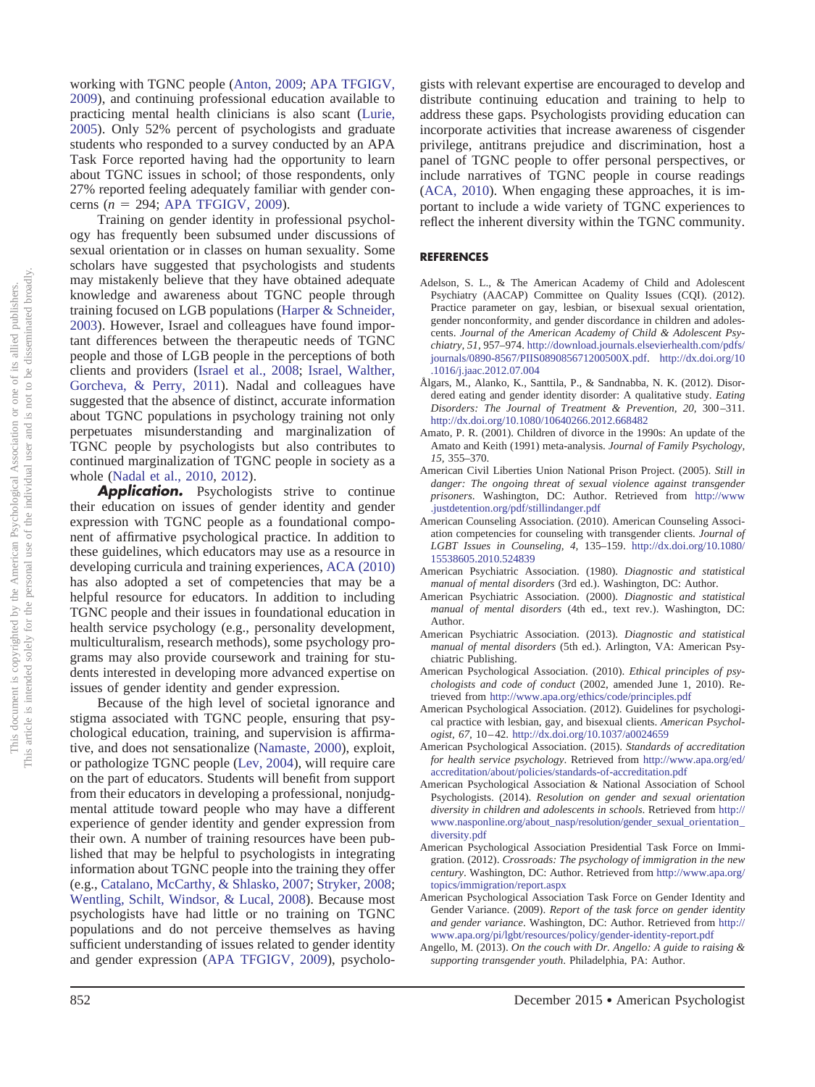This article is intended solely for the personal use of the individual user and is not to be disseminated broadly. is not to be disseminated broadly This document is copyrighted by the American Psychological Association or one of its allied publishers.<br>This article is intended solely for the personal use of the individual user and is not to be disseminated broa This document is copyrighted by the American Psychological Association or one of its allied publishers.

working with TGNC people [\(Anton, 2009;](#page-21-3) [APA TFGIGV,](#page-20-0) [2009\)](#page-20-0), and continuing professional education available to practicing mental health clinicians is also scant [\(Lurie,](#page-25-13) [2005\)](#page-25-13). Only 52% percent of psychologists and graduate students who responded to a survey conducted by an APA Task Force reported having had the opportunity to learn about TGNC issues in school; of those respondents, only 27% reported feeling adequately familiar with gender concerns (*n* - 294; [APA TFGIGV, 2009\)](#page-20-0).

Training on gender identity in professional psychology has frequently been subsumed under discussions of sexual orientation or in classes on human sexuality. Some scholars have suggested that psychologists and students may mistakenly believe that they have obtained adequate knowledge and awareness about TGNC people through training focused on LGB populations [\(Harper & Schneider,](#page-24-36) [2003\)](#page-24-36). However, Israel and colleagues have found important differences between the therapeutic needs of TGNC people and those of LGB people in the perceptions of both clients and providers [\(Israel et al., 2008;](#page-25-11) [Israel, Walther,](#page-25-34) [Gorcheva, & Perry, 2011\)](#page-25-34). Nadal and colleagues have suggested that the absence of distinct, accurate information about TGNC populations in psychology training not only perpetuates misunderstanding and marginalization of TGNC people by psychologists but also contributes to continued marginalization of TGNC people in society as a whole [\(Nadal et al., 2010,](#page-26-11) [2012\)](#page-26-12).

**Application.** Psychologists strive to continue their education on issues of gender identity and gender expression with TGNC people as a foundational component of affirmative psychological practice. In addition to these guidelines, which educators may use as a resource in developing curricula and training experiences, [ACA \(2010\)](#page-20-5) has also adopted a set of competencies that may be a helpful resource for educators. In addition to including TGNC people and their issues in foundational education in health service psychology (e.g., personality development, multiculturalism, research methods), some psychology programs may also provide coursework and training for students interested in developing more advanced expertise on issues of gender identity and gender expression.

Because of the high level of societal ignorance and stigma associated with TGNC people, ensuring that psychological education, training, and supervision is affirmative, and does not sensationalize [\(Namaste, 2000\)](#page-26-37), exploit, or pathologize TGNC people [\(Lev, 2004\)](#page-25-2), will require care on the part of educators. Students will benefit from support from their educators in developing a professional, nonjudgmental attitude toward people who may have a different experience of gender identity and gender expression from their own. A number of training resources have been published that may be helpful to psychologists in integrating information about TGNC people into the training they offer (e.g., [Catalano, McCarthy, & Shlasko, 2007;](#page-22-36) [Stryker, 2008;](#page-27-38) [Wentling, Schilt, Windsor, & Lucal, 2008\)](#page-28-17). Because most psychologists have had little or no training on TGNC populations and do not perceive themselves as having sufficient understanding of issues related to gender identity and gender expression [\(APA TFGIGV, 2009\)](#page-20-0), psychologists with relevant expertise are encouraged to develop and distribute continuing education and training to help to address these gaps. Psychologists providing education can incorporate activities that increase awareness of cisgender privilege, antitrans prejudice and discrimination, host a panel of TGNC people to offer personal perspectives, or include narratives of TGNC people in course readings [\(ACA, 2010\)](#page-20-5). When engaging these approaches, it is important to include a wide variety of TGNC experiences to reflect the inherent diversity within the TGNC community.

#### **REFERENCES**

- <span id="page-20-4"></span>Adelson, S. L., & The American Academy of Child and Adolescent Psychiatry (AACAP) Committee on Quality Issues (CQI). (2012). Practice parameter on gay, lesbian, or bisexual sexual orientation, gender nonconformity, and gender discordance in children and adolescents. *Journal of the American Academy of Child & Adolescent Psychiatry, 51,* 957–974. [http://download.journals.elsevierhealth.com/pdfs/](http://download.journals.elsevierhealth.com/pdfs/journals/0890-8567/PIIS089085671200500X.pdf) [journals/0890-8567/PIIS089085671200500X.pdf.](http://download.journals.elsevierhealth.com/pdfs/journals/0890-8567/PIIS089085671200500X.pdf) [http://dx.doi.org/10](http://dx.doi.org/10.1016/j.jaac.2012.07.004) [.1016/j.jaac.2012.07.004](http://dx.doi.org/10.1016/j.jaac.2012.07.004)
- <span id="page-20-10"></span>Ålgars, M., Alanko, K., Santtila, P., & Sandnabba, N. K. (2012). Disordered eating and gender identity disorder: A qualitative study. *Eating Disorders: The Journal of Treatment & Prevention, 20,* 300 –311. <http://dx.doi.org/10.1080/10640266.2012.668482>
- <span id="page-20-12"></span>Amato, P. R. (2001). Children of divorce in the 1990s: An update of the Amato and Keith (1991) meta-analysis. *Journal of Family Psychology, 15,* 355–370.
- <span id="page-20-6"></span>American Civil Liberties Union National Prison Project. (2005). *Still in danger: The ongoing threat of sexual violence against transgender prisoners*. Washington, DC: Author. Retrieved from [http://www](http://www.justdetention.org/pdf/stillindanger.pdf) [.justdetention.org/pdf/stillindanger.pdf](http://www.justdetention.org/pdf/stillindanger.pdf)
- <span id="page-20-5"></span>American Counseling Association. (2010). American Counseling Association competencies for counseling with transgender clients. *Journal of LGBT Issues in Counseling, 4,* 135–159. [http://dx.doi.org/10.1080/](http://dx.doi.org/10.1080/15538605.2010.524839) [15538605.2010.524839](http://dx.doi.org/10.1080/15538605.2010.524839)
- <span id="page-20-11"></span>American Psychiatric Association. (1980). *Diagnostic and statistical manual of mental disorders* (3rd ed.). Washington, DC: Author.
- <span id="page-20-14"></span>American Psychiatric Association. (2000). *Diagnostic and statistical manual of mental disorders* (4th ed., text rev.). Washington, DC: Author.
- <span id="page-20-13"></span>American Psychiatric Association. (2013). *Diagnostic and statistical manual of mental disorders* (5th ed.). Arlington, VA: American Psychiatric Publishing.
- <span id="page-20-2"></span>American Psychological Association. (2010). *Ethical principles of psychologists and code of conduct* (2002, amended June 1, 2010). Retrieved from <http://www.apa.org/ethics/code/principles.pdf>
- <span id="page-20-1"></span>American Psychological Association. (2012). Guidelines for psychological practice with lesbian, gay, and bisexual clients. *American Psychologist, 67,* 10 – 42. <http://dx.doi.org/10.1037/a0024659>
- <span id="page-20-3"></span>American Psychological Association. (2015). *Standards of accreditation for health service psychology*. Retrieved from [http://www.apa.org/ed/](http://www.apa.org/ed/accreditation/about/policies/standards-of-accreditation.pdf) [accreditation/about/policies/standards-of-accreditation.pdf](http://www.apa.org/ed/accreditation/about/policies/standards-of-accreditation.pdf)
- <span id="page-20-8"></span>American Psychological Association & National Association of School Psychologists. (2014). *Resolution on gender and sexual orientation diversity in children and adolescents in schools*. Retrieved from [http://](http://www.nasponline.org/about_nasp/resolution/gender_sexual_orientation_diversity.pdf) [www.nasponline.org/about\\_nasp/resolution/gender\\_sexual\\_orientation\\_](http://www.nasponline.org/about_nasp/resolution/gender_sexual_orientation_diversity.pdf) [diversity.pdf](http://www.nasponline.org/about_nasp/resolution/gender_sexual_orientation_diversity.pdf)
- <span id="page-20-7"></span>American Psychological Association Presidential Task Force on Immigration. (2012). *Crossroads: The psychology of immigration in the new century*. Washington, DC: Author. Retrieved from [http://www.apa.org/](http://www.apa.org/topics/immigration/report.aspx) [topics/immigration/report.aspx](http://www.apa.org/topics/immigration/report.aspx)
- <span id="page-20-0"></span>American Psychological Association Task Force on Gender Identity and Gender Variance. (2009). *Report of the task force on gender identity and gender variance*. Washington, DC: Author. Retrieved from [http://](http://www.apa.org/pi/lgbt/resources/policy/gender-identity-report.pdf) [www.apa.org/pi/lgbt/resources/policy/gender-identity-report.pdf](http://www.apa.org/pi/lgbt/resources/policy/gender-identity-report.pdf)
- <span id="page-20-9"></span>Angello, M. (2013). *On the couch with Dr. Angello: A guide to raising & supporting transgender youth*. Philadelphia, PA: Author.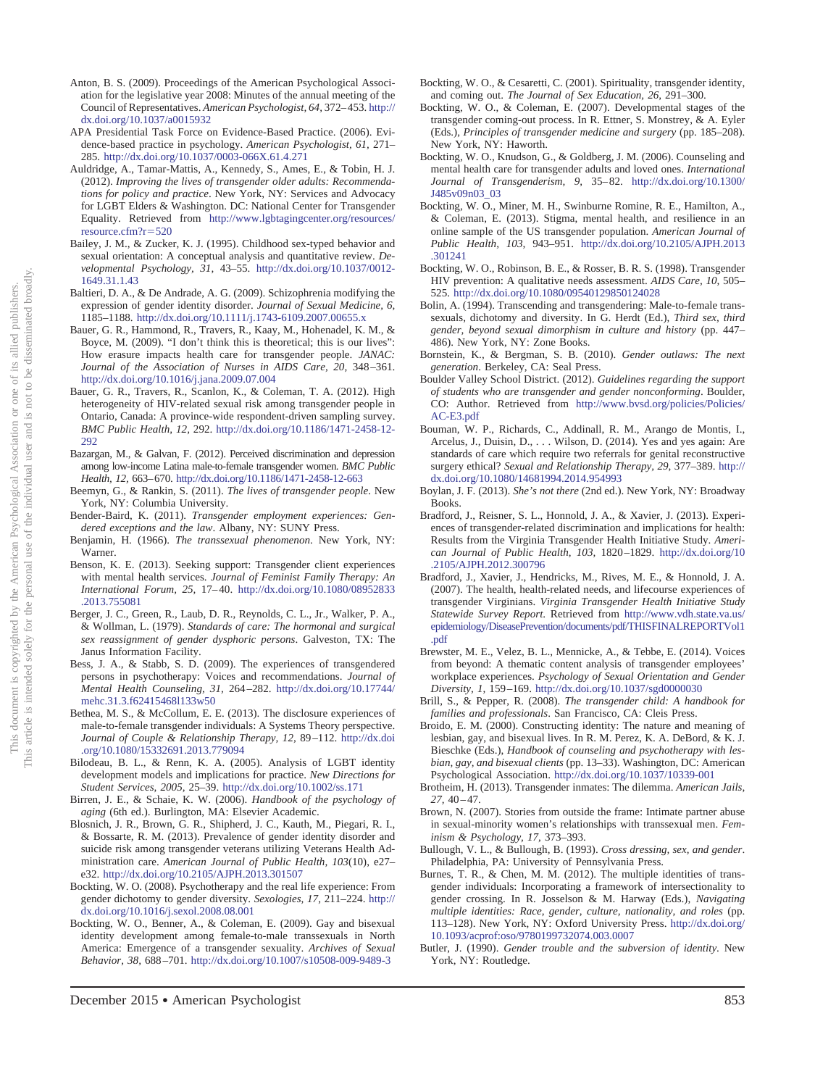- <span id="page-21-3"></span>Anton, B. S. (2009). Proceedings of the American Psychological Association for the legislative year 2008: Minutes of the annual meeting of the Council of Representatives. *American Psychologist, 64,* 372– 453. [http://](http://dx.doi.org/10.1037/a0015932) [dx.doi.org/10.1037/a0015932](http://dx.doi.org/10.1037/a0015932)
- <span id="page-21-19"></span>APA Presidential Task Force on Evidence-Based Practice. (2006). Evidence-based practice in psychology. *American Psychologist, 61,* 271– 285. <http://dx.doi.org/10.1037/0003-066X.61.4.271>
- <span id="page-21-31"></span>Auldridge, A., Tamar-Mattis, A., Kennedy, S., Ames, E., & Tobin, H. J. (2012). *Improving the lives of transgender older adults: Recommendations for policy and practice*. New York, NY: Services and Advocacy for LGBT Elders & Washington. DC: National Center for Transgender Equality. Retrieved from [http://www.lgbtagingcenter.org/resources/](http://www.lgbtagingcenter.org/resources/resource.cfm?r=520) [resource.cfm?r](http://www.lgbtagingcenter.org/resources/resource.cfm?r=520)-520
- <span id="page-21-29"></span>Bailey, J. M., & Zucker, K. J. (1995). Childhood sex-typed behavior and sexual orientation: A conceptual analysis and quantitative review. *Developmental Psychology, 31,* 43–55. [http://dx.doi.org/10.1037/0012-](http://dx.doi.org/10.1037/0012-1649.31.1.43) [1649.31.1.43](http://dx.doi.org/10.1037/0012-1649.31.1.43)
- <span id="page-21-34"></span>Baltieri, D. A., & De Andrade, A. G. (2009). Schizophrenia modifying the expression of gender identity disorder. *Journal of Sexual Medicine, 6,* 1185–1188. <http://dx.doi.org/10.1111/j.1743-6109.2007.00655.x>
- <span id="page-21-37"></span>Bauer, G. R., Hammond, R., Travers, R., Kaay, M., Hohenadel, K. M., & Boyce, M. (2009). "I don't think this is theoretical; this is our lives": How erasure impacts health care for transgender people. *JANAC: Journal of the Association of Nurses in AIDS Care, 20,* 348 –361. <http://dx.doi.org/10.1016/j.jana.2009.07.004>
- <span id="page-21-38"></span>Bauer, G. R., Travers, R., Scanlon, K., & Coleman, T. A. (2012). High heterogeneity of HIV-related sexual risk among transgender people in Ontario, Canada: A province-wide respondent-driven sampling survey. *BMC Public Health, 12,* 292. [http://dx.doi.org/10.1186/1471-2458-12-](http://dx.doi.org/10.1186/1471-2458-12-292) [292](http://dx.doi.org/10.1186/1471-2458-12-292)
- <span id="page-21-20"></span>Bazargan, M., & Galvan, F. (2012). Perceived discrimination and depression among low-income Latina male-to-female transgender women. *BMC Public Health, 12,* 663– 670. <http://dx.doi.org/10.1186/1471-2458-12-663>
- <span id="page-21-33"></span>Beemyn, G., & Rankin, S. (2011). *The lives of transgender people*. New York, NY: Columbia University.
- <span id="page-21-23"></span>Bender-Baird, K. (2011). *Transgender employment experiences: Gendered exceptions and the law*. Albany, NY: SUNY Press.
- <span id="page-21-5"></span>Benjamin, H. (1966). *The transsexual phenomenon*. New York, NY: Warner.
- <span id="page-21-27"></span>Benson, K. E. (2013). Seeking support: Transgender client experiences with mental health services. *Journal of Feminist Family Therapy: An International Forum, 25,* 17– 40. [http://dx.doi.org/10.1080/08952833](http://dx.doi.org/10.1080/08952833.2013.755081) [.2013.755081](http://dx.doi.org/10.1080/08952833.2013.755081)
- <span id="page-21-8"></span>Berger, J. C., Green, R., Laub, D. R., Reynolds, C. L., Jr., Walker, P. A., & Wollman, L. (1979). *Standards of care: The hormonal and surgical sex reassignment of gender dysphoric persons*. Galveston, TX: The Janus Information Facility.
- <span id="page-21-17"></span>Bess, J. A., & Stabb, S. D. (2009). The experiences of transgendered persons in psychotherapy: Voices and recommendations. *Journal of Mental Health Counseling, 31,* 264 –282. [http://dx.doi.org/10.17744/](http://dx.doi.org/10.17744/mehc.31.3.f62415468l133w50) [mehc.31.3.f62415468l133w50](http://dx.doi.org/10.17744/mehc.31.3.f62415468l133w50)
- <span id="page-21-4"></span>Bethea, M. S., & McCollum, E. E. (2013). The disclosure experiences of male-to-female transgender individuals: A Systems Theory perspective. *Journal of Couple & Relationship Therapy, 12,* 89 –112. [http://dx.doi](http://dx.doi.org/10.1080/15332691.2013.779094) [.org/10.1080/15332691.2013.779094](http://dx.doi.org/10.1080/15332691.2013.779094)
- <span id="page-21-10"></span>Bilodeau, B. L., & Renn, K. A. (2005). Analysis of LGBT identity development models and implications for practice. *New Directions for Student Services, 2005,* 25–39. <http://dx.doi.org/10.1002/ss.171>
- <span id="page-21-32"></span>Birren, J. E., & Schaie, K. W. (2006). *Handbook of the psychology of aging* (6th ed.). Burlington, MA: Elsevier Academic.
- <span id="page-21-24"></span>Blosnich, J. R., Brown, G. R., Shipherd, J. C., Kauth, M., Piegari, R. I., & Bossarte, R. M. (2013). Prevalence of gender identity disorder and suicide risk among transgender veterans utilizing Veterans Health Administration care. *American Journal of Public Health, 103*(10), e27– e32. <http://dx.doi.org/10.2105/AJPH.2013.301507>
- <span id="page-21-6"></span>Bockting, W. O. (2008). Psychotherapy and the real life experience: From gender dichotomy to gender diversity. *Sexologies, 17,* 211–224. [http://](http://dx.doi.org/10.1016/j.sexol.2008.08.001) [dx.doi.org/10.1016/j.sexol.2008.08.001](http://dx.doi.org/10.1016/j.sexol.2008.08.001)
- <span id="page-21-11"></span>Bockting, W. O., Benner, A., & Coleman, E. (2009). Gay and bisexual identity development among female-to-male transsexuals in North America: Emergence of a transgender sexuality. *Archives of Sexual Behavior, 38,* 688 –701. <http://dx.doi.org/10.1007/s10508-009-9489-3>
- <span id="page-21-16"></span>Bockting, W. O., & Cesaretti, C. (2001). Spirituality, transgender identity, and coming out. *The Journal of Sex Education, 26,* 291–300.
- <span id="page-21-9"></span>Bockting, W. O., & Coleman, E. (2007). Developmental stages of the transgender coming-out process. In R. Ettner, S. Monstrey, & A. Eyler (Eds.), *Principles of transgender medicine and surgery* (pp. 185–208). New York, NY: Haworth.
- <span id="page-21-0"></span>Bockting, W. O., Knudson, G., & Goldberg, J. M. (2006). Counseling and mental health care for transgender adults and loved ones. *International Journal of Transgenderism, 9,* 35– 82. [http://dx.doi.org/10.1300/](http://dx.doi.org/10.1300/J485v09n03_03) [J485v09n03\\_03](http://dx.doi.org/10.1300/J485v09n03_03)
- <span id="page-21-1"></span>Bockting, W. O., Miner, M. H., Swinburne Romine, R. E., Hamilton, A., & Coleman, E. (2013). Stigma, mental health, and resilience in an online sample of the US transgender population. *American Journal of Public Health, 103,* 943–951. [http://dx.doi.org/10.2105/AJPH.2013](http://dx.doi.org/10.2105/AJPH.2013.301241) [.301241](http://dx.doi.org/10.2105/AJPH.2013.301241)
- <span id="page-21-36"></span>Bockting, W. O., Robinson, B. E., & Rosser, B. R. S. (1998). Transgender HIV prevention: A qualitative needs assessment. *AIDS Care, 10,* 505– 525. <http://dx.doi.org/10.1080/09540129850124028>
- <span id="page-21-7"></span>Bolin, A. (1994). Transcending and transgendering: Male-to-female transsexuals, dichotomy and diversity. In G. Herdt (Ed.), *Third sex, third gender, beyond sexual dimorphism in culture and history* (pp. 447– 486). New York, NY: Zone Books.
- <span id="page-21-13"></span>Bornstein, K., & Bergman, S. B. (2010). *Gender outlaws: The next generation*. Berkeley, CA: Seal Press.
- <span id="page-21-26"></span>Boulder Valley School District. (2012). *Guidelines regarding the support of students who are transgender and gender nonconforming*. Boulder, CO: Author. Retrieved from [http://www.bvsd.org/policies/Policies/](http://www.bvsd.org/policies/Policies/AC-E3.pdf) [AC-E3.pdf](http://www.bvsd.org/policies/Policies/AC-E3.pdf)
- <span id="page-21-28"></span>Bouman, W. P., Richards, C., Addinall, R. M., Arango de Montis, I., Arcelus, J., Duisin, D.,... Wilson, D. (2014). Yes and yes again: Are standards of care which require two referrals for genital reconstructive surgery ethical? *Sexual and Relationship Therapy, 29,* 377–389. [http://](http://dx.doi.org/10.1080/14681994.2014.954993) [dx.doi.org/10.1080/14681994.2014.954993](http://dx.doi.org/10.1080/14681994.2014.954993)
- <span id="page-21-14"></span>Boylan, J. F. (2013). *She's not there* (2nd ed.). New York, NY: Broadway Books.
- <span id="page-21-21"></span>Bradford, J., Reisner, S. L., Honnold, J. A., & Xavier, J. (2013). Experiences of transgender-related discrimination and implications for health: Results from the Virginia Transgender Health Initiative Study. *American Journal of Public Health, 103,* 1820 –1829. [http://dx.doi.org/10](http://dx.doi.org/10.2105/AJPH.2012.300796) [.2105/AJPH.2012.300796](http://dx.doi.org/10.2105/AJPH.2012.300796)
- <span id="page-21-18"></span>Bradford, J., Xavier, J., Hendricks, M., Rives, M. E., & Honnold, J. A. (2007). The health, health-related needs, and lifecourse experiences of transgender Virginians. *Virginia Transgender Health Initiative Study Statewide Survey Report*. Retrieved from [http://www.vdh.state.va.us/](http://www.vdh.state.va.us/epidemiology/DiseasePrevention/documents/pdf/THISFINALREPORTVol1.pdf) [epidemiology/DiseasePrevention/documents/pdf/THISFINALREPORTVol1](http://www.vdh.state.va.us/epidemiology/DiseasePrevention/documents/pdf/THISFINALREPORTVol1.pdf) [.pdf](http://www.vdh.state.va.us/epidemiology/DiseasePrevention/documents/pdf/THISFINALREPORTVol1.pdf)
- <span id="page-21-22"></span>Brewster, M. E., Velez, B. L., Mennicke, A., & Tebbe, E. (2014). Voices from beyond: A thematic content analysis of transgender employees' workplace experiences. *Psychology of Sexual Orientation and Gender Diversity, 1,* 159 –169. <http://dx.doi.org/10.1037/sgd0000030>
- <span id="page-21-30"></span>Brill, S., & Pepper, R. (2008). *The transgender child: A handbook for families and professionals*. San Francisco, CA: Cleis Press.
- <span id="page-21-12"></span>Broido, E. M. (2000). Constructing identity: The nature and meaning of lesbian, gay, and bisexual lives. In R. M. Perez, K. A. DeBord, & K. J. Bieschke (Eds.), *Handbook of counseling and psychotherapy with lesbian, gay, and bisexual clients* (pp. 13–33). Washington, DC: American Psychological Association. <http://dx.doi.org/10.1037/10339-001>
- <span id="page-21-25"></span>Brotheim, H. (2013). Transgender inmates: The dilemma. *American Jails, 27,* 40 – 47.
- <span id="page-21-35"></span>Brown, N. (2007). Stories from outside the frame: Intimate partner abuse in sexual-minority women's relationships with transsexual men. *Feminism & Psychology, 17,* 373–393.
- <span id="page-21-39"></span>Bullough, V. L., & Bullough, B. (1993). *Cross dressing, sex, and gender*. Philadelphia, PA: University of Pennsylvania Press.
- <span id="page-21-15"></span>Burnes, T. R., & Chen, M. M. (2012). The multiple identities of transgender individuals: Incorporating a framework of intersectionality to gender crossing. In R. Josselson & M. Harway (Eds.), *Navigating multiple identities: Race, gender, culture, nationality, and roles* (pp. 113–128). New York, NY: Oxford University Press. [http://dx.doi.org/](http://dx.doi.org/10.1093/acprof:oso/9780199732074.003.0007) [10.1093/acprof:oso/9780199732074.003.0007](http://dx.doi.org/10.1093/acprof:oso/9780199732074.003.0007)
- <span id="page-21-2"></span>Butler, J. (1990). *Gender trouble and the subversion of identity*. New York, NY: Routledge.

December 2015 ● American Psychologist 853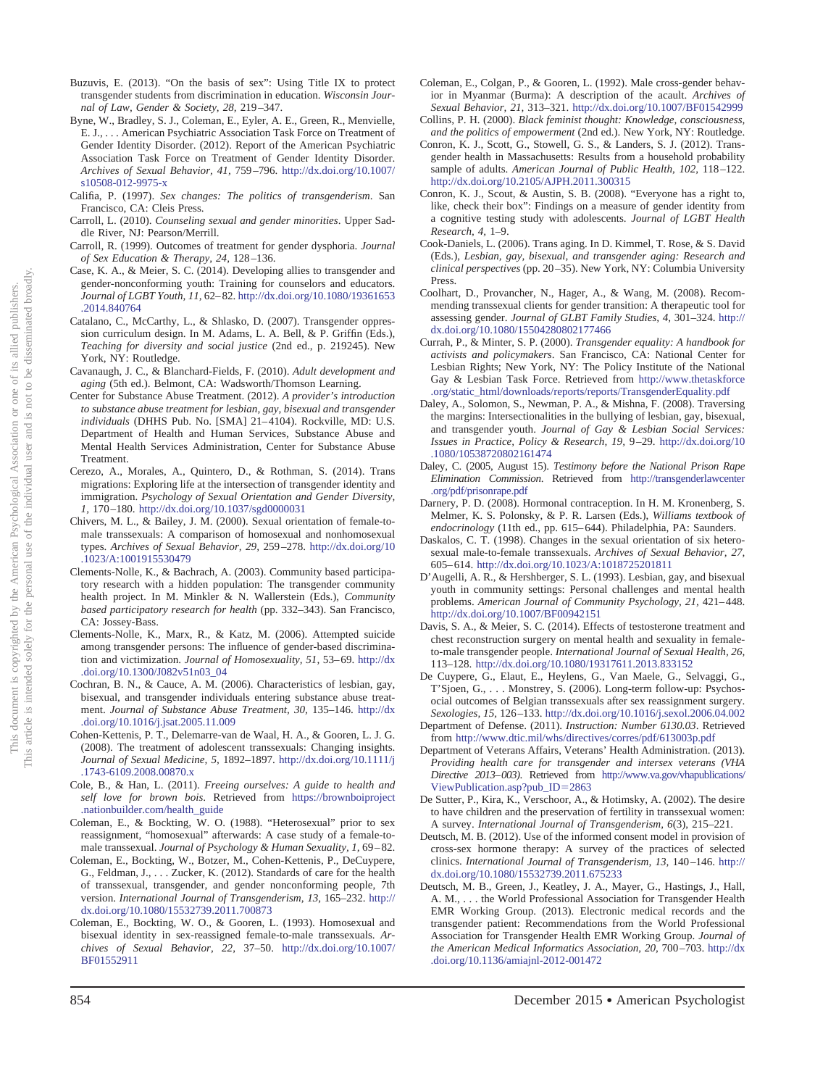- <span id="page-22-16"></span>Buzuvis, E. (2013). "On the basis of sex": Using Title IX to protect transgender students from discrimination in education. *Wisconsin Journal of Law, Gender & Society, 28,* 219 –347.
- <span id="page-22-6"></span>Byne, W., Bradley, S. J., Coleman, E., Eyler, A. E., Green, R., Menvielle, E. J., . . . American Psychiatric Association Task Force on Treatment of Gender Identity Disorder. (2012). Report of the American Psychiatric Association Task Force on Treatment of Gender Identity Disorder. *Archives of Sexual Behavior, 41,* 759 –796. [http://dx.doi.org/10.1007/](http://dx.doi.org/10.1007/s10508-012-9975-x) [s10508-012-9975-x](http://dx.doi.org/10.1007/s10508-012-9975-x)
- <span id="page-22-30"></span>Califia, P. (1997). *Sex changes: The politics of transgenderism*. San Francisco, CA: Cleis Press.
- <span id="page-22-10"></span>Carroll, L. (2010). *Counseling sexual and gender minorities*. Upper Saddle River, NJ: Pearson/Merrill.
- <span id="page-22-23"></span>Carroll, R. (1999). Outcomes of treatment for gender dysphoria. *Journal of Sex Education & Therapy, 24,* 128 –136.
- <span id="page-22-14"></span>Case, K. A., & Meier, S. C. (2014). Developing allies to transgender and gender-nonconforming youth: Training for counselors and educators. *Journal of LGBT Youth, 11,* 62– 82. [http://dx.doi.org/10.1080/19361653](http://dx.doi.org/10.1080/19361653.2014.840764) [.2014.840764](http://dx.doi.org/10.1080/19361653.2014.840764)
- <span id="page-22-36"></span>Catalano, C., McCarthy, L., & Shlasko, D. (2007). Transgender oppression curriculum design. In M. Adams, L. A. Bell, & P. Griffin (Eds.), *Teaching for diversity and social justice* (2nd ed., p. 219245). New York, NY: Routledge.
- <span id="page-22-18"></span>Cavanaugh, J. C., & Blanchard-Fields, F. (2010). *Adult development and aging* (5th ed.). Belmont, CA: Wadsworth/Thomson Learning.
- <span id="page-22-20"></span>Center for Substance Abuse Treatment. (2012). *A provider's introduction to substance abuse treatment for lesbian, gay, bisexual and transgender* individuals (DHHS Pub. No. [SMA] 21-4104). Rockville, MD: U.S. Department of Health and Human Services, Substance Abuse and Mental Health Services Administration, Center for Substance Abuse Treatment.
- <span id="page-22-13"></span>Cerezo, A., Morales, A., Quintero, D., & Rothman, S. (2014). Trans migrations: Exploring life at the intersection of transgender identity and immigration. *Psychology of Sexual Orientation and Gender Diversity, 1,* 170 –180. <http://dx.doi.org/10.1037/sgd0000031>
- <span id="page-22-27"></span>Chivers, M. L., & Bailey, J. M. (2000). Sexual orientation of female-tomale transsexuals: A comparison of homosexual and nonhomosexual types. *Archives of Sexual Behavior, 29,* 259 –278. [http://dx.doi.org/10](http://dx.doi.org/10.1023/A:1001915530479) [.1023/A:1001915530479](http://dx.doi.org/10.1023/A:1001915530479)
- <span id="page-22-35"></span>Clements-Nolle, K., & Bachrach, A. (2003). Community based participatory research with a hidden population: The transgender community health project. In M. Minkler & N. Wallerstein (Eds.), *Community based participatory research for health* (pp. 332–343). San Francisco, CA: Jossey-Bass.
- <span id="page-22-3"></span>Clements-Nolle, K., Marx, R., & Katz, M. (2006). Attempted suicide among transgender persons: The influence of gender-based discrimination and victimization. *Journal of Homosexuality*, 51, 53–69. [http://dx](http://dx.doi.org/10.1300/J082v51n03_04) [.doi.org/10.1300/J082v51n03\\_04](http://dx.doi.org/10.1300/J082v51n03_04)
- <span id="page-22-21"></span>Cochran, B. N., & Cauce, A. M. (2006). Characteristics of lesbian, gay, bisexual, and transgender individuals entering substance abuse treatment. *Journal of Substance Abuse Treatment, 30,* 135–146. [http://dx](http://dx.doi.org/10.1016/j.jsat.2005.11.009) [.doi.org/10.1016/j.jsat.2005.11.009](http://dx.doi.org/10.1016/j.jsat.2005.11.009)
- <span id="page-22-24"></span>Cohen-Kettenis, P. T., Delemarre-van de Waal, H. A., & Gooren, L. J. G. (2008). The treatment of adolescent transsexuals: Changing insights. *Journal of Sexual Medicine, 5,* 1892–1897. [http://dx.doi.org/10.1111/j](http://dx.doi.org/10.1111/j.1743-6109.2008.00870.x) [.1743-6109.2008.00870.x](http://dx.doi.org/10.1111/j.1743-6109.2008.00870.x)
- <span id="page-22-37"></span>Cole, B., & Han, L. (2011). *Freeing ourselves: A guide to health and self love for brown bois*. Retrieved from [https://brownboiproject](http://brownboiproject.nationbuilder.com/health_guide) [.nationbuilder.com/health\\_guide](http://brownboiproject.nationbuilder.com/health_guide)
- <span id="page-22-28"></span>Coleman, E., & Bockting, W. O. (1988). "Heterosexual" prior to sex reassignment, "homosexual" afterwards: A case study of a female-tomale transsexual. *Journal of Psychology & Human Sexuality, 1,* 69 – 82.
- <span id="page-22-2"></span>Coleman, E., Bockting, W., Botzer, M., Cohen-Kettenis, P., DeCuypere, G., Feldman, J.,... Zucker, K. (2012). Standards of care for the health of transsexual, transgender, and gender nonconforming people, 7th version. *International Journal of Transgenderism, 13,* 165–232. [http://](http://dx.doi.org/10.1080/15532739.2011.700873) [dx.doi.org/10.1080/15532739.2011.700873](http://dx.doi.org/10.1080/15532739.2011.700873)
- <span id="page-22-7"></span>Coleman, E., Bockting, W. O., & Gooren, L. (1993). Homosexual and bisexual identity in sex-reassigned female-to-male transsexuals. *Archives of Sexual Behavior, 22,* 37–50. [http://dx.doi.org/10.1007/](http://dx.doi.org/10.1007/BF01552911) [BF01552911](http://dx.doi.org/10.1007/BF01552911)
- <span id="page-22-0"></span>Coleman, E., Colgan, P., & Gooren, L. (1992). Male cross-gender behavior in Myanmar (Burma): A description of the acault. *Archives of Sexual Behavior, 21,* 313–321. <http://dx.doi.org/10.1007/BF01542999>
- <span id="page-22-8"></span>Collins, P. H. (2000). *Black feminist thought: Knowledge, consciousness, and the politics of empowerment* (2nd ed.). New York, NY: Routledge.
- <span id="page-22-1"></span>Conron, K. J., Scott, G., Stowell, G. S., & Landers, S. J. (2012). Transgender health in Massachusetts: Results from a household probability sample of adults. *American Journal of Public Health, 102, 118-122*. <http://dx.doi.org/10.2105/AJPH.2011.300315>
- <span id="page-22-4"></span>Conron, K. J., Scout, & Austin, S. B. (2008). "Everyone has a right to, like, check their box": Findings on a measure of gender identity from a cognitive testing study with adolescents. *Journal of LGBT Health Research, 4,* 1–9.
- <span id="page-22-19"></span>Cook-Daniels, L. (2006). Trans aging. In D. Kimmel, T. Rose, & S. David (Eds.), *Lesbian, gay, bisexual, and transgender aging: Research and clinical perspectives* (pp. 20 –35). New York, NY: Columbia University Press.
- <span id="page-22-22"></span>Coolhart, D., Provancher, N., Hager, A., & Wang, M. (2008). Recommending transsexual clients for gender transition: A therapeutic tool for assessing gender. *Journal of GLBT Family Studies, 4,* 301–324. [http://](http://dx.doi.org/10.1080/15504280802177466) [dx.doi.org/10.1080/15504280802177466](http://dx.doi.org/10.1080/15504280802177466)
- <span id="page-22-17"></span>Currah, P., & Minter, S. P. (2000). *Transgender equality: A handbook for activists and policymakers*. San Francisco, CA: National Center for Lesbian Rights; New York, NY: The Policy Institute of the National Gay & Lesbian Task Force. Retrieved from [http://www.thetaskforce](http://www.thetaskforce.org/static_html/downloads/reports/reports/TransgenderEquality.pdf) [.org/static\\_html/downloads/reports/reports/TransgenderEquality.pdf](http://www.thetaskforce.org/static_html/downloads/reports/reports/TransgenderEquality.pdf)
- <span id="page-22-9"></span>Daley, A., Solomon, S., Newman, P. A., & Mishna, F. (2008). Traversing the margins: Intersectionalities in the bullying of lesbian, gay, bisexual, and transgender youth. *Journal of Gay & Lesbian Social Services: Issues in Practice, Policy & Research, 19,* 9 –29. [http://dx.doi.org/10](http://dx.doi.org/10.1080/10538720802161474) [.1080/10538720802161474](http://dx.doi.org/10.1080/10538720802161474)
- <span id="page-22-12"></span>Daley, C. (2005, August 15). *Testimony before the National Prison Rape Elimination Commission*. Retrieved from [http://transgenderlawcenter](http://transgenderlawcenter.org/pdf/prisonrape.pdf) [.org/pdf/prisonrape.pdf](http://transgenderlawcenter.org/pdf/prisonrape.pdf)
- <span id="page-22-32"></span>Darnery, P. D. (2008). Hormonal contraception. In H. M. Kronenberg, S. Melmer, K. S. Polonsky, & P. R. Larsen (Eds.), *Williams textbook of endocrinology* (11th ed., pp. 615– 644). Philadelphia, PA: Saunders.
- <span id="page-22-29"></span>Daskalos, C. T. (1998). Changes in the sexual orientation of six heterosexual male-to-female transsexuals. *Archives of Sexual Behavior, 27,* 605– 614. <http://dx.doi.org/10.1023/A:1018725201811>
- <span id="page-22-5"></span>D'Augelli, A. R., & Hershberger, S. L. (1993). Lesbian, gay, and bisexual youth in community settings: Personal challenges and mental health problems. American Journal of Community Psychology, 21, 421-448. <http://dx.doi.org/10.1007/BF00942151>
- <span id="page-22-25"></span>Davis, S. A., & Meier, S. C. (2014). Effects of testosterone treatment and chest reconstruction surgery on mental health and sexuality in femaleto-male transgender people. *International Journal of Sexual Health, 26,* 113–128. <http://dx.doi.org/10.1080/19317611.2013.833152>
- <span id="page-22-26"></span>De Cuypere, G., Elaut, E., Heylens, G., Van Maele, G., Selvaggi, G., T'Sjoen, G.,... Monstrey, S. (2006). Long-term follow-up: Psychosocial outcomes of Belgian transsexuals after sex reassignment surgery. *Sexologies, 15,* 126 –133. <http://dx.doi.org/10.1016/j.sexol.2006.04.002>
- <span id="page-22-11"></span>Department of Defense. (2011). *Instruction: Number 6130.03*. Retrieved from <http://www.dtic.mil/whs/directives/corres/pdf/613003p.pdf>
- <span id="page-22-15"></span>Department of Veterans Affairs, Veterans' Health Administration. (2013). *Providing health care for transgender and intersex veterans (VHA Directive 2013–003)*. Retrieved from [http://www.va.gov/vhapublications/](http://www.va.gov/vhapublications/ViewPublication.asp?pub_ID=2863) [ViewPublication.asp?pub\\_ID](http://www.va.gov/vhapublications/ViewPublication.asp?pub_ID=2863)-2863
- <span id="page-22-31"></span>De Sutter, P., Kira, K., Verschoor, A., & Hotimsky, A. (2002). The desire to have children and the preservation of fertility in transsexual women: A survey. *International Journal of Transgenderism, 6*(3), 215–221.
- <span id="page-22-33"></span>Deutsch, M. B. (2012). Use of the informed consent model in provision of cross-sex hormone therapy: A survey of the practices of selected clinics. *International Journal of Transgenderism, 13,* 140 –146. [http://](http://dx.doi.org/10.1080/15532739.2011.675233) [dx.doi.org/10.1080/15532739.2011.675233](http://dx.doi.org/10.1080/15532739.2011.675233)
- <span id="page-22-34"></span>Deutsch, M. B., Green, J., Keatley, J. A., Mayer, G., Hastings, J., Hall, A. M., . . . the World Professional Association for Transgender Health EMR Working Group. (2013). Electronic medical records and the transgender patient: Recommendations from the World Professional Association for Transgender Health EMR Working Group. *Journal of the American Medical Informatics Association, 20,* 700 –703. [http://dx](http://dx.doi.org/10.1136/amiajnl-2012-001472) [.doi.org/10.1136/amiajnl-2012-001472](http://dx.doi.org/10.1136/amiajnl-2012-001472)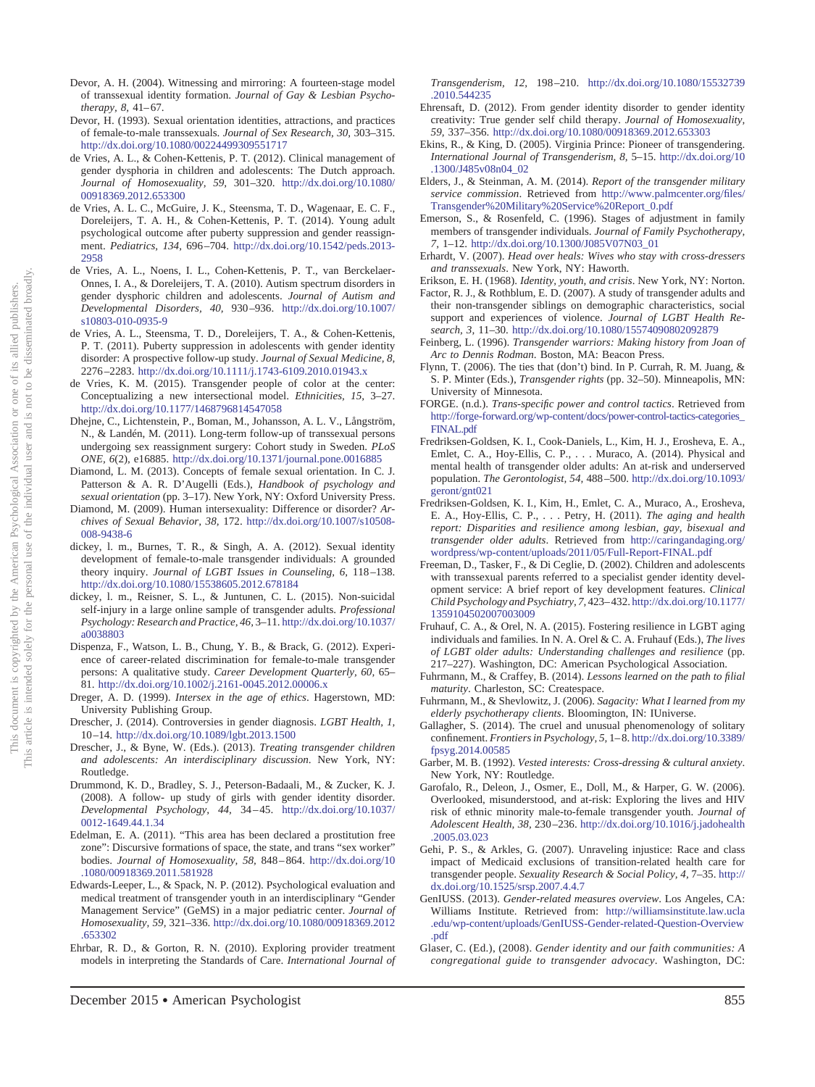- <span id="page-23-5"></span>Devor, A. H. (2004). Witnessing and mirroring: A fourteen-stage model of transsexual identity formation. *Journal of Gay & Lesbian Psychotherapy, 8, 41–67.*
- <span id="page-23-8"></span>Devor, H. (1993). Sexual orientation identities, attractions, and practices of female-to-male transsexuals. *Journal of Sex Research, 30,* 303–315. <http://dx.doi.org/10.1080/00224499309551717>
- <span id="page-23-18"></span>de Vries, A. L., & Cohen-Kettenis, P. T. (2012). Clinical management of gender dysphoria in children and adolescents: The Dutch approach. *Journal of Homosexuality, 59,* 301–320. [http://dx.doi.org/10.1080/](http://dx.doi.org/10.1080/00918369.2012.653300) [00918369.2012.653300](http://dx.doi.org/10.1080/00918369.2012.653300)
- <span id="page-23-22"></span>de Vries, A. L. C., McGuire, J. K., Steensma, T. D., Wagenaar, E. C. F., Doreleijers, T. A. H., & Cohen-Kettenis, P. T. (2014). Young adult psychological outcome after puberty suppression and gender reassignment. *Pediatrics, 134,* 696 –704. [http://dx.doi.org/10.1542/peds.2013-](http://dx.doi.org/10.1542/peds.2013-2958) [2958](http://dx.doi.org/10.1542/peds.2013-2958)
- <span id="page-23-21"></span>de Vries, A. L., Noens, I. L., Cohen-Kettenis, P. T., van Berckelaer-Onnes, I. A., & Doreleijers, T. A. (2010). Autism spectrum disorders in gender dysphoric children and adolescents. *Journal of Autism and Developmental Disorders, 40,* 930 –936. [http://dx.doi.org/10.1007/](http://dx.doi.org/10.1007/s10803-010-0935-9) [s10803-010-0935-9](http://dx.doi.org/10.1007/s10803-010-0935-9)
- <span id="page-23-16"></span>de Vries, A. L., Steensma, T. D., Doreleijers, T. A., & Cohen-Kettenis, P. T. (2011). Puberty suppression in adolescents with gender identity disorder: A prospective follow-up study. *Journal of Sexual Medicine, 8,* 2276 –2283. <http://dx.doi.org/10.1111/j.1743-6109.2010.01943.x>
- <span id="page-23-9"></span>de Vries, K. M. (2015). Transgender people of color at the center: Conceptualizing a new intersectional model. *Ethnicities, 15,* 3–27. <http://dx.doi.org/10.1177/1468796814547058>
- <span id="page-23-4"></span>Dhejne, C., Lichtenstein, P., Boman, M., Johansson, A. L. V., Långström, N., & Landén, M. (2011). Long-term follow-up of transsexual persons undergoing sex reassignment surgery: Cohort study in Sweden. *PLoS ONE, 6*(2), e16885. <http://dx.doi.org/10.1371/journal.pone.0016885>
- <span id="page-23-7"></span>Diamond, L. M. (2013). Concepts of female sexual orientation. In C. J. Patterson & A. R. D'Augelli (Eds.), *Handbook of psychology and sexual orientation* (pp. 3–17). New York, NY: Oxford University Press.
- <span id="page-23-41"></span>Diamond, M. (2009). Human intersexuality: Difference or disorder? *Archives of Sexual Behavior, 38,* 172. [http://dx.doi.org/10.1007/s10508-](http://dx.doi.org/10.1007/s10508-008-9438-6) [008-9438-6](http://dx.doi.org/10.1007/s10508-008-9438-6)
- <span id="page-23-35"></span>dickey, l. m., Burnes, T. R., & Singh, A. A. (2012). Sexual identity development of female-to-male transgender individuals: A grounded theory inquiry. *Journal of LGBT Issues in Counseling, 6,* 118 –138. <http://dx.doi.org/10.1080/15538605.2012.678184>
- <span id="page-23-31"></span>dickey, l. m., Reisner, S. L., & Juntunen, C. L. (2015). Non-suicidal self-injury in a large online sample of transgender adults. *Professional Psychology: Research and Practice, 46,* 3–11. [http://dx.doi.org/10.1037/](http://dx.doi.org/10.1037/a0038803) [a0038803](http://dx.doi.org/10.1037/a0038803)
- <span id="page-23-11"></span>Dispenza, F., Watson, L. B., Chung, Y. B., & Brack, G. (2012). Experience of career-related discrimination for female-to-male transgender persons: A qualitative study. *Career Development Quarterly, 60,* 65– 81. <http://dx.doi.org/10.1002/j.2161-0045.2012.00006.x>
- <span id="page-23-3"></span>Dreger, A. D. (1999). *Intersex in the age of ethics*. Hagerstown, MD: University Publishing Group.
- <span id="page-23-17"></span>Drescher, J. (2014). Controversies in gender diagnosis. *LGBT Health, 1,* 10 –14. <http://dx.doi.org/10.1089/lgbt.2013.1500>
- <span id="page-23-6"></span>Drescher, J., & Byne, W. (Eds.). (2013). *Treating transgender children and adolescents: An interdisciplinary discussion*. New York, NY: Routledge.
- <span id="page-23-15"></span>Drummond, K. D., Bradley, S. J., Peterson-Badaali, M., & Zucker, K. J. (2008). A follow- up study of girls with gender identity disorder. *Developmental Psychology, 44,* 34 – 45. [http://dx.doi.org/10.1037/](http://dx.doi.org/10.1037/0012-1649.44.1.34) [0012-1649.44.1.34](http://dx.doi.org/10.1037/0012-1649.44.1.34)
- <span id="page-23-12"></span>Edelman, E. A. (2011). "This area has been declared a prostitution free zone": Discursive formations of space, the state, and trans "sex worker" bodies. *Journal of Homosexuality, 58,* 848 – 864. [http://dx.doi.org/10](http://dx.doi.org/10.1080/00918369.2011.581928) [.1080/00918369.2011.581928](http://dx.doi.org/10.1080/00918369.2011.581928)
- <span id="page-23-19"></span>Edwards-Leeper, L., & Spack, N. P. (2012). Psychological evaluation and medical treatment of transgender youth in an interdisciplinary "Gender Management Service" (GeMS) in a major pediatric center. *Journal of Homosexuality, 59,* 321–336. [http://dx.doi.org/10.1080/00918369.2012](http://dx.doi.org/10.1080/00918369.2012.653302) [.653302](http://dx.doi.org/10.1080/00918369.2012.653302)
- <span id="page-23-23"></span>Ehrbar, R. D., & Gorton, R. N. (2010). Exploring provider treatment models in interpreting the Standards of Care. *International Journal of*

*Transgenderism, 12,* 198 –210. [http://dx.doi.org/10.1080/15532739](http://dx.doi.org/10.1080/15532739.2010.544235) [.2010.544235](http://dx.doi.org/10.1080/15532739.2010.544235)

- <span id="page-23-20"></span>Ehrensaft, D. (2012). From gender identity disorder to gender identity creativity: True gender self child therapy. *Journal of Homosexuality, 59,* 337–356. <http://dx.doi.org/10.1080/00918369.2012.653303>
- <span id="page-23-25"></span>Ekins, R., & King, D. (2005). Virginia Prince: Pioneer of transgendering. *International Journal of Transgenderism, 8,* 5–15. [http://dx.doi.org/10](http://dx.doi.org/10.1300/J485v08n04_02) [.1300/J485v08n04\\_02](http://dx.doi.org/10.1300/J485v08n04_02)
- <span id="page-23-13"></span>Elders, J., & Steinman, A. M. (2014). *Report of the transgender military service commission*. Retrieved from [http://www.palmcenter.org/files/](http://www.palmcenter.org/files/Transgender%20Military%20Service%20Report_0.pdf) [Transgender%20Military%20Service%20Report\\_0.pdf](http://www.palmcenter.org/files/Transgender%20Military%20Service%20Report_0.pdf)
- <span id="page-23-32"></span>Emerson, S., & Rosenfeld, C. (1996). Stages of adjustment in family members of transgender individuals. *Journal of Family Psychotherapy, 7,* 1–12. [http://dx.doi.org/10.1300/J085V07N03\\_01](http://dx.doi.org/10.1300/J085V07N03_01)
- <span id="page-23-34"></span>Erhardt, V. (2007). *Head over heals: Wives who stay with cross-dressers and transsexuals*. New York, NY: Haworth.
- <span id="page-23-29"></span>Erikson, E. H. (1968). *Identity, youth, and crisis*. New York, NY: Norton.
- <span id="page-23-26"></span>Factor, R. J., & Rothblum, E. D. (2007). A study of transgender adults and their non-transgender siblings on demographic characteristics, social support and experiences of violence. *Journal of LGBT Health Research, 3,* 11–30. <http://dx.doi.org/10.1080/15574090802092879>
- <span id="page-23-0"></span>Feinberg, L. (1996). *Transgender warriors: Making history from Joan of Arc to Dennis Rodman*. Boston, MA: Beacon Press.
- <span id="page-23-36"></span>Flynn, T. (2006). The ties that (don't) bind. In P. Currah, R. M. Juang, & S. P. Minter (Eds.), *Transgender rights* (pp. 32–50). Minneapolis, MN: University of Minnesota.
- <span id="page-23-33"></span>FORGE. (n.d.). *Trans-specific power and control tactics*. Retrieved from [http://forge-forward.org/wp-content/docs/power-control-tactics-categories\\_](http://forge-forward.org/wp-content/docs/power-control-tactics-categories_FINAL.pdf) [FINAL.pdf](http://forge-forward.org/wp-content/docs/power-control-tactics-categories_FINAL.pdf)
- <span id="page-23-1"></span>Fredriksen-Goldsen, K. I., Cook-Daniels, L., Kim, H. J., Erosheva, E. A., Emlet, C. A., Hoy-Ellis, C. P.,... Muraco, A. (2014). Physical and mental health of transgender older adults: An at-risk and underserved population. *The Gerontologist, 54,* 488 –500. [http://dx.doi.org/10.1093/](http://dx.doi.org/10.1093/geront/gnt021) [geront/gnt021](http://dx.doi.org/10.1093/geront/gnt021)
- <span id="page-23-24"></span>Fredriksen-Goldsen, K. I., Kim, H., Emlet, C. A., Muraco, A., Erosheva, E. A., Hoy-Ellis, C. P.,... Petry, H. (2011). *The aging and health report: Disparities and resilience among lesbian, gay, bisexual and transgender older adults*. Retrieved from [http://caringandaging.org/](http://caringandaging.org/wordpress/wp-content/uploads/2011/05/Full-Report-FINAL.pdf) [wordpress/wp-content/uploads/2011/05/Full-Report-FINAL.pdf](http://caringandaging.org/wordpress/wp-content/uploads/2011/05/Full-Report-FINAL.pdf)
- <span id="page-23-37"></span>Freeman, D., Tasker, F., & Di Ceglie, D. (2002). Children and adolescents with transsexual parents referred to a specialist gender identity development service: A brief report of key development features. *Clinical Child Psychology and Psychiatry, 7,* 423– 432. [http://dx.doi.org/10.1177/](http://dx.doi.org/10.1177/1359104502007003009) [1359104502007003009](http://dx.doi.org/10.1177/1359104502007003009)
- <span id="page-23-28"></span>Fruhauf, C. A., & Orel, N. A. (2015). Fostering resilience in LGBT aging individuals and families. In N. A. Orel & C. A. Fruhauf (Eds.), *The lives of LGBT older adults: Understanding challenges and resilience* (pp. 217–227). Washington, DC: American Psychological Association.
- <span id="page-23-30"></span>Fuhrmann, M., & Craffey, B. (2014). *Lessons learned on the path to filial maturity*. Charleston, SC: Createspace.
- <span id="page-23-27"></span>Fuhrmann, M., & Shevlowitz, J. (2006). *Sagacity: What I learned from my elderly psychotherapy clients*. Bloomington, IN: IUniverse.
- <span id="page-23-14"></span>Gallagher, S. (2014). The cruel and unusual phenomenology of solitary confinement. *Frontiersin Psychology, 5,* 1– 8. [http://dx.doi.org/10.3389/](http://dx.doi.org/10.3389/fpsyg.2014.00585) [fpsyg.2014.00585](http://dx.doi.org/10.3389/fpsyg.2014.00585)
- <span id="page-23-40"></span>Garber, M. B. (1992). *Vested interests: Cross-dressing & cultural anxiety*. New York, NY: Routledge.
- <span id="page-23-2"></span>Garofalo, R., Deleon, J., Osmer, E., Doll, M., & Harper, G. W. (2006). Overlooked, misunderstood, and at-risk: Exploring the lives and HIV risk of ethnic minority male-to-female transgender youth. *Journal of Adolescent Health, 38,* 230 –236. [http://dx.doi.org/10.1016/j.jadohealth](http://dx.doi.org/10.1016/j.jadohealth.2005.03.023) [.2005.03.023](http://dx.doi.org/10.1016/j.jadohealth.2005.03.023)
- <span id="page-23-38"></span>Gehi, P. S., & Arkles, G. (2007). Unraveling injustice: Race and class impact of Medicaid exclusions of transition-related health care for transgender people. *Sexuality Research & Social Policy, 4,* 7–35. [http://](http://dx.doi.org/10.1525/srsp.2007.4.4.7) [dx.doi.org/10.1525/srsp.2007.4.4.7](http://dx.doi.org/10.1525/srsp.2007.4.4.7)
- <span id="page-23-39"></span>GenIUSS. (2013). *Gender-related measures overview*. Los Angeles, CA: Williams Institute. Retrieved from: [http://williamsinstitute.law.ucla](http://Http://williamsinstitute.law.ucla.edu/wp-content/uploads/GenIUSS-Gender-related-Question-Overview.pdf) [.edu/wp-content/uploads/GenIUSS-Gender-related-Question-Overview](http://Http://williamsinstitute.law.ucla.edu/wp-content/uploads/GenIUSS-Gender-related-Question-Overview.pdf) [.pdf](http://Http://williamsinstitute.law.ucla.edu/wp-content/uploads/GenIUSS-Gender-related-Question-Overview.pdf)
- <span id="page-23-10"></span>Glaser, C. (Ed.), (2008). *Gender identity and our faith communities: A congregational guide to transgender advocacy*. Washington, DC: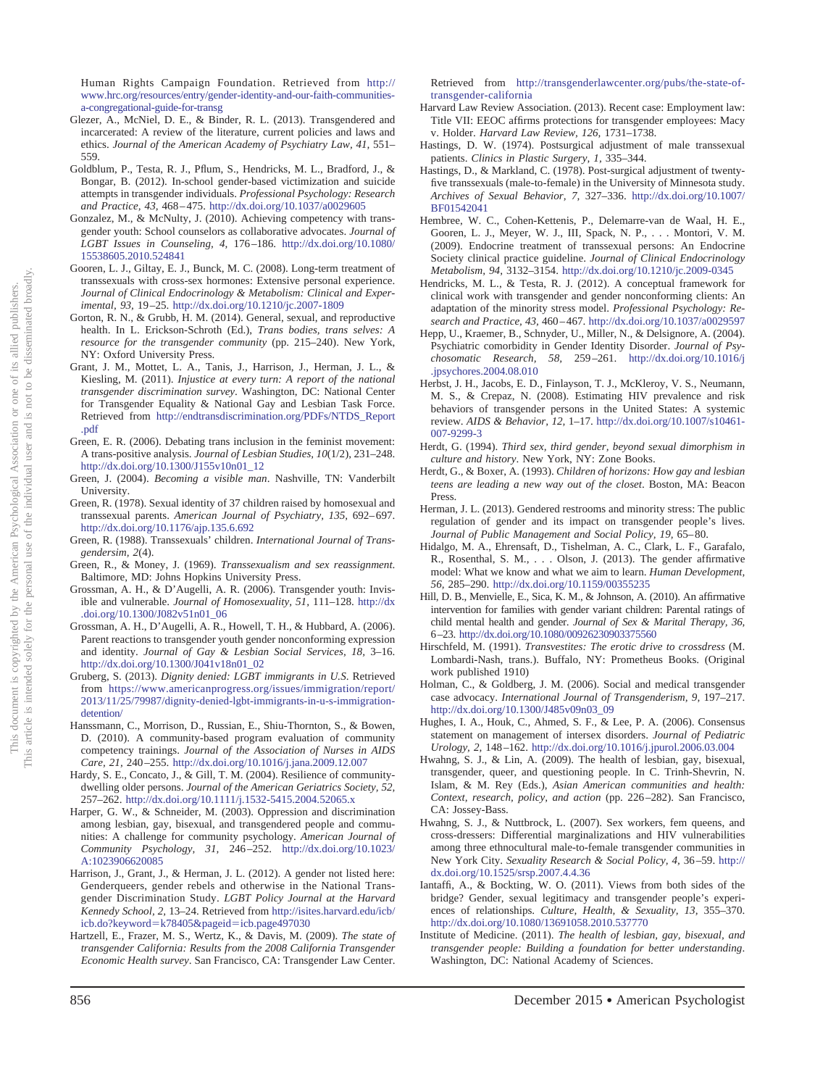Human Rights Campaign Foundation. Retrieved from [http://](http://www.hrc.org/resources/entry/gender-identity-and-our-faith-communities-a-congregational-guide-for-transg) [www.hrc.org/resources/entry/gender-identity-and-our-faith-communities](http://www.hrc.org/resources/entry/gender-identity-and-our-faith-communities-a-congregational-guide-for-transg)[a-congregational-guide-for-transg](http://www.hrc.org/resources/entry/gender-identity-and-our-faith-communities-a-congregational-guide-for-transg)

- <span id="page-24-15"></span>Glezer, A., McNiel, D. E., & Binder, R. L. (2013). Transgendered and incarcerated: A review of the literature, current policies and laws and ethics. *Journal of the American Academy of Psychiatry Law, 41,* 551– 559.
- <span id="page-24-26"></span>Goldblum, P., Testa, R. J., Pflum, S., Hendricks, M. L., Bradford, J., & Bongar, B. (2012). In-school gender-based victimization and suicide attempts in transgender individuals. *Professional Psychology: Research and Practice, 43,* 468 – 475. <http://dx.doi.org/10.1037/a0029605>
- <span id="page-24-13"></span>Gonzalez, M., & McNulty, J. (2010). Achieving competency with transgender youth: School counselors as collaborative advocates. *Journal of LGBT Issues in Counseling, 4,* 176 –186. [http://dx.doi.org/10.1080/](http://dx.doi.org/10.1080/15538605.2010.524841) [15538605.2010.524841](http://dx.doi.org/10.1080/15538605.2010.524841)
- <span id="page-24-27"></span>Gooren, L. J., Giltay, E. J., Bunck, M. C. (2008). Long-term treatment of transsexuals with cross-sex hormones: Extensive personal experience. *Journal of Clinical Endocrinology & Metabolism: Clinical and Experimental, 93,* 19 –25. <http://dx.doi.org/10.1210/jc.2007-1809>
- <span id="page-24-31"></span>Gorton, R. N., & Grubb, H. M. (2014). General, sexual, and reproductive health. In L. Erickson-Schroth (Ed.), *Trans bodies, trans selves: A resource for the transgender community* (pp. 215–240). New York, NY: Oxford University Press.
- <span id="page-24-0"></span>Grant, J. M., Mottet, L. A., Tanis, J., Harrison, J., Herman, J. L., & Kiesling, M. (2011). *Injustice at every turn: A report of the national transgender discrimination survey*. Washington, DC: National Center for Transgender Equality & National Gay and Lesbian Task Force. Retrieved from [http://endtransdiscrimination.org/PDFs/NTDS\\_Report](http://endtransdiscrimination.org/PDFs/NTDS_Report.pdf) [.pdf](http://endtransdiscrimination.org/PDFs/NTDS_Report.pdf)
- <span id="page-24-2"></span>Green, E. R. (2006). Debating trans inclusion in the feminist movement: A trans-positive analysis. *Journal of Lesbian Studies, 10*(1/2), 231–248. [http://dx.doi.org/10.1300/J155v10n01\\_12](http://dx.doi.org/10.1300/J155v10n01_12)
- <span id="page-24-10"></span>Green, J. (2004). *Becoming a visible man*. Nashville, TN: Vanderbilt University.
- <span id="page-24-29"></span>Green, R. (1978). Sexual identity of 37 children raised by homosexual and transsexual parents. *American Journal of Psychiatry, 135,* 692– 697. <http://dx.doi.org/10.1176/ajp.135.6.692>
- <span id="page-24-30"></span>Green, R. (1988). Transsexuals' children. *International Journal of Transgendersim, 2*(4).
- <span id="page-24-21"></span>Green, R., & Money, J. (1969). *Transsexualism and sex reassignment*. Baltimore, MD: Johns Hopkins University Press.
- <span id="page-24-1"></span>Grossman, A. H., & D'Augelli, A. R. (2006). Transgender youth: Invisible and vulnerable. *Journal of Homosexuality, 51,* 111–128. [http://dx](http://dx.doi.org/10.1300/J082v51n01_06) [.doi.org/10.1300/J082v51n01\\_06](http://dx.doi.org/10.1300/J082v51n01_06)
- <span id="page-24-20"></span>Grossman, A. H., D'Augelli, A. R., Howell, T. H., & Hubbard, A. (2006). Parent reactions to transgender youth gender nonconforming expression and identity. *Journal of Gay & Lesbian Social Services, 18,* 3–16. [http://dx.doi.org/10.1300/J041v18n01\\_02](http://dx.doi.org/10.1300/J041v18n01_02)
- <span id="page-24-12"></span>Gruberg, S. (2013). *Dignity denied: LGBT immigrants in U.S*. Retrieved from [https://www.americanprogress.org/issues/immigration/report/](http://www.americanprogress.org/issues/immigration/report/2013/11/25/79987/dignity-denied-lgbt-immigrants-in-u-s-immigration-detention/) [2013/11/25/79987/dignity-denied-lgbt-immigrants-in-u-s-immigration](http://www.americanprogress.org/issues/immigration/report/2013/11/25/79987/dignity-denied-lgbt-immigrants-in-u-s-immigration-detention/)[detention/](http://www.americanprogress.org/issues/immigration/report/2013/11/25/79987/dignity-denied-lgbt-immigrants-in-u-s-immigration-detention/)
- <span id="page-24-34"></span>Hanssmann, C., Morrison, D., Russian, E., Shiu-Thornton, S., & Bowen, D. (2010). A community-based program evaluation of community competency trainings. *Journal of the Association of Nurses in AIDS Care, 21,* 240 –255. <http://dx.doi.org/10.1016/j.jana.2009.12.007>
- <span id="page-24-24"></span>Hardy, S. E., Concato, J., & Gill, T. M. (2004). Resilience of communitydwelling older persons. *Journal of the American Geriatrics Society, 52,* 257–262. <http://dx.doi.org/10.1111/j.1532-5415.2004.52065.x>
- <span id="page-24-36"></span>Harper, G. W., & Schneider, M. (2003). Oppression and discrimination among lesbian, gay, bisexual, and transgendered people and communities: A challenge for community psychology. *American Journal of Community Psychology, 31,* 246 –252. [http://dx.doi.org/10.1023/](http://dx.doi.org/10.1023/A:1023906620085) [A:1023906620085](http://dx.doi.org/10.1023/A:1023906620085)
- <span id="page-24-5"></span>Harrison, J., Grant, J., & Herman, J. L. (2012). A gender not listed here: Genderqueers, gender rebels and otherwise in the National Transgender Discrimination Study. *LGBT Policy Journal at the Harvard Kennedy School, 2,* 13–24. Retrieved from [http://isites.harvard.edu/icb/](http://isites.harvard.edu/icb/icb.do?keyword=k78405&pageid=icb.page497030) icb.do?keyword-[k78405&pageid](http://isites.harvard.edu/icb/icb.do?keyword=k78405&pageid=icb.page497030)-icb.page497030
- <span id="page-24-23"></span>Hartzell, E., Frazer, M. S., Wertz, K., & Davis, M. (2009). *The state of transgender California: Results from the 2008 California Transgender Economic Health survey*. San Francisco, CA: Transgender Law Center.

Retrieved from [http://transgenderlawcenter.org/pubs/the-state-of](http://transgenderlawcenter.org/pubs/the-state-of-transgender-california)[transgender-california](http://transgenderlawcenter.org/pubs/the-state-of-transgender-california)

- <span id="page-24-16"></span>Harvard Law Review Association. (2013). Recent case: Employment law: Title VII: EEOC affirms protections for transgender employees: Macy v. Holder. *Harvard Law Review, 126,* 1731–1738.
- <span id="page-24-8"></span>Hastings, D. W. (1974). Postsurgical adjustment of male transsexual patients. *Clinics in Plastic Surgery, 1,* 335–344.
- <span id="page-24-22"></span>Hastings, D., & Markland, C. (1978). Post-surgical adjustment of twentyfive transsexuals (male-to-female) in the University of Minnesota study. *Archives of Sexual Behavior, 7,* 327–336. [http://dx.doi.org/10.1007/](http://dx.doi.org/10.1007/BF01542041) [BF01542041](http://dx.doi.org/10.1007/BF01542041)
- <span id="page-24-3"></span>Hembree, W. C., Cohen-Kettenis, P., Delemarre-van de Waal, H. E., Gooren, L. J., Meyer, W. J., III, Spack, N. P.,... Montori, V. M. (2009). Endocrine treatment of transsexual persons: An Endocrine Society clinical practice guideline. *Journal of Clinical Endocrinology Metabolism, 94,* 3132–3154. <http://dx.doi.org/10.1210/jc.2009-0345>
- <span id="page-24-17"></span>Hendricks, M. L., & Testa, R. J. (2012). A conceptual framework for clinical work with transgender and gender nonconforming clients: An adaptation of the minority stress model. *Professional Psychology: Research and Practice, 43,* 460 – 467. <http://dx.doi.org/10.1037/a0029597>
- <span id="page-24-25"></span>Hepp, U., Kraemer, B., Schnyder, U., Miller, N., & Delsignore, A. (2004). Psychiatric comorbidity in Gender Identity Disorder. *Journal of Psychosomatic Research, 58,* 259 –261. [http://dx.doi.org/10.1016/j](http://dx.doi.org/10.1016/j.jpsychores.2004.08.010) [.jpsychores.2004.08.010](http://dx.doi.org/10.1016/j.jpsychores.2004.08.010)
- <span id="page-24-33"></span>Herbst, J. H., Jacobs, E. D., Finlayson, T. J., McKleroy, V. S., Neumann, M. S., & Crepaz, N. (2008). Estimating HIV prevalence and risk behaviors of transgender persons in the United States: A systemic review. *AIDS & Behavior, 12,* 1–17. [http://dx.doi.org/10.1007/s10461-](http://dx.doi.org/10.1007/s10461-007-9299-3) [007-9299-3](http://dx.doi.org/10.1007/s10461-007-9299-3)
- <span id="page-24-6"></span>Herdt, G. (1994). *Third sex, third gender, beyond sexual dimorphism in culture and history*. New York, NY: Zone Books.
- <span id="page-24-9"></span>Herdt, G., & Boxer, A. (1993). *Children of horizons: How gay and lesbian teens are leading a new way out of the closet*. Boston, MA: Beacon Press.
- <span id="page-24-14"></span>Herman, J. L. (2013). Gendered restrooms and minority stress: The public regulation of gender and its impact on transgender people's lives. *Journal of Public Management and Social Policy, 19,* 65– 80.
- <span id="page-24-19"></span>Hidalgo, M. A., Ehrensaft, D., Tishelman, A. C., Clark, L. F., Garafalo, R., Rosenthal, S. M.,... Olson, J. (2013). The gender affirmative model: What we know and what we aim to learn. *Human Development, 56,* 285–290. <http://dx.doi.org/10.1159/00355235>
- <span id="page-24-18"></span>Hill, D. B., Menvielle, E., Sica, K. M., & Johnson, A. (2010). An affirmative intervention for families with gender variant children: Parental ratings of child mental health and gender. *Journal of Sex & Marital Therapy, 36,* 6 –23. <http://dx.doi.org/10.1080/00926230903375560>
- <span id="page-24-7"></span>Hirschfeld, M. (1991). *Transvestites: The erotic drive to crossdress* (M. Lombardi-Nash, trans.). Buffalo, NY: Prometheus Books. (Original work published 1910)
- <span id="page-24-32"></span>Holman, C., & Goldberg, J. M. (2006). Social and medical transgender case advocacy. *International Journal of Transgenderism, 9,* 197–217. [http://dx.doi.org/10.1300/J485v09n03\\_09](http://dx.doi.org/10.1300/J485v09n03_09)
- <span id="page-24-37"></span>Hughes, I. A., Houk, C., Ahmed, S. F., & Lee, P. A. (2006). Consensus statement on management of intersex disorders. *Journal of Pediatric Urology, 2,* 148 –162. <http://dx.doi.org/10.1016/j.jpurol.2006.03.004>
- <span id="page-24-35"></span>Hwahng, S. J., & Lin, A. (2009). The health of lesbian, gay, bisexual, transgender, queer, and questioning people. In C. Trinh-Shevrin, N. Islam, & M. Rey (Eds.), *Asian American communities and health: Context, research, policy, and action* (pp. 226 –282). San Francisco, CA: Jossey-Bass.
- <span id="page-24-11"></span>Hwahng, S. J., & Nuttbrock, L. (2007). Sex workers, fem queens, and cross-dressers: Differential marginalizations and HIV vulnerabilities among three ethnocultural male-to-female transgender communities in New York City. *Sexuality Research & Social Policy, 4,* 36 –59. [http://](http://dx.doi.org/10.1525/srsp.2007.4.4.36) [dx.doi.org/10.1525/srsp.2007.4.4.36](http://dx.doi.org/10.1525/srsp.2007.4.4.36)
- <span id="page-24-28"></span>Iantaffi, A., & Bockting, W. O. (2011). Views from both sides of the bridge? Gender, sexual legitimacy and transgender people's experiences of relationships. *Culture, Health, & Sexuality, 13,* 355–370. <http://dx.doi.org/10.1080/13691058.2010.537770>
- <span id="page-24-4"></span>Institute of Medicine. (2011). *The health of lesbian, gay, bisexual, and transgender people: Building a foundation for better understanding*. Washington, DC: National Academy of Sciences.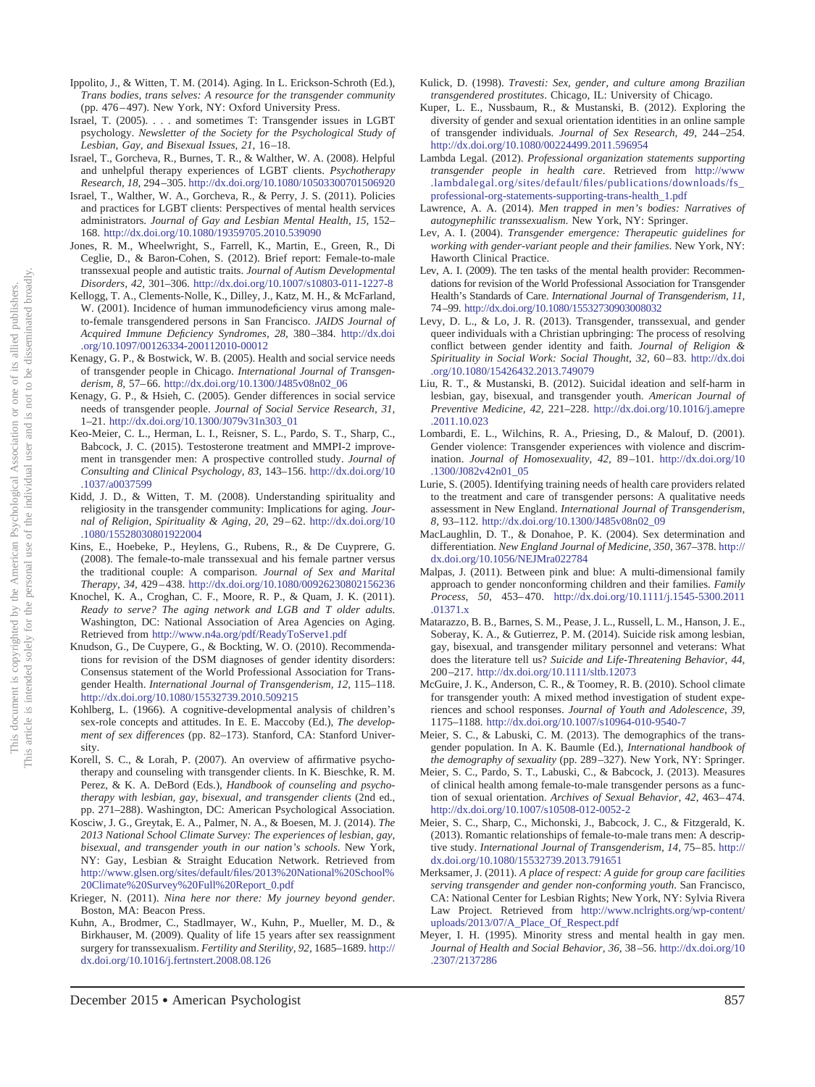- <span id="page-25-24"></span>Ippolito, J., & Witten, T. M. (2014). Aging. In L. Erickson-Schroth (Ed.), *Trans bodies, trans selves: A resource for the transgender community* (pp. 476-497). New York, NY: Oxford University Press.
- <span id="page-25-12"></span>Israel, T. (2005). . . . and sometimes T: Transgender issues in LGBT psychology. *Newsletter of the Society for the Psychological Study of Lesbian, Gay, and Bisexual Issues, 21,* 16 –18.
- <span id="page-25-11"></span>Israel, T., Gorcheva, R., Burnes, T. R., & Walther, W. A. (2008). Helpful and unhelpful therapy experiences of LGBT clients. *Psychotherapy Research, 18,* 294 –305. <http://dx.doi.org/10.1080/10503300701506920>
- <span id="page-25-34"></span>Israel, T., Walther, W. A., Gorcheva, R., & Perry, J. S. (2011). Policies and practices for LGBT clients: Perspectives of mental health services administrators. *Journal of Gay and Lesbian Mental Health, 15,* 152– 168. <http://dx.doi.org/10.1080/19359705.2010.539090>
- <span id="page-25-22"></span>Jones, R. M., Wheelwright, S., Farrell, K., Martin, E., Green, R., Di Ceglie, D., & Baron-Cohen, S. (2012). Brief report: Female-to-male transsexual people and autistic traits. *Journal of Autism Developmental Disorders, 42,* 301–306. <http://dx.doi.org/10.1007/s10803-011-1227-8>
- <span id="page-25-33"></span>Kellogg, T. A., Clements-Nolle, K., Dilley, J., Katz, M. H., & McFarland, W. (2001). Incidence of human immunodeficiency virus among maleto-female transgendered persons in San Francisco. *JAIDS Journal of Acquired Immune Deficiency Syndromes, 28,* 380 –384. [http://dx.doi](http://dx.doi.org/10.1097/00126334-200112010-00012) [.org/10.1097/00126334-200112010-00012](http://dx.doi.org/10.1097/00126334-200112010-00012)
- <span id="page-25-27"></span>Kenagy, G. P., & Bostwick, W. B. (2005). Health and social service needs of transgender people in Chicago. *International Journal of Transgenderism, 8,* 57– 66. [http://dx.doi.org/10.1300/J485v08n02\\_06](http://dx.doi.org/10.1300/J485v08n02_06)
- <span id="page-25-32"></span>Kenagy, G. P., & Hsieh, C. (2005). Gender differences in social service needs of transgender people. *Journal of Social Service Research, 31,* 1–21. [http://dx.doi.org/10.1300/J079v31n303\\_01](http://dx.doi.org/10.1300/J079v31n303_01)
- <span id="page-25-26"></span>Keo-Meier, C. L., Herman, L. I., Reisner, S. L., Pardo, S. T., Sharp, C., Babcock, J. C. (2015). Testosterone treatment and MMPI-2 improvement in transgender men: A prospective controlled study. *Journal of Consulting and Clinical Psychology, 83,* 143–156. [http://dx.doi.org/10](http://dx.doi.org/10.1037/a0037599) [.1037/a0037599](http://dx.doi.org/10.1037/a0037599)
- <span id="page-25-9"></span>Kidd, J. D., & Witten, T. M. (2008). Understanding spirituality and religiosity in the transgender community: Implications for aging. *Journal of Religion, Spirituality & Aging, 20,* 29 – 62. [http://dx.doi.org/10](http://dx.doi.org/10.1080/15528030801922004) [.1080/15528030801922004](http://dx.doi.org/10.1080/15528030801922004)
- <span id="page-25-30"></span>Kins, E., Hoebeke, P., Heylens, G., Rubens, R., & De Cuyprere, G. (2008). The female-to-male transsexual and his female partner versus the traditional couple: A comparison. *Journal of Sex and Marital Therapy, 34,* 429 – 438. <http://dx.doi.org/10.1080/00926230802156236>
- <span id="page-25-23"></span>Knochel, K. A., Croghan, C. F., Moore, R. P., & Quam, J. K. (2011). *Ready to serve? The aging network and LGB and T older adults*. Washington, DC: National Association of Area Agencies on Aging. Retrieved from <http://www.n4a.org/pdf/ReadyToServe1.pdf>
- <span id="page-25-35"></span>Knudson, G., De Cuypere, G., & Bockting, W. O. (2010). Recommendations for revision of the DSM diagnoses of gender identity disorders: Consensus statement of the World Professional Association for Transgender Health. *International Journal of Transgenderism, 12,* 115–118. <http://dx.doi.org/10.1080/15532739.2010.509215>
- <span id="page-25-5"></span>Kohlberg, L. (1966). A cognitive-developmental analysis of children's sex-role concepts and attitudes. In E. E. Maccoby (Ed.), *The development of sex differences* (pp. 82–173). Stanford, CA: Stanford University.
- <span id="page-25-1"></span>Korell, S. C., & Lorah, P. (2007). An overview of affirmative psychotherapy and counseling with transgender clients. In K. Bieschke, R. M. Perez, & K. A. DeBord (Eds.), *Handbook of counseling and psychotherapy with lesbian, gay, bisexual, and transgender clients* (2nd ed., pp. 271–288). Washington, DC: American Psychological Association.
- <span id="page-25-14"></span>Kosciw, J. G., Greytak, E. A., Palmer, N. A., & Boesen, M. J. (2014). *The 2013 National School Climate Survey: The experiences of lesbian, gay, bisexual, and transgender youth in our nation's schools*. New York, NY: Gay, Lesbian & Straight Education Network. Retrieved from [http://www.glsen.org/sites/default/files/2013%20National%20School%](http://www.glsen.org/sites/default/files/2013%20National%20School%20Climate%20Survey%20Full%20Report_0.pdf) [20Climate%20Survey%20Full%20Report\\_0.pdf](http://www.glsen.org/sites/default/files/2013%20National%20School%20Climate%20Survey%20Full%20Report_0.pdf)
- <span id="page-25-7"></span>Krieger, N. (2011). *Nina here nor there: My journey beyond gender*. Boston, MA: Beacon Press.
- <span id="page-25-29"></span>Kuhn, A., Brodmer, C., Stadlmayer, W., Kuhn, P., Mueller, M. D., & Birkhauser, M. (2009). Quality of life 15 years after sex reassignment surgery for transsexualism. *Fertility and Sterility, 92,* 1685–1689. [http://](http://dx.doi.org/10.1016/j.fertnstert.2008.08.126) [dx.doi.org/10.1016/j.fertnstert.2008.08.126](http://dx.doi.org/10.1016/j.fertnstert.2008.08.126)
- <span id="page-25-4"></span>Kulick, D. (1998). *Travesti: Sex, gender, and culture among Brazilian transgendered prostitutes*. Chicago, IL: University of Chicago.
- <span id="page-25-3"></span>Kuper, L. E., Nussbaum, R., & Mustanski, B. (2012). Exploring the diversity of gender and sexual orientation identities in an online sample of transgender individuals. *Journal of Sex Research, 49,* 244 –254. <http://dx.doi.org/10.1080/00224499.2011.596954>
- <span id="page-25-16"></span>Lambda Legal. (2012). *Professional organization statements supporting transgender people in health care*. Retrieved from [http://www](http://www.lambdalegal.org/sites/default/files/publications/downloads/fs_professional-org-statements-supporting-trans-health_1.pdf) [.lambdalegal.org/sites/default/files/publications/downloads/fs\\_](http://www.lambdalegal.org/sites/default/files/publications/downloads/fs_professional-org-statements-supporting-trans-health_1.pdf) [professional-org-statements-supporting-trans-health\\_1.pdf](http://www.lambdalegal.org/sites/default/files/publications/downloads/fs_professional-org-statements-supporting-trans-health_1.pdf)
- <span id="page-25-8"></span>Lawrence, A. A. (2014). *Men trapped in men's bodies: Narratives of autogynephilic transsexualism*. New York, NY: Springer.
- <span id="page-25-2"></span>Lev, A. I. (2004). *Transgender emergence: Therapeutic guidelines for working with gender-variant people and their families*. New York, NY: Haworth Clinical Practice.
- <span id="page-25-17"></span>Lev, A. I. (2009). The ten tasks of the mental health provider: Recommendations for revision of the World Professional Association for Transgender Health's Standards of Care. *International Journal of Transgenderism, 11,* 74 –99. <http://dx.doi.org/10.1080/15532730903008032>
- <span id="page-25-10"></span>Levy, D. L., & Lo, J. R. (2013). Transgender, transsexual, and gender queer individuals with a Christian upbringing: The process of resolving conflict between gender identity and faith. *Journal of Religion &* Spirituality in Social Work: Social Thought, 32, 60-83. [http://dx.doi](http://dx.doi.org/10.1080/15426432.2013.749079) [.org/10.1080/15426432.2013.749079](http://dx.doi.org/10.1080/15426432.2013.749079)
- <span id="page-25-21"></span>Liu, R. T., & Mustanski, B. (2012). Suicidal ideation and self-harm in lesbian, gay, bisexual, and transgender youth. *American Journal of Preventive Medicine, 42,* 221–228. [http://dx.doi.org/10.1016/j.amepre](http://dx.doi.org/10.1016/j.amepre.2011.10.023) [.2011.10.023](http://dx.doi.org/10.1016/j.amepre.2011.10.023)
- <span id="page-25-28"></span>Lombardi, E. L., Wilchins, R. A., Priesing, D., & Malouf, D. (2001). Gender violence: Transgender experiences with violence and discrimination. *Journal of Homosexuality, 42,* 89 –101. [http://dx.doi.org/10](http://dx.doi.org/10.1300/J082v42n01_05) [.1300/J082v42n01\\_05](http://dx.doi.org/10.1300/J082v42n01_05)
- <span id="page-25-13"></span>Lurie, S. (2005). Identifying training needs of health care providers related to the treatment and care of transgender persons: A qualitative needs assessment in New England. *International Journal of Transgenderism, 8,* 93–112. [http://dx.doi.org/10.1300/J485v08n02\\_09](http://dx.doi.org/10.1300/J485v08n02_09)
- <span id="page-25-36"></span>MacLaughlin, D. T., & Donahoe, P. K. (2004). Sex determination and differentiation. *New England Journal of Medicine, 350,* 367–378. [http://](http://dx.doi.org/10.1056/NEJMra022784) [dx.doi.org/10.1056/NEJMra022784](http://dx.doi.org/10.1056/NEJMra022784)
- <span id="page-25-20"></span>Malpas, J. (2011). Between pink and blue: A multi-dimensional family approach to gender nonconforming children and their families. *Family Process, 50,* 453– 470. [http://dx.doi.org/10.1111/j.1545-5300.2011](http://dx.doi.org/10.1111/j.1545-5300.2011.01371.x) [.01371.x](http://dx.doi.org/10.1111/j.1545-5300.2011.01371.x)
- <span id="page-25-15"></span>Matarazzo, B. B., Barnes, S. M., Pease, J. L., Russell, L. M., Hanson, J. E., Soberay, K. A., & Gutierrez, P. M. (2014). Suicide risk among lesbian, gay, bisexual, and transgender military personnel and veterans: What does the literature tell us? *Suicide and Life-Threatening Behavior, 44,* 200 –217. <http://dx.doi.org/10.1111/sltb.12073>
- <span id="page-25-18"></span>McGuire, J. K., Anderson, C. R., & Toomey, R. B. (2010). School climate for transgender youth: A mixed method investigation of student experiences and school responses. *Journal of Youth and Adolescence, 39,* 1175–1188. <http://dx.doi.org/10.1007/s10964-010-9540-7>
- <span id="page-25-0"></span>Meier, S. C., & Labuski, C. M. (2013). The demographics of the transgender population. In A. K. Baumle (Ed.), *International handbook of the demography of sexuality* (pp. 289 –327). New York, NY: Springer.
- <span id="page-25-6"></span>Meier, S. C., Pardo, S. T., Labuski, C., & Babcock, J. (2013). Measures of clinical health among female-to-male transgender persons as a function of sexual orientation. *Archives of Sexual Behavior*, 42, 463-474. <http://dx.doi.org/10.1007/s10508-012-0052-2>
- <span id="page-25-31"></span>Meier, S. C., Sharp, C., Michonski, J., Babcock, J. C., & Fitzgerald, K. (2013). Romantic relationships of female-to-male trans men: A descriptive study. *International Journal of Transgenderism, 14,* 75– 85. [http://](http://dx.doi.org/10.1080/15532739.2013.791651) [dx.doi.org/10.1080/15532739.2013.791651](http://dx.doi.org/10.1080/15532739.2013.791651)
- <span id="page-25-19"></span>Merksamer, J. (2011). *A place of respect: A guide for group care facilities serving transgender and gender non-conforming youth*. San Francisco, CA: National Center for Lesbian Rights; New York, NY: Sylvia Rivera Law Project. Retrieved from [http://www.nclrights.org/wp-content/](http://www.nclrights.org/wp-content/uploads/2013/07/A_Place_Of_Respect.pdf) [uploads/2013/07/A\\_Place\\_Of\\_Respect.pdf](http://www.nclrights.org/wp-content/uploads/2013/07/A_Place_Of_Respect.pdf)
- <span id="page-25-25"></span>Meyer, I. H. (1995). Minority stress and mental health in gay men. *Journal of Health and Social Behavior, 36,* 38 –56. [http://dx.doi.org/10](http://dx.doi.org/10.2307/2137286) [.2307/2137286](http://dx.doi.org/10.2307/2137286)

December 2015 ● American Psychologist 857

This document is copyrighted by the American Psychological Association or one of its allied publishers. This article is intended solely for the personal use of the individual user and is not to be disseminated broadly.

the American Psychological

ument is copyrighted by the American Psychological As<br>is intended solely for the personal use of the individual

This document This article

not to be disseminated broadly its allied publishers.

one of  $\rm \overleftarrow{\rm O}$ Š.

Association user and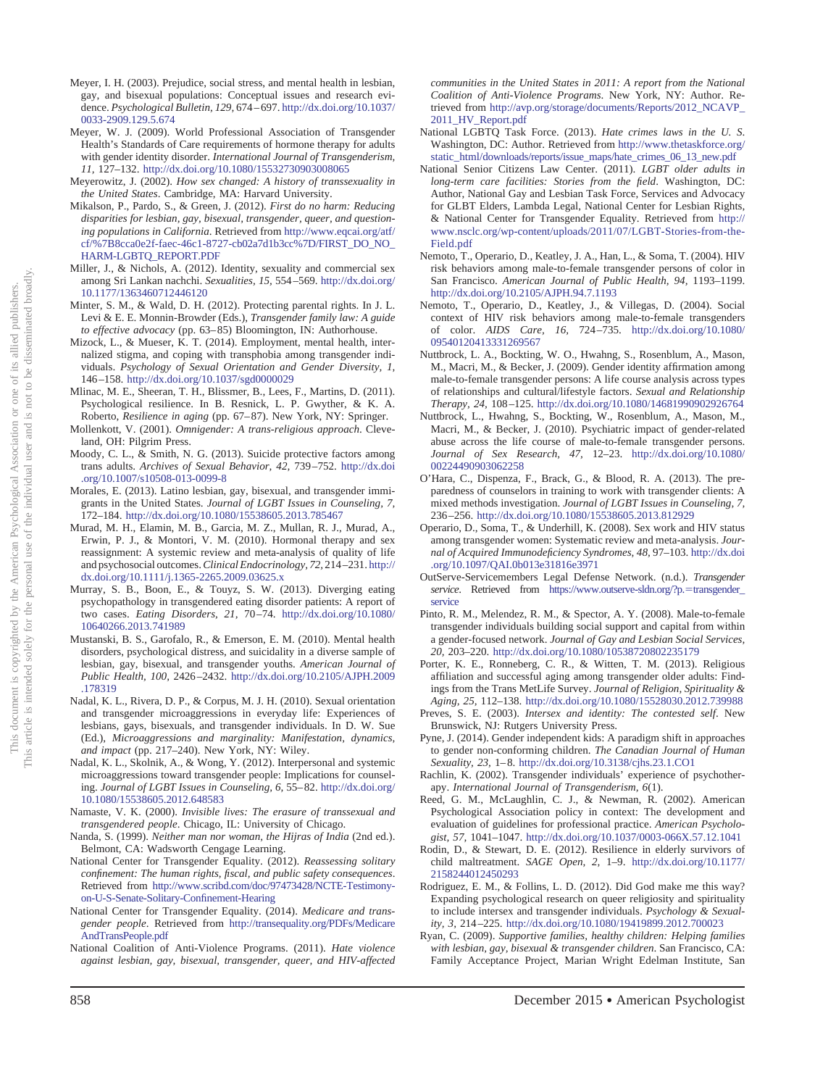This article is intended solely for the personal use of the individual user and is not to be disseminated broadly. not to be disseminated broadly its allied publishers. This document is copyrighted by the American Psychological Association or one of its allied publishers. one of  $\rm \tilde{o}$ Š. Association user and This document is copyrighted by the American Psychological As<br>This article is intended solely for the personal use of the individual the American Psychological.

- <span id="page-26-29"></span>Meyer, I. H. (2003). Prejudice, social stress, and mental health in lesbian, gay, and bisexual populations: Conceptual issues and research evidence. *Psychological Bulletin, 129,* 674 – 697. [http://dx.doi.org/10.1037/](http://dx.doi.org/10.1037/0033-2909.129.5.674) [0033-2909.129.5.674](http://dx.doi.org/10.1037/0033-2909.129.5.674)
- <span id="page-26-21"></span>Meyer, W. J. (2009). World Professional Association of Transgender Health's Standards of Care requirements of hormone therapy for adults with gender identity disorder. *International Journal of Transgenderism, 11,* 127–132. <http://dx.doi.org/10.1080/15532730903008065>
- <span id="page-26-6"></span>Meyerowitz, J. (2002). *How sex changed: A history of transsexuality in the United States*. Cambridge, MA: Harvard University.
- <span id="page-26-1"></span>Mikalson, P., Pardo, S., & Green, J. (2012). *First do no harm: Reducing disparities for lesbian, gay, bisexual, transgender, queer, and questioning populations in California*. Retrieved from [http://www.eqcai.org/atf/](http://www.eqcai.org/atf/cf/%7B8cca0e2f-faec-46c1-8727-cb02a7d1b3cc%7D/FIRST_DO_NO_HARM-LGBTQ_REPORT.PDF) [cf/%7B8cca0e2f-faec-46c1-8727-cb02a7d1b3cc%7D/FIRST\\_DO\\_NO\\_](http://www.eqcai.org/atf/cf/%7B8cca0e2f-faec-46c1-8727-cb02a7d1b3cc%7D/FIRST_DO_NO_HARM-LGBTQ_REPORT.PDF) [HARM-LGBTQ\\_REPORT.PDF](http://www.eqcai.org/atf/cf/%7B8cca0e2f-faec-46c1-8727-cb02a7d1b3cc%7D/FIRST_DO_NO_HARM-LGBTQ_REPORT.PDF)
- <span id="page-26-0"></span>Miller, J., & Nichols, A. (2012). Identity, sexuality and commercial sex among Sri Lankan nachchi. *Sexualities, 15,* 554 –569. [http://dx.doi.org/](http://dx.doi.org/10.1177/1363460712446120) [10.1177/1363460712446120](http://dx.doi.org/10.1177/1363460712446120)
- <span id="page-26-35"></span>Minter, S. M., & Wald, D. H. (2012). Protecting parental rights. In J. L. Levi & E. E. Monnin-Browder (Eds.), *Transgender family law: A guide to effective advocacy* (pp. 63– 85) Bloomington, IN: Authorhouse.
- <span id="page-26-14"></span>Mizock, L., & Mueser, K. T. (2014). Employment, mental health, internalized stigma, and coping with transphobia among transgender individuals. *Psychology of Sexual Orientation and Gender Diversity, 1,* 146 –158. <http://dx.doi.org/10.1037/sgd0000029>
- <span id="page-26-27"></span>Mlinac, M. E., Sheeran, T. H., Blissmer, B., Lees, F., Martins, D. (2011). Psychological resilience. In B. Resnick, L. P. Gwyther, & K. A. Roberto, *Resilience in aging* (pp. 67–87). New York, NY: Springer.
- <span id="page-26-4"></span>Mollenkott, V. (2001). *Omnigender: A trans-religious approach*. Cleveland, OH: Pilgrim Press.
- <span id="page-26-33"></span>Moody, C. L., & Smith, N. G. (2013). Suicide protective factors among trans adults. *Archives of Sexual Behavior, 42,* 739 –752. [http://dx.doi](http://dx.doi.org/10.1007/s10508-013-0099-8) [.org/10.1007/s10508-013-0099-8](http://dx.doi.org/10.1007/s10508-013-0099-8)
- <span id="page-26-19"></span>Morales, E. (2013). Latino lesbian, gay, bisexual, and transgender immigrants in the United States. *Journal of LGBT Issues in Counseling, 7,* 172–184. <http://dx.doi.org/10.1080/15538605.2013.785467>
- <span id="page-26-31"></span>Murad, M. H., Elamin, M. B., Garcia, M. Z., Mullan, R. J., Murad, A., Erwin, P. J., & Montori, V. M. (2010). Hormonal therapy and sex reassignment: A systemic review and meta-analysis of quality of life and psychosocial outcomes.*Clinical Endocrinology, 72,* 214 –231. [http://](http://dx.doi.org/10.1111/j.1365-2265.2009.03625.x) [dx.doi.org/10.1111/j.1365-2265.2009.03625.x](http://dx.doi.org/10.1111/j.1365-2265.2009.03625.x)
- <span id="page-26-30"></span>Murray, S. B., Boon, E., & Touyz, S. W. (2013). Diverging eating psychopathology in transgendered eating disorder patients: A report of two cases. *Eating Disorders, 21,* 70 –74. [http://dx.doi.org/10.1080/](http://dx.doi.org/10.1080/10640266.2013.741989) [10640266.2013.741989](http://dx.doi.org/10.1080/10640266.2013.741989)
- <span id="page-26-24"></span>Mustanski, B. S., Garofalo, R., & Emerson, E. M. (2010). Mental health disorders, psychological distress, and suicidality in a diverse sample of lesbian, gay, bisexual, and transgender youths. *American Journal of Public Health, 100,* 2426 –2432. [http://dx.doi.org/10.2105/AJPH.2009](http://dx.doi.org/10.2105/AJPH.2009.178319) [.178319](http://dx.doi.org/10.2105/AJPH.2009.178319)
- <span id="page-26-11"></span>Nadal, K. L., Rivera, D. P., & Corpus, M. J. H. (2010). Sexual orientation and transgender microaggressions in everyday life: Experiences of lesbians, gays, bisexuals, and transgender individuals. In D. W. Sue (Ed.), *Microaggressions and marginality: Manifestation, dynamics, and impact* (pp. 217–240). New York, NY: Wiley.
- <span id="page-26-12"></span>Nadal, K. L., Skolnik, A., & Wong, Y. (2012). Interpersonal and systemic microaggressions toward transgender people: Implications for counseling. *Journal of LGBT Issues in Counseling, 6,* 55– 82. [http://dx.doi.org/](http://dx.doi.org/10.1080/15538605.2012.648583) [10.1080/15538605.2012.648583](http://dx.doi.org/10.1080/15538605.2012.648583)
- <span id="page-26-37"></span>Namaste, V. K. (2000). *Invisible lives: The erasure of transsexual and transgendered people*. Chicago, IL: University of Chicago.
- <span id="page-26-5"></span>Nanda, S. (1999). *Neither man nor woman, the Hijras of India* (2nd ed.). Belmont, CA: Wadsworth Cengage Learning.
- <span id="page-26-18"></span>National Center for Transgender Equality. (2012). *Reassessing solitary confinement: The human rights, fiscal, and public safety consequences*. Retrieved from [http://www.scribd.com/doc/97473428/NCTE-Testimony](http://www.scribd.com/doc/97473428/NCTE-Testimony-on-U-S-Senate-Solitary-Confinement-Hearing)[on-U-S-Senate-Solitary-Confinement-Hearing](http://www.scribd.com/doc/97473428/NCTE-Testimony-on-U-S-Senate-Solitary-Confinement-Hearing)
- <span id="page-26-20"></span>National Center for Transgender Equality. (2014). *Medicare and transgender people*. Retrieved from [http://transequality.org/PDFs/Medicare](http://transequality.org/PDFs/MedicareAndTransPeople.pdf) [AndTransPeople.pdf](http://transequality.org/PDFs/MedicareAndTransPeople.pdf)
- <span id="page-26-13"></span>National Coalition of Anti-Violence Programs. (2011). *Hate violence against lesbian, gay, bisexual, transgender, queer, and HIV-affected*

*communities in the United States in 2011: A report from the National Coalition of Anti-Violence Programs*. New York, NY: Author. Retrieved from [http://avp.org/storage/documents/Reports/2012\\_NCAVP\\_](http://avp.org/storage/documents/Reports/2012_NCAVP_2011_HV_Report.pdf) [2011\\_HV\\_Report.pdf](http://avp.org/storage/documents/Reports/2012_NCAVP_2011_HV_Report.pdf)

- <span id="page-26-22"></span>National LGBTQ Task Force. (2013). *Hate crimes laws in the U. S*. Washington, DC: Author. Retrieved from [http://www.thetaskforce.org/](http://www.thetaskforce.org/static_html/downloads/reports/issue_maps/hate_crimes_06_13_new.pdf) [static\\_html/downloads/reports/issue\\_maps/hate\\_crimes\\_06\\_13\\_new.pdf](http://www.thetaskforce.org/static_html/downloads/reports/issue_maps/hate_crimes_06_13_new.pdf)
- <span id="page-26-26"></span>National Senior Citizens Law Center. (2011). *LGBT older adults in long-term care facilities: Stories from the field*. Washington, DC: Author, National Gay and Lesbian Task Force, Services and Advocacy for GLBT Elders, Lambda Legal, National Center for Lesbian Rights, & National Center for Transgender Equality. Retrieved from [http://](http://www.nsclc.org/wp-content/uploads/2011/07/LGBT-Stories-from-the-Field.pdf) [www.nsclc.org/wp-content/uploads/2011/07/LGBT-Stories-from-the-](http://www.nsclc.org/wp-content/uploads/2011/07/LGBT-Stories-from-the-Field.pdf)[Field.pdf](http://www.nsclc.org/wp-content/uploads/2011/07/LGBT-Stories-from-the-Field.pdf)
- <span id="page-26-36"></span>Nemoto, T., Operario, D., Keatley, J. A., Han, L., & Soma, T. (2004). HIV risk behaviors among male-to-female transgender persons of color in San Francisco. *American Journal of Public Health, 94,* 1193–1199. <http://dx.doi.org/10.2105/AJPH.94.7.1193>
- <span id="page-26-17"></span>Nemoto, T., Operario, D., Keatley, J., & Villegas, D. (2004). Social context of HIV risk behaviors among male-to-female transgenders of color. *AIDS Care, 16,* 724 –735. [http://dx.doi.org/10.1080/](http://dx.doi.org/10.1080/09540120413331269567) [09540120413331269567](http://dx.doi.org/10.1080/09540120413331269567)
- <span id="page-26-34"></span>Nuttbrock, L. A., Bockting, W. O., Hwahng, S., Rosenblum, A., Mason, M., Macri, M., & Becker, J. (2009). Gender identity affirmation among male-to-female transgender persons: A life course analysis across types of relationships and cultural/lifestyle factors. *Sexual and Relationship Therapy, 24,* 108 –125. <http://dx.doi.org/10.1080/14681990902926764>
- <span id="page-26-25"></span>Nuttbrock, L., Hwahng, S., Bockting, W., Rosenblum, A., Mason, M., Macri, M., & Becker, J. (2010). Psychiatric impact of gender-related abuse across the life course of male-to-female transgender persons. *Journal of Sex Research, 47,* 12–23. [http://dx.doi.org/10.1080/](http://dx.doi.org/10.1080/00224490903062258) [00224490903062258](http://dx.doi.org/10.1080/00224490903062258)
- <span id="page-26-38"></span>O'Hara, C., Dispenza, F., Brack, G., & Blood, R. A. (2013). The preparedness of counselors in training to work with transgender clients: A mixed methods investigation. *Journal of LGBT Issues in Counseling, 7,* 236 –256. <http://dx.doi.org/10.1080/15538605.2013.812929>
- <span id="page-26-16"></span>Operario, D., Soma, T., & Underhill, K. (2008). Sex work and HIV status among transgender women: Systematic review and meta-analysis. *Journal of Acquired Immunodeficiency Syndromes, 48,* 97–103. [http://dx.doi](http://dx.doi.org/10.1097/QAI.0b013e31816e3971) [.org/10.1097/QAI.0b013e31816e3971](http://dx.doi.org/10.1097/QAI.0b013e31816e3971)
- <span id="page-26-15"></span>OutServe-Servicemembers Legal Defense Network. (n.d.). *Transgender* service. Retrieved from [https://www.outserve-sldn.org/?p.](http://www.outserve-sldn.org/?p.=transgender_service)=transgender\_ [service](http://www.outserve-sldn.org/?p.=transgender_service)
- <span id="page-26-32"></span>Pinto, R. M., Melendez, R. M., & Spector, A. Y. (2008). Male-to-female transgender individuals building social support and capital from within a gender-focused network. *Journal of Gay and Lesbian Social Services, 20,* 203–220. <http://dx.doi.org/10.1080/10538720802235179>
- <span id="page-26-8"></span>Porter, K. E., Ronneberg, C. R., & Witten, T. M. (2013). Religious affiliation and successful aging among transgender older adults: Findings from the Trans MetLife Survey. *Journal of Religion, Spirituality & Aging, 25,* 112–138. <http://dx.doi.org/10.1080/15528030.2012.739988>
- <span id="page-26-2"></span>Preves, S. E. (2003). *Intersex and identity: The contested self*. New Brunswick, NJ: Rutgers University Press.
- <span id="page-26-23"></span>Pyne, J. (2014). Gender independent kids: A paradigm shift in approaches to gender non-conforming children. *The Canadian Journal of Human Sexuality, 23,* 1– 8. <http://dx.doi.org/10.3138/cjhs.23.1.CO1>
- <span id="page-26-10"></span>Rachlin, K. (2002). Transgender individuals' experience of psychotherapy. *International Journal of Transgenderism, 6*(1).
- <span id="page-26-3"></span>Reed, G. M., McLaughlin, C. J., & Newman, R. (2002). American Psychological Association policy in context: The development and evaluation of guidelines for professional practice. *American Psychologist, 57,* 1041–1047. <http://dx.doi.org/10.1037/0003-066X.57.12.1041>
- <span id="page-26-28"></span>Rodin, D., & Stewart, D. E. (2012). Resilience in elderly survivors of child maltreatment. *SAGE Open, 2,* 1–9. [http://dx.doi.org/10.1177/](http://dx.doi.org/10.1177/2158244012450293) [2158244012450293](http://dx.doi.org/10.1177/2158244012450293)
- <span id="page-26-9"></span>Rodriguez, E. M., & Follins, L. D. (2012). Did God make me this way? Expanding psychological research on queer religiosity and spirituality to include intersex and transgender individuals. *Psychology & Sexuality, 3,* 214 –225. <http://dx.doi.org/10.1080/19419899.2012.700023>
- <span id="page-26-7"></span>Ryan, C. (2009). *Supportive families, healthy children: Helping families with lesbian, gay, bisexual & transgender children*. San Francisco, CA: Family Acceptance Project, Marian Wright Edelman Institute, San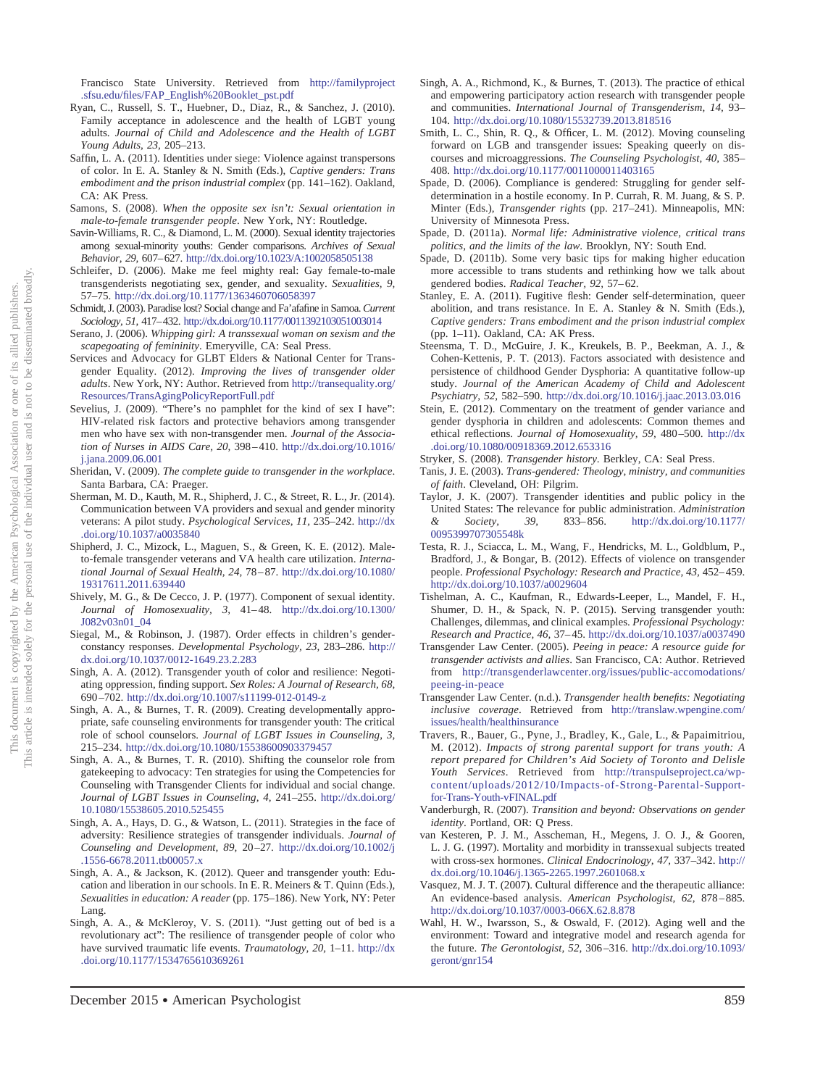Francisco State University. Retrieved from [http://familyproject](http://familyproject.sfsu.edu/files/FAP_English%20Booklet_pst.pdf) [.sfsu.edu/files/FAP\\_English%20Booklet\\_pst.pdf](http://familyproject.sfsu.edu/files/FAP_English%20Booklet_pst.pdf)

- <span id="page-27-32"></span>Ryan, C., Russell, S. T., Huebner, D., Diaz, R., & Sanchez, J. (2010). Family acceptance in adolescence and the health of LGBT young adults. *Journal of Child and Adolescence and the Health of LGBT Young Adults, 23,* 205–213.
- <span id="page-27-12"></span>Saffin, L. A. (2011). Identities under siege: Violence against transpersons of color. In E. A. Stanley & N. Smith (Eds.), *Captive genders: Trans embodiment and the prison industrial complex* (pp. 141–162). Oakland, CA: AK Press.
- <span id="page-27-8"></span>Samons, S. (2008). *When the opposite sex isn't: Sexual orientation in male-to-female transgender people*. New York, NY: Routledge.
- <span id="page-27-5"></span>Savin-Williams, R. C., & Diamond, L. M. (2000). Sexual identity trajectories among sexual-minority youths: Gender comparisons. *Archives of Sexual Behavior, 29,* 607– 627. <http://dx.doi.org/10.1023/A:1002058505138>
- <span id="page-27-7"></span>Schleifer, D. (2006). Make me feel mighty real: Gay female-to-male transgenderists negotiating sex, gender, and sexuality. *Sexualities, 9,* 57–75. <http://dx.doi.org/10.1177/1363460706058397>
- <span id="page-27-0"></span>Schmidt, J. (2003). Paradise lost? Social change and Fa'afafine in Samoa.*Current Sociology, 51,* 417–432. <http://dx.doi.org/10.1177/0011392103051003014>
- <span id="page-27-1"></span>Serano, J. (2006). *Whipping girl: A transsexual woman on sexism and the scapegoating of femininity*. Emeryville, CA: Seal Press.
- <span id="page-27-34"></span>Services and Advocacy for GLBT Elders & National Center for Transgender Equality. (2012). *Improving the lives of transgender older adults*. New York, NY: Author. Retrieved from [http://transequality.org/](http://transequality.org/Resources/TransAgingPolicyReportFull.pdf) [Resources/TransAgingPolicyReportFull.pdf](http://transequality.org/Resources/TransAgingPolicyReportFull.pdf)
- <span id="page-27-36"></span>Sevelius, J. (2009). "There's no pamphlet for the kind of sex I have": HIV-related risk factors and protective behaviors among transgender men who have sex with non-transgender men. *Journal of the Association of Nurses in AIDS Care, 20,* 398 – 410. [http://dx.doi.org/10.1016/](http://dx.doi.org/10.1016/j.jana.2009.06.001) [j.jana.2009.06.001](http://dx.doi.org/10.1016/j.jana.2009.06.001)
- <span id="page-27-25"></span>Sheridan, V. (2009). *The complete guide to transgender in the workplace*. Santa Barbara, CA: Praeger.
- <span id="page-27-14"></span>Sherman, M. D., Kauth, M. R., Shipherd, J. C., & Street, R. L., Jr. (2014). Communication between VA providers and sexual and gender minority veterans: A pilot study. *Psychological Services, 11,* 235–242. [http://dx](http://dx.doi.org/10.1037/a0035840) [.doi.org/10.1037/a0035840](http://dx.doi.org/10.1037/a0035840)
- <span id="page-27-15"></span>Shipherd, J. C., Mizock, L., Maguen, S., & Green, K. E. (2012). Maleto-female transgender veterans and VA health care utilization. *International Journal of Sexual Health, 24,* 78 – 87. [http://dx.doi.org/10.1080/](http://dx.doi.org/10.1080/19317611.2011.639440) [19317611.2011.639440](http://dx.doi.org/10.1080/19317611.2011.639440)
- <span id="page-27-4"></span>Shively, M. G., & De Cecco, J. P. (1977). Component of sexual identity. *Journal of Homosexuality, 3,* 41– 48. [http://dx.doi.org/10.1300/](http://dx.doi.org/10.1300/J082v03n01_04) [J082v03n01\\_04](http://dx.doi.org/10.1300/J082v03n01_04)
- <span id="page-27-27"></span>Siegal, M., & Robinson, J. (1987). Order effects in children's genderconstancy responses. *Developmental Psychology, 23,* 283–286. [http://](http://dx.doi.org/10.1037/0012-1649.23.2.283) [dx.doi.org/10.1037/0012-1649.23.2.283](http://dx.doi.org/10.1037/0012-1649.23.2.283)
- <span id="page-27-10"></span>Singh, A. A. (2012). Transgender youth of color and resilience: Negotiating oppression, finding support. *Sex Roles: A Journal of Research, 68,* 690 –702. <http://dx.doi.org/10.1007/s11199-012-0149-z>
- <span id="page-27-9"></span>Singh, A. A., & Burnes, T. R. (2009). Creating developmentally appropriate, safe counseling environments for transgender youth: The critical role of school counselors. *Journal of LGBT Issues in Counseling, 3,* 215–234. <http://dx.doi.org/10.1080/15538600903379457>
- <span id="page-27-39"></span>Singh, A. A., & Burnes, T. R. (2010). Shifting the counselor role from gatekeeping to advocacy: Ten strategies for using the Competencies for Counseling with Transgender Clients for individual and social change. *Journal of LGBT Issues in Counseling, 4,* 241–255. [http://dx.doi.org/](http://dx.doi.org/10.1080/15538605.2010.525455) [10.1080/15538605.2010.525455](http://dx.doi.org/10.1080/15538605.2010.525455)
- <span id="page-27-3"></span>Singh, A. A., Hays, D. G., & Watson, L. (2011). Strategies in the face of adversity: Resilience strategies of transgender individuals. *Journal of Counseling and Development, 89,* 20 –27. [http://dx.doi.org/10.1002/j](http://dx.doi.org/10.1002/j.1556-6678.2011.tb00057.x) [.1556-6678.2011.tb00057.x](http://dx.doi.org/10.1002/j.1556-6678.2011.tb00057.x)
- <span id="page-27-13"></span>Singh, A. A., & Jackson, K. (2012). Queer and transgender youth: Education and liberation in our schools. In E. R. Meiners & T. Quinn (Eds.), *Sexualities in education: A reader* (pp. 175–186). New York, NY: Peter Lang.
- <span id="page-27-18"></span>Singh, A. A., & McKleroy, V. S. (2011). "Just getting out of bed is a revolutionary act": The resilience of transgender people of color who have survived traumatic life events. *Traumatology, 20,* 1–11. [http://dx](http://dx.doi.org/10.1177/1534765610369261) [.doi.org/10.1177/1534765610369261](http://dx.doi.org/10.1177/1534765610369261)
- <span id="page-27-37"></span>Singh, A. A., Richmond, K., & Burnes, T. (2013). The practice of ethical and empowering participatory action research with transgender people and communities. *International Journal of Transgenderism, 14,* 93– 104. <http://dx.doi.org/10.1080/15532739.2013.818516>
- <span id="page-27-21"></span>Smith, L. C., Shin, R. Q., & Officer, L. M. (2012). Moving counseling forward on LGB and transgender issues: Speaking queerly on discourses and microaggressions. *The Counseling Psychologist, 40,* 385– 408. <http://dx.doi.org/10.1177/0011000011403165>
- <span id="page-27-26"></span>Spade, D. (2006). Compliance is gendered: Struggling for gender selfdetermination in a hostile economy. In P. Currah, R. M. Juang, & S. P. Minter (Eds.), *Transgender rights* (pp. 217–241). Minneapolis, MN: University of Minnesota Press.
- <span id="page-27-24"></span>Spade, D. (2011a). *Normal life: Administrative violence, critical trans politics, and the limits of the law*. Brooklyn, NY: South End.
- <span id="page-27-22"></span>Spade, D. (2011b). Some very basic tips for making higher education more accessible to trans students and rethinking how we talk about gendered bodies. *Radical Teacher, 92,* 57– 62.
- <span id="page-27-16"></span>Stanley, E. A. (2011). Fugitive flesh: Gender self-determination, queer abolition, and trans resistance. In E. A. Stanley & N. Smith (Eds.), *Captive genders: Trans embodiment and the prison industrial complex* (pp. 1–11). Oakland, CA: AK Press.
- <span id="page-27-28"></span>Steensma, T. D., McGuire, J. K., Kreukels, B. P., Beekman, A. J., & Cohen-Kettenis, P. T. (2013). Factors associated with desistence and persistence of childhood Gender Dysphoria: A quantitative follow-up study. *Journal of the American Academy of Child and Adolescent Psychiatry, 52,* 582–590. <http://dx.doi.org/10.1016/j.jaac.2013.03.016>
- <span id="page-27-29"></span>Stein, E. (2012). Commentary on the treatment of gender variance and gender dysphoria in children and adolescents: Common themes and ethical reflections. *Journal of Homosexuality, 59,* 480 –500. [http://dx](http://dx.doi.org/10.1080/00918369.2012.653316) [.doi.org/10.1080/00918369.2012.653316](http://dx.doi.org/10.1080/00918369.2012.653316)
- <span id="page-27-38"></span>Stryker, S. (2008). *Transgender history*. Berkley, CA: Seal Press.
- <span id="page-27-2"></span>Tanis, J. E. (2003). *Trans-gendered: Theology, ministry, and communities of faith*. Cleveland, OH: Pilgrim.
- <span id="page-27-23"></span>Taylor, J. K. (2007). Transgender identities and public policy in the United States: The relevance for public administration. *Administration & Society, 39,* 833– 856. [http://dx.doi.org/10.1177/](http://dx.doi.org/10.1177/0095399707305548k) [0095399707305548k](http://dx.doi.org/10.1177/0095399707305548k)
- <span id="page-27-17"></span>Testa, R. J., Sciacca, L. M., Wang, F., Hendricks, M. L., Goldblum, P., Bradford, J., & Bongar, B. (2012). Effects of violence on transgender people. Professional Psychology: Research and Practice, 43, 452-459. <http://dx.doi.org/10.1037/a0029604>
- <span id="page-27-30"></span>Tishelman, A. C., Kaufman, R., Edwards-Leeper, L., Mandel, F. H., Shumer, D. H., & Spack, N. P. (2015). Serving transgender youth: Challenges, dilemmas, and clinical examples. *Professional Psychology: Research and Practice, 46,* 37– 45. <http://dx.doi.org/10.1037/a0037490>
- <span id="page-27-20"></span>Transgender Law Center. (2005). *Peeing in peace: A resource guide for transgender activists and allies*. San Francisco, CA: Author. Retrieved from [http://transgenderlawcenter.org/issues/public-accomodations/](http://transgenderlawcenter.org/issues/public-accomodations/peeing-in-peace) [peeing-in-peace](http://transgenderlawcenter.org/issues/public-accomodations/peeing-in-peace)
- <span id="page-27-19"></span>Transgender Law Center. (n.d.). *Transgender health benefits: Negotiating inclusive coverage*. Retrieved from [http://translaw.wpengine.com/](http://translaw.wpengine.com/issues/health/healthinsurance) [issues/health/healthinsurance](http://translaw.wpengine.com/issues/health/healthinsurance)
- <span id="page-27-31"></span>Travers, R., Bauer, G., Pyne, J., Bradley, K., Gale, L., & Papaimitriou, M. (2012). *Impacts of strong parental support for trans youth: A report prepared for Children's Aid Society of Toronto and Delisle Youth Services*. Retrieved from [http://transpulseproject.ca/wp](http://transpulseproject.ca/wp-content/uploads/2012/10/Impacts-of-Strong-Parental-Support-for-Trans-Youth-vFINAL.pdf)[content/uploads/2012/10/Impacts-of-Strong-Parental-Support](http://transpulseproject.ca/wp-content/uploads/2012/10/Impacts-of-Strong-Parental-Support-for-Trans-Youth-vFINAL.pdf)[for-Trans-Youth-vFINAL.pdf](http://transpulseproject.ca/wp-content/uploads/2012/10/Impacts-of-Strong-Parental-Support-for-Trans-Youth-vFINAL.pdf)
- <span id="page-27-6"></span>Vanderburgh, R. (2007). *Transition and beyond: Observations on gender identity*. Portland, OR: Q Press.
- <span id="page-27-35"></span>van Kesteren, P. J. M., Asscheman, H., Megens, J. O. J., & Gooren, L. J. G. (1997). Mortality and morbidity in transsexual subjects treated with cross-sex hormones. *Clinical Endocrinology, 47,* 337–342. [http://](http://dx.doi.org/10.1046/j.1365-2265.1997.2601068.x) [dx.doi.org/10.1046/j.1365-2265.1997.2601068.x](http://dx.doi.org/10.1046/j.1365-2265.1997.2601068.x)
- <span id="page-27-11"></span>Vasquez, M. J. T. (2007). Cultural difference and the therapeutic alliance: An evidence-based analysis. *American Psychologist, 62,* 878 – 885. <http://dx.doi.org/10.1037/0003-066X.62.8.878>
- <span id="page-27-33"></span>Wahl, H. W., Iwarsson, S., & Oswald, F. (2012). Aging well and the environment: Toward and integrative model and research agenda for the future. *The Gerontologist, 52,* 306 –316. [http://dx.doi.org/10.1093/](http://dx.doi.org/10.1093/geront/gnr154) [geront/gnr154](http://dx.doi.org/10.1093/geront/gnr154)

December 2015 ● American Psychologist 859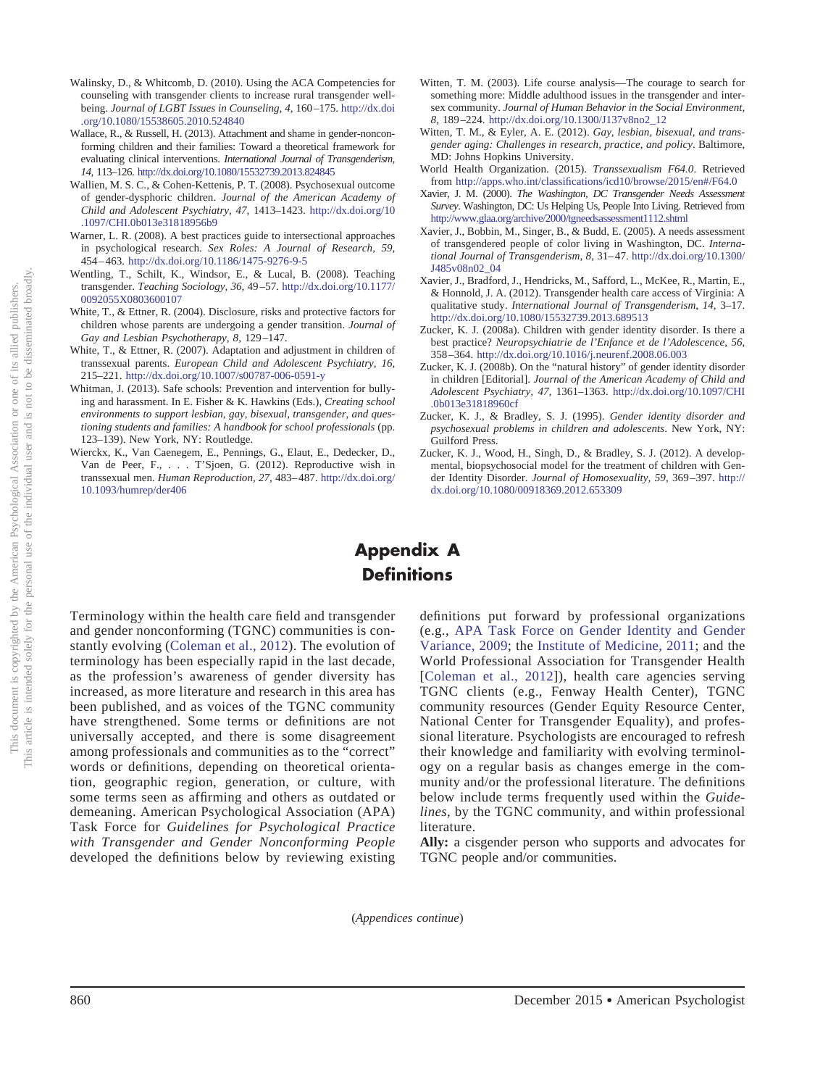- <span id="page-28-13"></span>Walinsky, D., & Whitcomb, D. (2010). Using the ACA Competencies for counseling with transgender clients to increase rural transgender wellbeing. *Journal of LGBT Issues in Counseling, 4, 160-175. [http://dx.doi](http://dx.doi.org/10.1080/15538605.2010.524840)* [.org/10.1080/15538605.2010.524840](http://dx.doi.org/10.1080/15538605.2010.524840)
- <span id="page-28-10"></span>Wallace, R., & Russell, H. (2013). Attachment and shame in gender-nonconforming children and their families: Toward a theoretical framework for evaluating clinical interventions. *International Journal of Transgenderism, 14,* 113–126. <http://dx.doi.org/10.1080/15532739.2013.824845>
- <span id="page-28-7"></span>Wallien, M. S. C., & Cohen-Kettenis, P. T. (2008). Psychosexual outcome of gender-dysphoric children. *Journal of the American Academy of Child and Adolescent Psychiatry, 47,* 1413–1423. [http://dx.doi.org/10](http://dx.doi.org/10.1097/CHI.0b013e31818956b9) [.1097/CHI.0b013e31818956b9](http://dx.doi.org/10.1097/CHI.0b013e31818956b9)
- <span id="page-28-3"></span>Warner, L. R. (2008). A best practices guide to intersectional approaches in psychological research. *Sex Roles: A Journal of Research, 59,* 454 – 463. <http://dx.doi.org/10.1186/1475-9276-9-5>
- <span id="page-28-17"></span>Wentling, T., Schilt, K., Windsor, E., & Lucal, B. (2008). Teaching transgender. *Teaching Sociology, 36,* 49 –57. [http://dx.doi.org/10.1177/](http://dx.doi.org/10.1177/0092055X0803600107) [0092055X0803600107](http://dx.doi.org/10.1177/0092055X0803600107)
- <span id="page-28-15"></span>White, T., & Ettner, R. (2004). Disclosure, risks and protective factors for children whose parents are undergoing a gender transition. *Journal of Gay and Lesbian Psychotherapy, 8,* 129 –147.
- <span id="page-28-16"></span>White, T., & Ettner, R. (2007). Adaptation and adjustment in children of transsexual parents. *European Child and Adolescent Psychiatry, 16,* 215–221. <http://dx.doi.org/10.1007/s00787-006-0591-y>
- <span id="page-28-2"></span>Whitman, J. (2013). Safe schools: Prevention and intervention for bullying and harassment. In E. Fisher & K. Hawkins (Eds.), *Creating school environments to support lesbian, gay, bisexual, transgender, and questioning students and families: A handbook for school professionals* (pp. 123–139). New York, NY: Routledge.
- <span id="page-28-14"></span>Wierckx, K., Van Caenegem, E., Pennings, G., Elaut, E., Dedecker, D., Van de Peer, F.,... T'Sjoen, G. (2012). Reproductive wish in transsexual men. *Human Reproduction, 27,* 483– 487. [http://dx.doi.org/](http://dx.doi.org/10.1093/humrep/der406) [10.1093/humrep/der406](http://dx.doi.org/10.1093/humrep/der406)
- <span id="page-28-1"></span>Witten, T. M. (2003). Life course analysis—The courage to search for something more: Middle adulthood issues in the transgender and intersex community. *Journal of Human Behavior in the Social Environment, 8,* 189 –224. [http://dx.doi.org/10.1300/J137v8no2\\_12](http://dx.doi.org/10.1300/J137v8no2_12)
- <span id="page-28-12"></span>Witten, T. M., & Eyler, A. E. (2012). *Gay, lesbian, bisexual, and transgender aging: Challenges in research, practice, and policy*. Baltimore, MD: Johns Hopkins University.
- <span id="page-28-18"></span>World Health Organization. (2015). *Transsexualism F64.0*. Retrieved from [http://apps.who.int/classifications/icd10/browse/2015/en#/F64.0](http://apps.who.int/classifications/icd10/browse/2015/en%23/F64.0)
- <span id="page-28-4"></span>Xavier, J. M. (2000). *The Washington, DC Transgender Needs Assessment Survey*. Washington, DC: Us Helping Us, People Into Living. Retrieved from <http://www.glaa.org/archive/2000/tgneedsassessment1112.shtml>
- <span id="page-28-5"></span>Xavier, J., Bobbin, M., Singer, B., & Budd, E. (2005). A needs assessment of transgendered people of color living in Washington, DC. *International Journal of Transgenderism, 8,* 31– 47. [http://dx.doi.org/10.1300/](http://dx.doi.org/10.1300/J485v08n02_04) [J485v08n02\\_04](http://dx.doi.org/10.1300/J485v08n02_04)
- <span id="page-28-0"></span>Xavier, J., Bradford, J., Hendricks, M., Safford, L., McKee, R., Martin, E., & Honnold, J. A. (2012). Transgender health care access of Virginia: A qualitative study. *International Journal of Transgenderism, 14,* 3–17. <http://dx.doi.org/10.1080/15532739.2013.689513>
- <span id="page-28-8"></span>Zucker, K. J. (2008a). Children with gender identity disorder. Is there a best practice? *Neuropsychiatrie de l'Enfance et de l'Adolescence, 56,* 358 –364. <http://dx.doi.org/10.1016/j.neurenf.2008.06.003>
- <span id="page-28-9"></span>Zucker, K. J. (2008b). On the "natural history" of gender identity disorder in children [Editorial]. *Journal of the American Academy of Child and Adolescent Psychiatry, 47,* 1361–1363. [http://dx.doi.org/10.1097/CHI](http://dx.doi.org/10.1097/CHI.0b013e31818960cf) [.0b013e31818960cf](http://dx.doi.org/10.1097/CHI.0b013e31818960cf)
- <span id="page-28-6"></span>Zucker, K. J., & Bradley, S. J. (1995). *Gender identity disorder and psychosexual problems in children and adolescents*. New York, NY: Guilford Press.
- <span id="page-28-11"></span>Zucker, K. J., Wood, H., Singh, D., & Bradley, S. J. (2012). A developmental, biopsychosocial model for the treatment of children with Gender Identity Disorder. *Journal of Homosexuality, 59,* 369 –397. [http://](http://dx.doi.org/10.1080/00918369.2012.653309) [dx.doi.org/10.1080/00918369.2012.653309](http://dx.doi.org/10.1080/00918369.2012.653309)

# **Appendix A Definitions**

Terminology within the health care field and transgender and gender nonconforming (TGNC) communities is constantly evolving [\(Coleman et al., 2012\)](#page-22-2). The evolution of terminology has been especially rapid in the last decade, as the profession's awareness of gender diversity has increased, as more literature and research in this area has been published, and as voices of the TGNC community have strengthened. Some terms or definitions are not universally accepted, and there is some disagreement among professionals and communities as to the "correct" words or definitions, depending on theoretical orientation, geographic region, generation, or culture, with some terms seen as affirming and others as outdated or demeaning. American Psychological Association (APA) Task Force for *Guidelines for Psychological Practice with Transgender and Gender Nonconforming People* developed the definitions below by reviewing existing definitions put forward by professional organizations (e.g., [APA Task Force on Gender Identity and Gender](#page-20-0) [Variance, 2009;](#page-20-0) the [Institute of Medicine, 2011;](#page-24-4) and the World Professional Association for Transgender Health [\[Coleman et al., 2012\]](#page-22-2)), health care agencies serving TGNC clients (e.g., Fenway Health Center), TGNC community resources (Gender Equity Resource Center, National Center for Transgender Equality), and professional literature. Psychologists are encouraged to refresh their knowledge and familiarity with evolving terminology on a regular basis as changes emerge in the community and/or the professional literature. The definitions below include terms frequently used within the *Guidelines*, by the TGNC community, and within professional literature.

**Ally:** a cisgender person who supports and advocates for TGNC people and/or communities.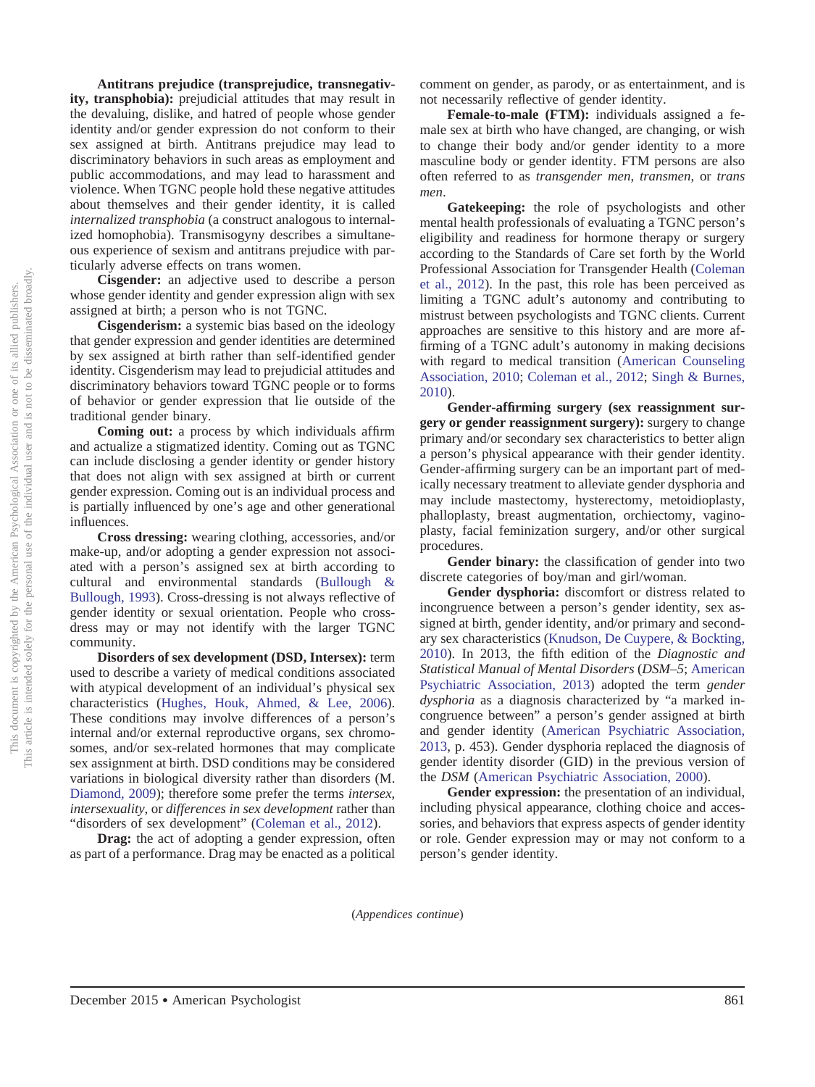**Antitrans prejudice (transprejudice, transnegativity, transphobia):** prejudicial attitudes that may result in the devaluing, dislike, and hatred of people whose gender identity and/or gender expression do not conform to their sex assigned at birth. Antitrans prejudice may lead to discriminatory behaviors in such areas as employment and public accommodations, and may lead to harassment and violence. When TGNC people hold these negative attitudes about themselves and their gender identity, it is called *internalized transphobia* (a construct analogous to internalized homophobia). Transmisogyny describes a simultaneous experience of sexism and antitrans prejudice with particularly adverse effects on trans women.

**Cisgender:** an adjective used to describe a person whose gender identity and gender expression align with sex assigned at birth; a person who is not TGNC.

**Cisgenderism:** a systemic bias based on the ideology that gender expression and gender identities are determined by sex assigned at birth rather than self-identified gender identity. Cisgenderism may lead to prejudicial attitudes and discriminatory behaviors toward TGNC people or to forms of behavior or gender expression that lie outside of the traditional gender binary.

**Coming out:** a process by which individuals affirm and actualize a stigmatized identity. Coming out as TGNC can include disclosing a gender identity or gender history that does not align with sex assigned at birth or current gender expression. Coming out is an individual process and is partially influenced by one's age and other generational influences.

**Cross dressing:** wearing clothing, accessories, and/or make-up, and/or adopting a gender expression not associated with a person's assigned sex at birth according to cultural and environmental standards [\(Bullough &](#page-21-39) [Bullough, 1993\)](#page-21-39). Cross-dressing is not always reflective of gender identity or sexual orientation. People who crossdress may or may not identify with the larger TGNC community.

**Disorders of sex development (DSD, Intersex):** term used to describe a variety of medical conditions associated with atypical development of an individual's physical sex characteristics [\(Hughes, Houk, Ahmed, & Lee, 2006\)](#page-24-37). These conditions may involve differences of a person's internal and/or external reproductive organs, sex chromosomes, and/or sex-related hormones that may complicate sex assignment at birth. DSD conditions may be considered variations in biological diversity rather than disorders (M. [Diamond, 2009\)](#page-23-41); therefore some prefer the terms *intersex*, *intersexuality*, or *differences in sex development* rather than "disorders of sex development" [\(Coleman et al., 2012\)](#page-22-2).

**Drag:** the act of adopting a gender expression, often as part of a performance. Drag may be enacted as a political comment on gender, as parody, or as entertainment, and is not necessarily reflective of gender identity.

**Female-to-male (FTM):** individuals assigned a female sex at birth who have changed, are changing, or wish to change their body and/or gender identity to a more masculine body or gender identity. FTM persons are also often referred to as *transgender men*, *transmen*, or *trans men*.

**Gatekeeping:** the role of psychologists and other mental health professionals of evaluating a TGNC person's eligibility and readiness for hormone therapy or surgery according to the Standards of Care set forth by the World Professional Association for Transgender Health [\(Coleman](#page-22-2) [et al., 2012\)](#page-22-2). In the past, this role has been perceived as limiting a TGNC adult's autonomy and contributing to mistrust between psychologists and TGNC clients. Current approaches are sensitive to this history and are more affirming of a TGNC adult's autonomy in making decisions with regard to medical transition [\(American Counseling](#page-20-5) [Association, 2010;](#page-20-5) [Coleman et al., 2012;](#page-22-2) [Singh & Burnes,](#page-27-39) [2010\)](#page-27-39).

**Gender-affirming surgery (sex reassignment surgery or gender reassignment surgery):** surgery to change primary and/or secondary sex characteristics to better align a person's physical appearance with their gender identity. Gender-affirming surgery can be an important part of medically necessary treatment to alleviate gender dysphoria and may include mastectomy, hysterectomy, metoidioplasty, phalloplasty, breast augmentation, orchiectomy, vaginoplasty, facial feminization surgery, and/or other surgical procedures.

**Gender binary:** the classification of gender into two discrete categories of boy/man and girl/woman.

**Gender dysphoria:** discomfort or distress related to incongruence between a person's gender identity, sex assigned at birth, gender identity, and/or primary and secondary sex characteristics [\(Knudson, De Cuypere, & Bockting,](#page-25-35) [2010\)](#page-25-35). In 2013, the fifth edition of the *Diagnostic and Statistical Manual of Mental Disorders* (*DSM–5*; [American](#page-20-13) [Psychiatric Association, 2013\)](#page-20-13) adopted the term *gender dysphoria* as a diagnosis characterized by "a marked incongruence between" a person's gender assigned at birth and gender identity [\(American Psychiatric Association,](#page-20-13) [2013,](#page-20-13) p. 453). Gender dysphoria replaced the diagnosis of gender identity disorder (GID) in the previous version of the *DSM* [\(American Psychiatric Association, 2000\)](#page-20-14).

**Gender expression:** the presentation of an individual, including physical appearance, clothing choice and accessories, and behaviors that express aspects of gender identity or role. Gender expression may or may not conform to a person's gender identity.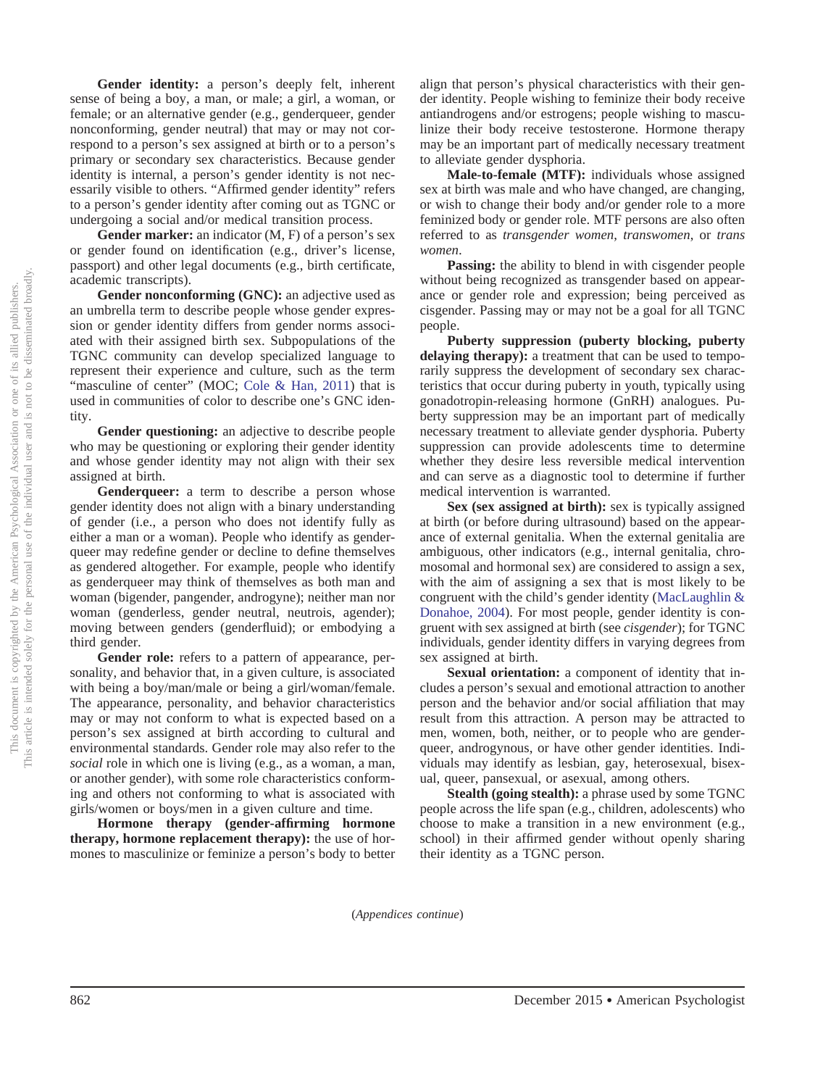**Gender identity:** a person's deeply felt, inherent sense of being a boy, a man, or male; a girl, a woman, or female; or an alternative gender (e.g., genderqueer, gender nonconforming, gender neutral) that may or may not correspond to a person's sex assigned at birth or to a person's primary or secondary sex characteristics. Because gender identity is internal, a person's gender identity is not necessarily visible to others. "Affirmed gender identity" refers to a person's gender identity after coming out as TGNC or undergoing a social and/or medical transition process.

**Gender marker:** an indicator (M, F) of a person's sex or gender found on identification (e.g., driver's license, passport) and other legal documents (e.g., birth certificate, academic transcripts).

**Gender nonconforming (GNC):** an adjective used as an umbrella term to describe people whose gender expression or gender identity differs from gender norms associated with their assigned birth sex. Subpopulations of the TGNC community can develop specialized language to represent their experience and culture, such as the term "masculine of center" (MOC; [Cole & Han, 2011\)](#page-22-37) that is used in communities of color to describe one's GNC identity.

**Gender questioning:** an adjective to describe people who may be questioning or exploring their gender identity and whose gender identity may not align with their sex assigned at birth.

**Genderqueer:** a term to describe a person whose gender identity does not align with a binary understanding of gender (i.e., a person who does not identify fully as either a man or a woman). People who identify as genderqueer may redefine gender or decline to define themselves as gendered altogether. For example, people who identify as genderqueer may think of themselves as both man and woman (bigender, pangender, androgyne); neither man nor woman (genderless, gender neutral, neutrois, agender); moving between genders (genderfluid); or embodying a third gender.

**Gender role:** refers to a pattern of appearance, personality, and behavior that, in a given culture, is associated with being a boy/man/male or being a girl/woman/female. The appearance, personality, and behavior characteristics may or may not conform to what is expected based on a person's sex assigned at birth according to cultural and environmental standards. Gender role may also refer to the *social* role in which one is living (e.g., as a woman, a man, or another gender), with some role characteristics conforming and others not conforming to what is associated with girls/women or boys/men in a given culture and time.

**Hormone therapy (gender-affirming hormone therapy, hormone replacement therapy):** the use of hormones to masculinize or feminize a person's body to better

align that person's physical characteristics with their gender identity. People wishing to feminize their body receive antiandrogens and/or estrogens; people wishing to masculinize their body receive testosterone. Hormone therapy may be an important part of medically necessary treatment to alleviate gender dysphoria.

**Male-to-female (MTF):** individuals whose assigned sex at birth was male and who have changed, are changing, or wish to change their body and/or gender role to a more feminized body or gender role. MTF persons are also often referred to as *transgender women*, *transwomen*, or *trans women*.

**Passing:** the ability to blend in with cisgender people without being recognized as transgender based on appearance or gender role and expression; being perceived as cisgender. Passing may or may not be a goal for all TGNC people.

**Puberty suppression (puberty blocking, puberty delaying therapy):** a treatment that can be used to temporarily suppress the development of secondary sex characteristics that occur during puberty in youth, typically using gonadotropin-releasing hormone (GnRH) analogues. Puberty suppression may be an important part of medically necessary treatment to alleviate gender dysphoria. Puberty suppression can provide adolescents time to determine whether they desire less reversible medical intervention and can serve as a diagnostic tool to determine if further medical intervention is warranted.

**Sex (sex assigned at birth):** sex is typically assigned at birth (or before during ultrasound) based on the appearance of external genitalia. When the external genitalia are ambiguous, other indicators (e.g., internal genitalia, chromosomal and hormonal sex) are considered to assign a sex, with the aim of assigning a sex that is most likely to be congruent with the child's gender identity [\(MacLaughlin &](#page-25-36) [Donahoe, 2004\)](#page-25-36). For most people, gender identity is congruent with sex assigned at birth (see *cisgender*); for TGNC individuals, gender identity differs in varying degrees from sex assigned at birth.

**Sexual orientation:** a component of identity that includes a person's sexual and emotional attraction to another person and the behavior and/or social affiliation that may result from this attraction. A person may be attracted to men, women, both, neither, or to people who are genderqueer, androgynous, or have other gender identities. Individuals may identify as lesbian, gay, heterosexual, bisexual, queer, pansexual, or asexual, among others.

**Stealth (going stealth):** a phrase used by some TGNC people across the life span (e.g., children, adolescents) who choose to make a transition in a new environment (e.g., school) in their affirmed gender without openly sharing their identity as a TGNC person.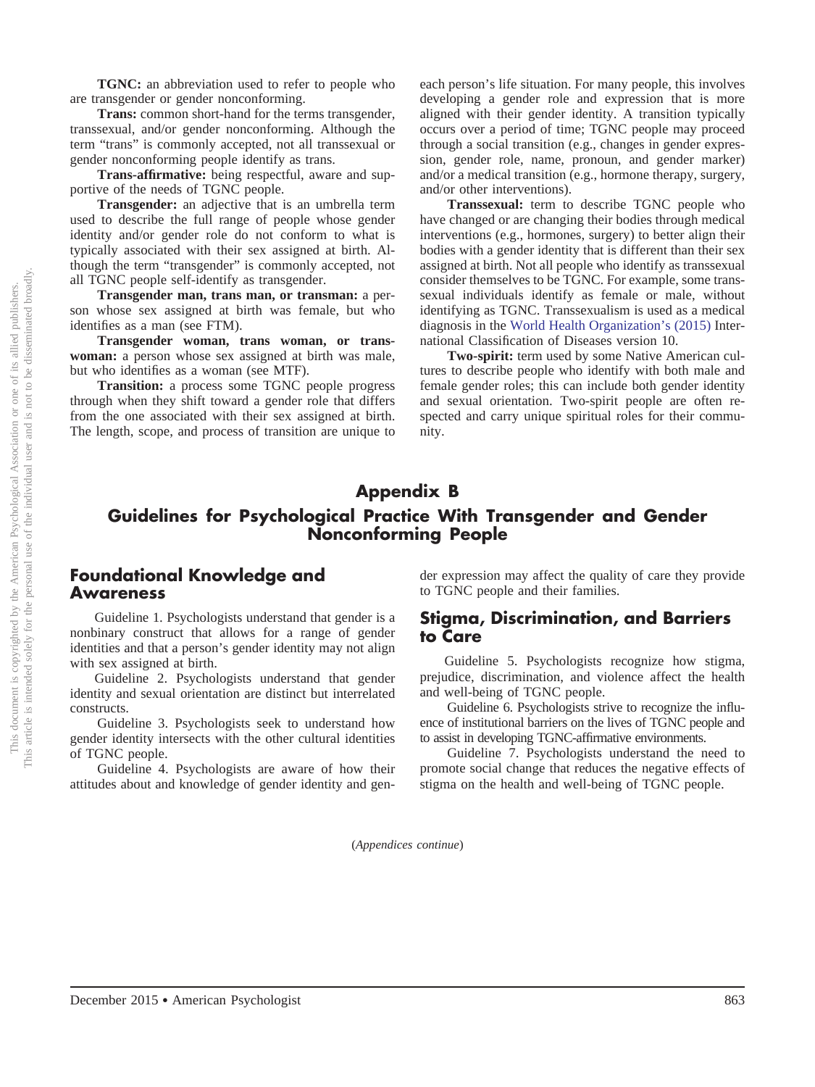**TGNC:** an abbreviation used to refer to people who are transgender or gender nonconforming.

**Trans:** common short-hand for the terms transgender, transsexual, and/or gender nonconforming. Although the term "trans" is commonly accepted, not all transsexual or gender nonconforming people identify as trans.

**Trans-affirmative:** being respectful, aware and supportive of the needs of TGNC people.

**Transgender:** an adjective that is an umbrella term used to describe the full range of people whose gender identity and/or gender role do not conform to what is typically associated with their sex assigned at birth. Although the term "transgender" is commonly accepted, not all TGNC people self-identify as transgender.

**Transgender man, trans man, or transman:** a person whose sex assigned at birth was female, but who identifies as a man (see FTM).

**Transgender woman, trans woman, or transwoman:** a person whose sex assigned at birth was male, but who identifies as a woman (see MTF).

**Transition:** a process some TGNC people progress through when they shift toward a gender role that differs from the one associated with their sex assigned at birth. The length, scope, and process of transition are unique to each person's life situation. For many people, this involves developing a gender role and expression that is more aligned with their gender identity. A transition typically occurs over a period of time; TGNC people may proceed through a social transition (e.g., changes in gender expression, gender role, name, pronoun, and gender marker) and/or a medical transition (e.g., hormone therapy, surgery, and/or other interventions).

**Transsexual:** term to describe TGNC people who have changed or are changing their bodies through medical interventions (e.g., hormones, surgery) to better align their bodies with a gender identity that is different than their sex assigned at birth. Not all people who identify as transsexual consider themselves to be TGNC. For example, some transsexual individuals identify as female or male, without identifying as TGNC. Transsexualism is used as a medical diagnosis in the [World Health Organization's \(2015\)](#page-28-18) International Classification of Diseases version 10.

**Two-spirit:** term used by some Native American cultures to describe people who identify with both male and female gender roles; this can include both gender identity and sexual orientation. Two-spirit people are often respected and carry unique spiritual roles for their community.

## **Appendix B**

## **Guidelines for Psychological Practice With Transgender and Gender Nonconforming People**

## **Foundational Knowledge and Awareness**

Guideline 1. Psychologists understand that gender is a nonbinary construct that allows for a range of gender identities and that a person's gender identity may not align with sex assigned at birth.

Guideline 2. Psychologists understand that gender identity and sexual orientation are distinct but interrelated constructs.

Guideline 3. Psychologists seek to understand how gender identity intersects with the other cultural identities of TGNC people.

Guideline 4. Psychologists are aware of how their attitudes about and knowledge of gender identity and gender expression may affect the quality of care they provide to TGNC people and their families.

## **Stigma, Discrimination, and Barriers to Care**

Guideline 5. Psychologists recognize how stigma, prejudice, discrimination, and violence affect the health and well-being of TGNC people.

Guideline 6. Psychologists strive to recognize the influence of institutional barriers on the lives of TGNC people and to assist in developing TGNC-affirmative environments.

Guideline 7. Psychologists understand the need to promote social change that reduces the negative effects of stigma on the health and well-being of TGNC people.